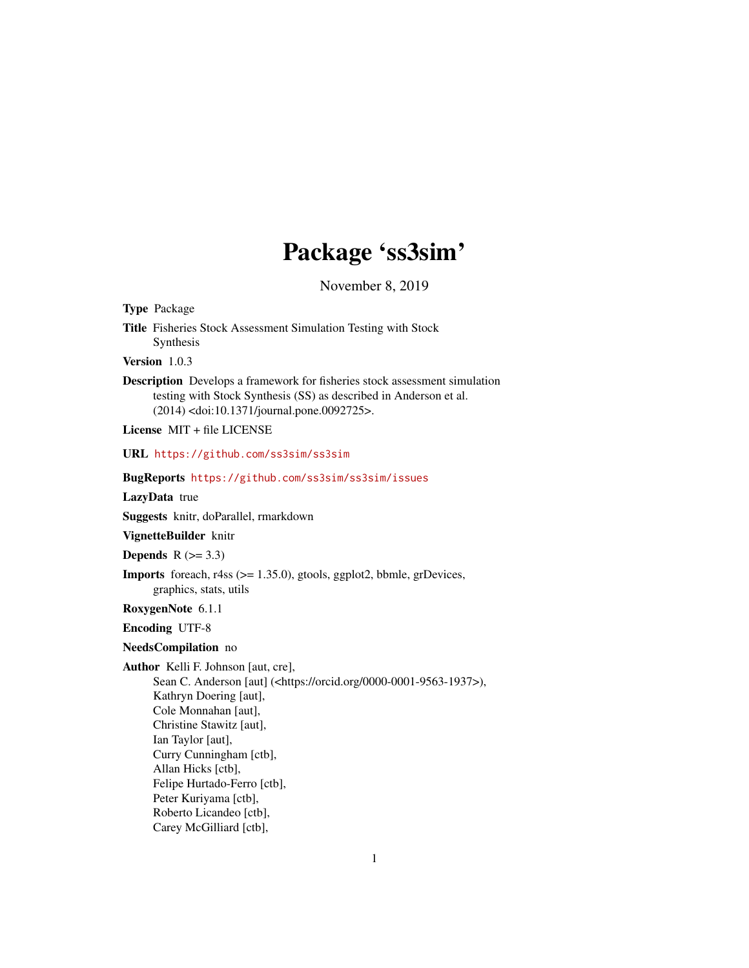# Package 'ss3sim'

November 8, 2019

<span id="page-0-0"></span>

| <b>Type Package</b>                                                                                                                                                                                                                                                                                                                         |
|---------------------------------------------------------------------------------------------------------------------------------------------------------------------------------------------------------------------------------------------------------------------------------------------------------------------------------------------|
| Title Fisheries Stock Assessment Simulation Testing with Stock<br>Synthesis                                                                                                                                                                                                                                                                 |
| Version 1.0.3                                                                                                                                                                                                                                                                                                                               |
| <b>Description</b> Develops a framework for fisheries stock assessment simulation<br>testing with Stock Synthesis (SS) as described in Anderson et al.<br>(2014) <doi:10.1371 journal.pone.0092725="">.</doi:10.1371>                                                                                                                       |
| License MIT + file LICENSE                                                                                                                                                                                                                                                                                                                  |
| URL https://github.com/ss3sim/ss3sim                                                                                                                                                                                                                                                                                                        |
| BugReports https://github.com/ss3sim/ss3sim/issues                                                                                                                                                                                                                                                                                          |
| LazyData true                                                                                                                                                                                                                                                                                                                               |
| Suggests knitr, doParallel, rmarkdown                                                                                                                                                                                                                                                                                                       |
| VignetteBuilder knitr                                                                                                                                                                                                                                                                                                                       |
| Depends $R (=3.3)$                                                                                                                                                                                                                                                                                                                          |
| <b>Imports</b> foreach, $r4ss$ ( $>= 1.35.0$ ), gtools, ggplot2, bbmle, grDevices,<br>graphics, stats, utils                                                                                                                                                                                                                                |
| RoxygenNote 6.1.1                                                                                                                                                                                                                                                                                                                           |
| <b>Encoding UTF-8</b>                                                                                                                                                                                                                                                                                                                       |
| NeedsCompilation no                                                                                                                                                                                                                                                                                                                         |
| Author Kelli F. Johnson [aut, cre],<br>Sean C. Anderson [aut] ( <https: 0000-0001-9563-1937="" orcid.org="">),<br/>Kathryn Doering [aut],<br/>Cole Monnahan [aut],<br/>Christine Stawitz [aut],<br/>Ian Taylor [aut],<br/>Curry Cunningham [ctb],<br/>Allan Hicks [ctb],<br/>Felipe Hurtado-Ferro [ctb],<br/>Peter Kuriyama [ctb],</https:> |
| Dakanta Tiban Jan Fatti                                                                                                                                                                                                                                                                                                                     |

Roberto Licandeo [ctb], Carey McGilliard [ctb],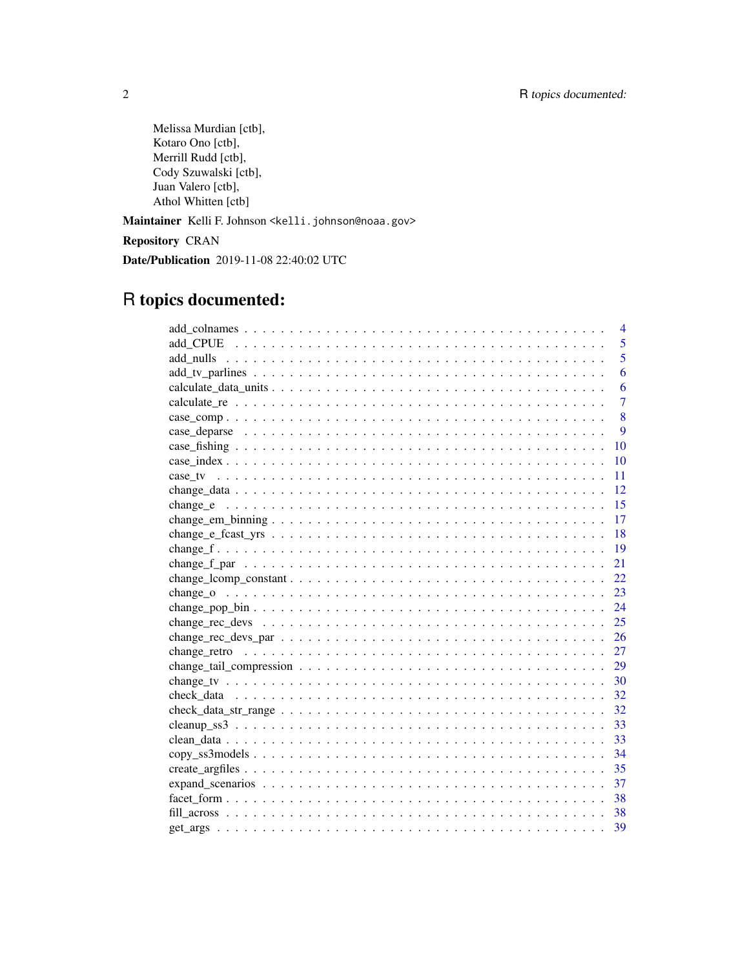Melissa Murdian [ctb], Kotaro Ono [ctb], Merrill Rudd [ctb], Cody Szuwalski [ctb], Juan Valero [ctb], Athol Whitten [ctb]

Maintainer Kelli F. Johnson <kelli.johnson@noaa.gov>

Repository CRAN

Date/Publication 2019-11-08 22:40:02 UTC

## R topics documented:

| $\overline{4}$ |
|----------------|
| 5              |
| $\overline{5}$ |
| 6              |
| 6              |
| $\overline{7}$ |
| 8              |
| 9              |
| 10             |
| 10             |
| 11             |
| 12             |
| 15             |
| 17             |
| 18             |
| 19             |
| 21             |
| 22.            |
| 23             |
| 24             |
| 25             |
|                |
|                |
|                |
|                |
| 32             |
| 32             |
| 33             |
| 33             |
| 34             |
| 35             |
| 37             |
| 38             |
|                |
| 39             |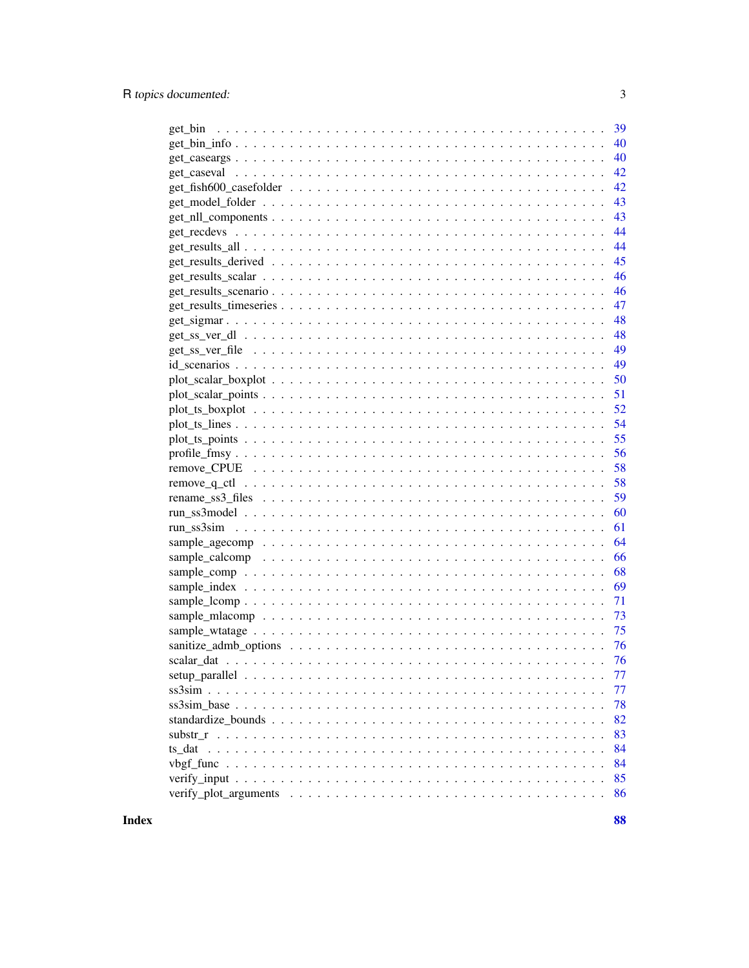| 39<br>get_bin                                                                                                  |    |
|----------------------------------------------------------------------------------------------------------------|----|
|                                                                                                                | 40 |
| 40                                                                                                             |    |
| 42                                                                                                             |    |
|                                                                                                                | 42 |
|                                                                                                                | 43 |
| 43                                                                                                             |    |
|                                                                                                                | 44 |
| 44                                                                                                             |    |
| 45                                                                                                             |    |
| 46                                                                                                             |    |
| 46                                                                                                             |    |
| 47                                                                                                             |    |
| 48                                                                                                             |    |
| 48                                                                                                             |    |
| 49                                                                                                             |    |
| 49                                                                                                             |    |
|                                                                                                                | 50 |
| 51                                                                                                             |    |
| 52                                                                                                             |    |
| $plot\_ts\_lines$                                                                                              |    |
| 55                                                                                                             |    |
| 56                                                                                                             |    |
| 58                                                                                                             |    |
| 58<br>$remove_q_ccl \dots \dots \dots \dots \dots \dots \dots \dots \dots \dots \dots \dots \dots \dots \dots$ |    |
| 59                                                                                                             |    |
| 60                                                                                                             |    |
| 61                                                                                                             |    |
| 64                                                                                                             |    |
| 66                                                                                                             |    |
| 68                                                                                                             |    |
| 69                                                                                                             |    |
| 71                                                                                                             |    |
| 73                                                                                                             |    |
| 75                                                                                                             |    |
|                                                                                                                |    |
|                                                                                                                |    |
|                                                                                                                | 77 |
|                                                                                                                | 77 |
|                                                                                                                | 78 |
|                                                                                                                | 82 |
|                                                                                                                | 83 |
|                                                                                                                | 84 |
|                                                                                                                | 84 |
|                                                                                                                | 85 |
|                                                                                                                | 86 |
|                                                                                                                |    |

**Index**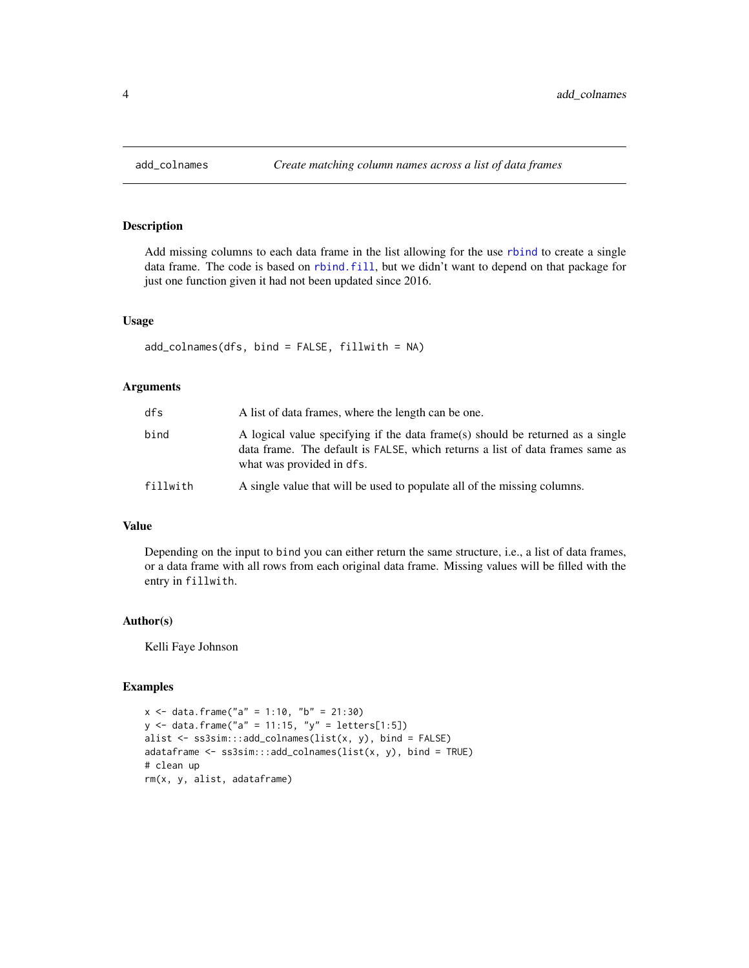Add missing columns to each data frame in the list allowing for the use [rbind](#page-0-0) to create a single data frame. The code is based on [rbind.fill](#page-0-0), but we didn't want to depend on that package for just one function given it had not been updated since 2016.

## Usage

```
add_colnames(dfs, bind = FALSE, fillwith = NA)
```
#### Arguments

| dfs      | A list of data frames, where the length can be one.                                                                                                                                          |
|----------|----------------------------------------------------------------------------------------------------------------------------------------------------------------------------------------------|
| bind     | A logical value specifying if the data frame(s) should be returned as a single<br>data frame. The default is FALSE, which returns a list of data frames same as<br>what was provided in dfs. |
| fillwith | A single value that will be used to populate all of the missing columns.                                                                                                                     |

## Value

Depending on the input to bind you can either return the same structure, i.e., a list of data frames, or a data frame with all rows from each original data frame. Missing values will be filled with the entry in fillwith.

#### Author(s)

Kelli Faye Johnson

#### Examples

```
x \le - data.frame("a" = 1:10, "b" = 21:30)
y \le - data.frame("a" = 11:15, "y" = letters[1:5])
alist <- ss3sim:::add_colnames(list(x, y), bind = FALSE)
adataframe <- ss3sim:::add_colnames(list(x, y), bind = TRUE)
# clean up
rm(x, y, alist, adataframe)
```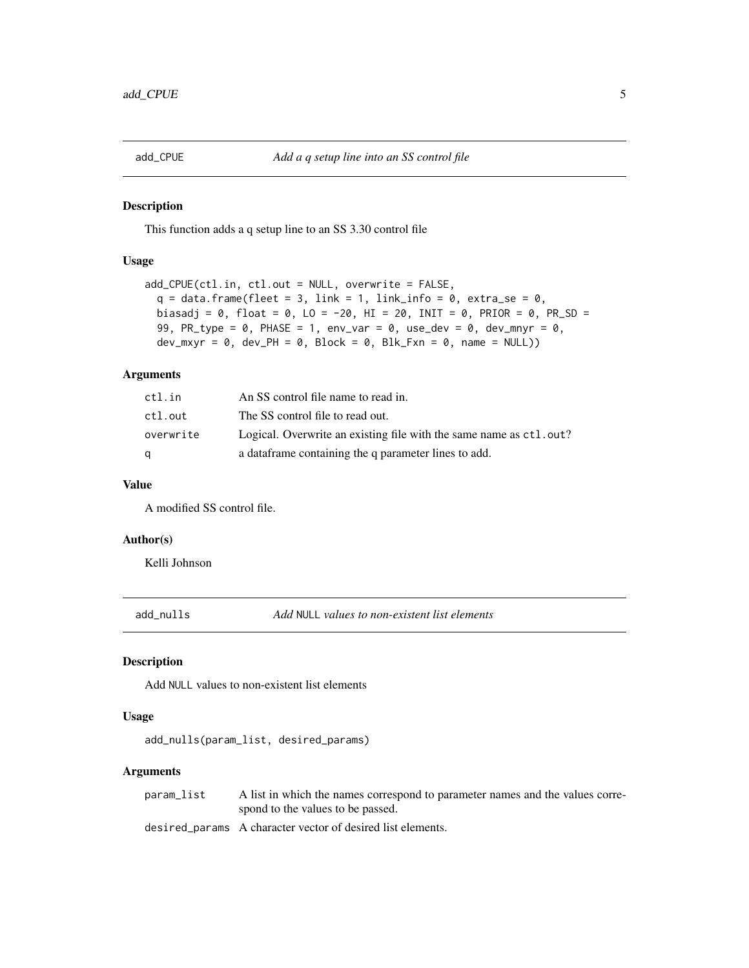<span id="page-4-0"></span>

This function adds a q setup line to an SS 3.30 control file

#### Usage

```
add_CPUE(ctl.in, ctl.out = NULL, overwrite = FALSE,
  q = data-frame(fleet = 3, link = 1, link_info = 0, extra_se = 0,biasadj = 0, float = 0, LO = -20, HI = 20, INIT = 0, PRIOR = 0, PR_SD =
  99, PR_type = \theta, PHASE = 1, env_var = \theta, use_dev = \theta, dev_mnyr = \theta,
  dev_mxyr = 0, dev_PH = 0, Block = 0, Blk_Fxn = 0, name = NULL))
```
#### Arguments

| ctl.in    | An SS control file name to read in.                                |
|-----------|--------------------------------------------------------------------|
| ctl.out   | The SS control file to read out.                                   |
| overwrite | Logical. Overwrite an existing file with the same name as ctl.out? |
| a         | a data frame containing the q parameter lines to add.              |

## Value

A modified SS control file.

## Author(s)

Kelli Johnson

add\_nulls *Add* NULL *values to non-existent list elements*

#### Description

Add NULL values to non-existent list elements

## Usage

add\_nulls(param\_list, desired\_params)

#### Arguments

param\_list A list in which the names correspond to parameter names and the values correspond to the values to be passed.

desired\_params A character vector of desired list elements.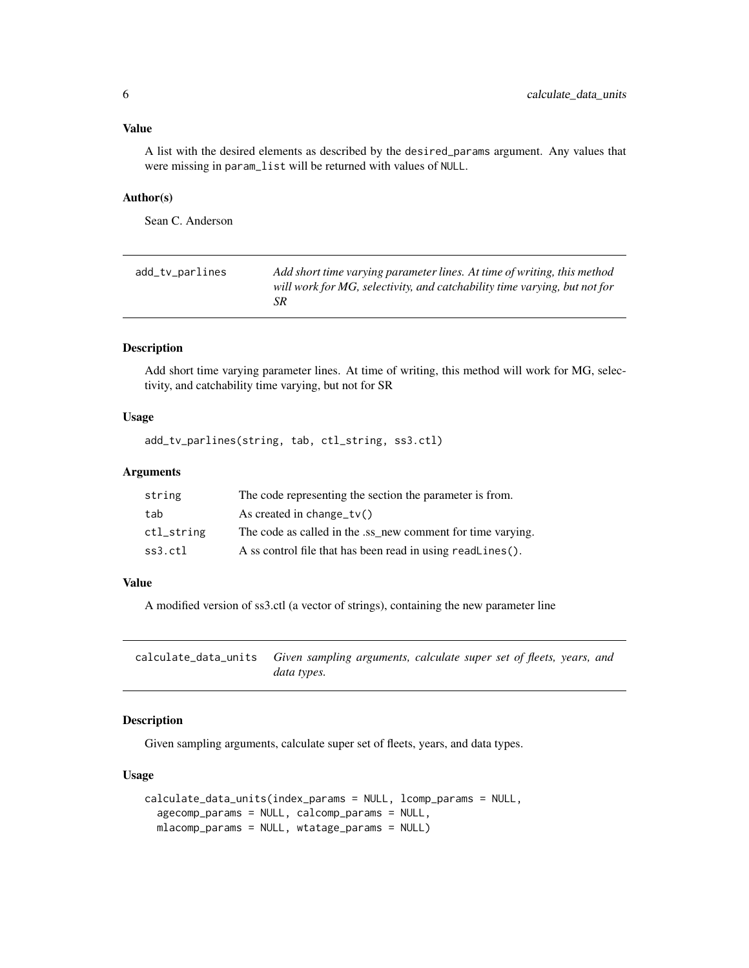<span id="page-5-0"></span>A list with the desired elements as described by the desired\_params argument. Any values that were missing in param\_list will be returned with values of NULL.

#### Author(s)

Sean C. Anderson

| Add short time varying parameter lines. At time of writing, this method<br>add_tv_parlines<br>will work for MG, selectivity, and catchability time varying, but not for<br>SR |
|-------------------------------------------------------------------------------------------------------------------------------------------------------------------------------|
|-------------------------------------------------------------------------------------------------------------------------------------------------------------------------------|

#### Description

Add short time varying parameter lines. At time of writing, this method will work for MG, selectivity, and catchability time varying, but not for SR

#### Usage

add\_tv\_parlines(string, tab, ctl\_string, ss3.ctl)

## Arguments

| string     | The code representing the section the parameter is from.    |
|------------|-------------------------------------------------------------|
| tab        | As created in change $tv()$                                 |
| ctl_string | The code as called in the .ss_new comment for time varying. |
| ss3.ctl    | A ss control file that has been read in using readLines().  |

#### Value

A modified version of ss3.ctl (a vector of strings), containing the new parameter line

<span id="page-5-1"></span>calculate\_data\_units *Given sampling arguments, calculate super set of fleets, years, and data types.*

## Description

Given sampling arguments, calculate super set of fleets, years, and data types.

#### Usage

```
calculate_data_units(index_params = NULL, lcomp_params = NULL,
  agecomp_params = NULL, calcomp_params = NULL,
  mlacomp_params = NULL, wtatage_params = NULL)
```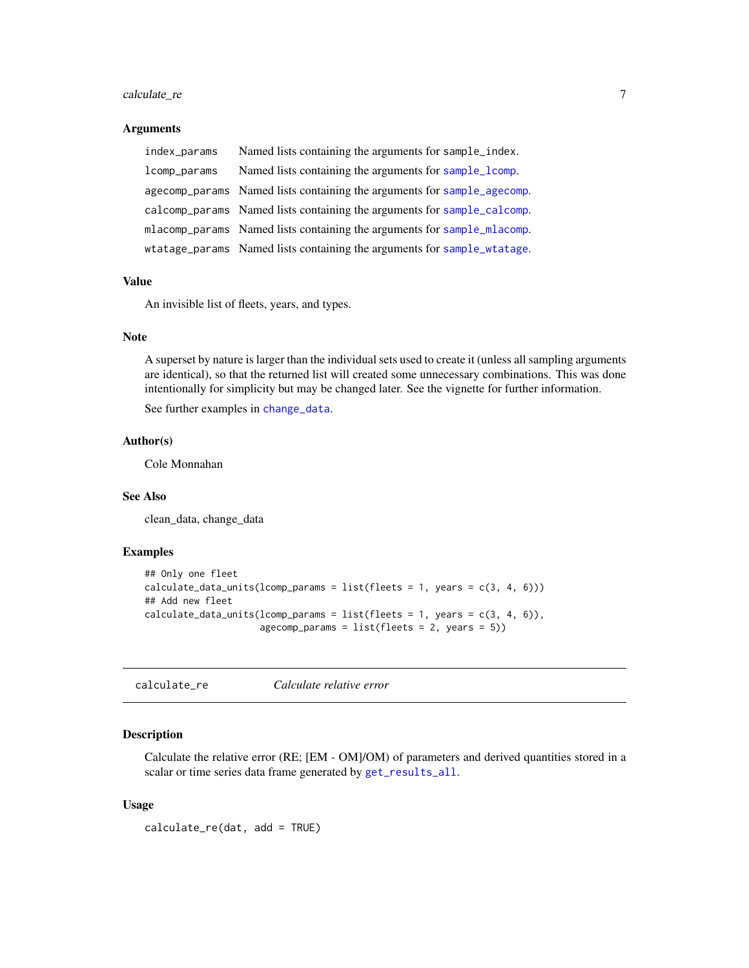## <span id="page-6-0"></span>calculate\_re 7

#### Arguments

| index_params | Named lists containing the arguments for sample_index.                  |
|--------------|-------------------------------------------------------------------------|
| lcomp_params | Named lists containing the arguments for sample_lcomp.                  |
|              | agecomp_params Named lists containing the arguments for sample_agecomp. |
|              | calcomp_params Named lists containing the arguments for sample_calcomp. |
|              | mlacomp_params Named lists containing the arguments for sample_mlacomp. |
|              | wtatage_params Named lists containing the arguments for sample_wtatage. |

## Value

An invisible list of fleets, years, and types.

## Note

A superset by nature is larger than the individual sets used to create it (unless all sampling arguments are identical), so that the returned list will created some unnecessary combinations. This was done intentionally for simplicity but may be changed later. See the vignette for further information.

See further examples in [change\\_data](#page-11-1).

## Author(s)

Cole Monnahan

## See Also

clean\_data, change\_data

## Examples

```
## Only one fleet
calculate_data_units(lcomp_params = list(fleets = 1, years = c(3, 4, 6)))
## Add new fleet
calculate_data_units(lcomp_params = list(fleets = 1, years = c(3, 4, 6)),
                     agecomp_params = list(fheets = 2, years = 5))
```
calculate\_re *Calculate relative error*

## Description

Calculate the relative error (RE; [EM - OM]/OM) of parameters and derived quantities stored in a scalar or time series data frame generated by [get\\_results\\_all](#page-43-1).

#### Usage

calculate\_re(dat, add = TRUE)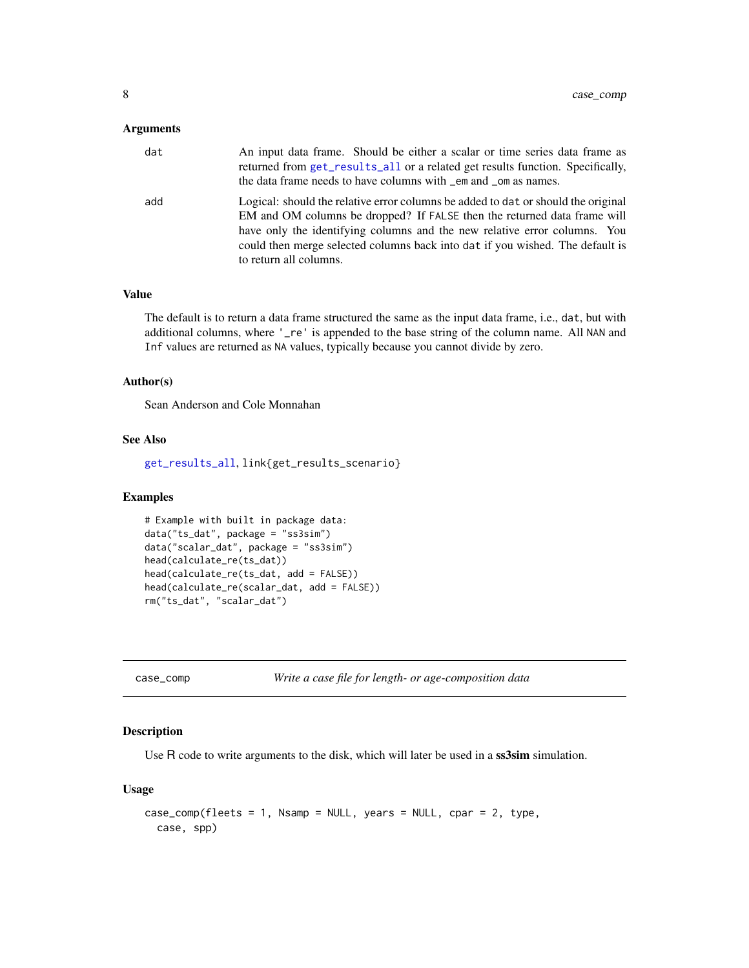#### <span id="page-7-0"></span>Arguments

| dat | An input data frame. Should be either a scalar or time series data frame as<br>returned from get_results_all or a related get results function. Specifically,<br>the data frame needs to have columns with _em and _om as names.                                                                                                                      |
|-----|-------------------------------------------------------------------------------------------------------------------------------------------------------------------------------------------------------------------------------------------------------------------------------------------------------------------------------------------------------|
| add | Logical: should the relative error columns be added to dat or should the original<br>EM and OM columns be dropped? If FALSE then the returned data frame will<br>have only the identifying columns and the new relative error columns. You<br>could then merge selected columns back into dat if you wished. The default is<br>to return all columns. |

#### Value

The default is to return a data frame structured the same as the input data frame, i.e., dat, but with additional columns, where '\_re' is appended to the base string of the column name. All NAN and Inf values are returned as NA values, typically because you cannot divide by zero.

#### Author(s)

Sean Anderson and Cole Monnahan

## See Also

[get\\_results\\_all](#page-43-1), link{get\_results\_scenario}

## Examples

```
# Example with built in package data:
data("ts_dat", package = "ss3sim")
data("scalar_dat", package = "ss3sim")
head(calculate_re(ts_dat))
head(calculate_re(ts_dat, add = FALSE))
head(calculate_re(scalar_dat, add = FALSE))
rm("ts_dat", "scalar_dat")
```

```
case_comp Write a case file for length- or age-composition data
```
## Description

Use R code to write arguments to the disk, which will later be used in a ss3sim simulation.

#### Usage

```
case_comp(fleets = 1, Nsamp = NULL, years = NULL, cpar = 2, type,
  case, spp)
```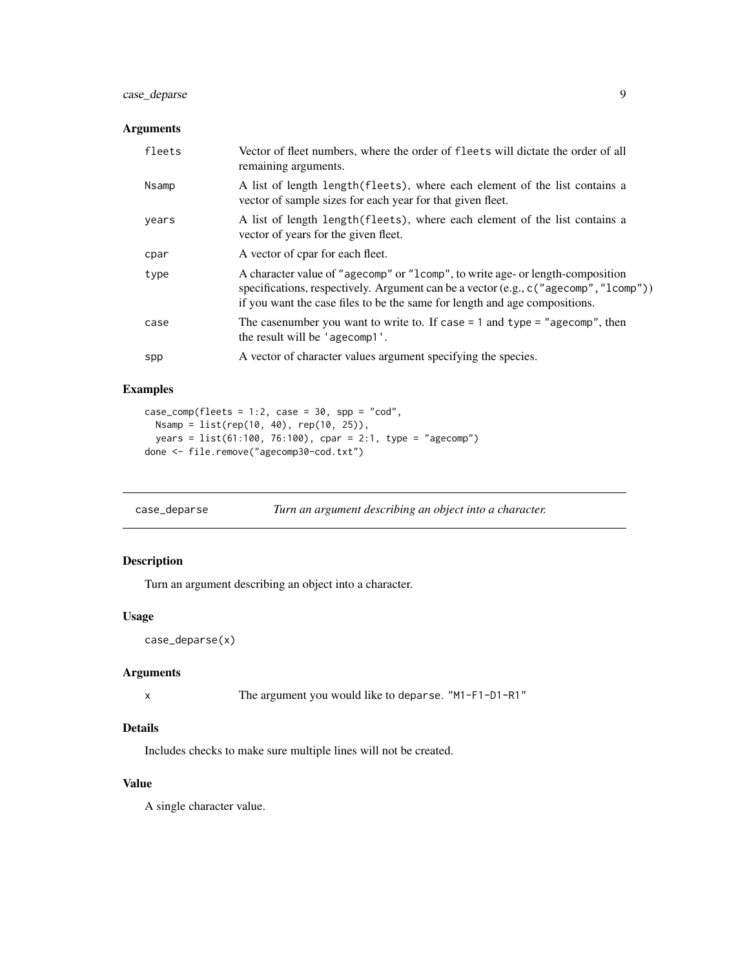## <span id="page-8-0"></span>case\_deparse 9

## Arguments

| fleets | Vector of fleet numbers, where the order of fleets will dictate the order of all<br>remaining arguments.                                                                                                                                              |
|--------|-------------------------------------------------------------------------------------------------------------------------------------------------------------------------------------------------------------------------------------------------------|
| Nsamp  | A list of length length (fleets), where each element of the list contains a<br>vector of sample sizes for each year for that given fleet.                                                                                                             |
| years  | A list of length length (fleets), where each element of the list contains a<br>vector of years for the given fleet.                                                                                                                                   |
| cpar   | A vector of cpar for each fleet.                                                                                                                                                                                                                      |
| type   | A character value of "agecomp" or "1comp", to write age- or length-composition<br>specifications, respectively. Argument can be a vector (e.g., c ("agecomp", "1comp"))<br>if you want the case files to be the same for length and age compositions. |
| case   | The case number you want to write to. If case $= 1$ and type $=$ "age comp", then<br>the result will be 'agecomp1'.                                                                                                                                   |
| spp    | A vector of character values argument specifying the species.                                                                                                                                                                                         |

## Examples

```
case\_comp(fheets = 1:2, case = 30, spp = "cod",Nsamp = list(rep(10, 40), rep(10, 25)),
  years = list(61:100, 76:100), cpar = 2:1, type = "agecomp")
done <- file.remove("agecomp30-cod.txt")
```
case\_deparse *Turn an argument describing an object into a character.*

## Description

Turn an argument describing an object into a character.

## Usage

```
case_deparse(x)
```
## Arguments

```
x The argument you would like to deparse. "M1-F1-D1-R1"
```
## Details

Includes checks to make sure multiple lines will not be created.

## Value

A single character value.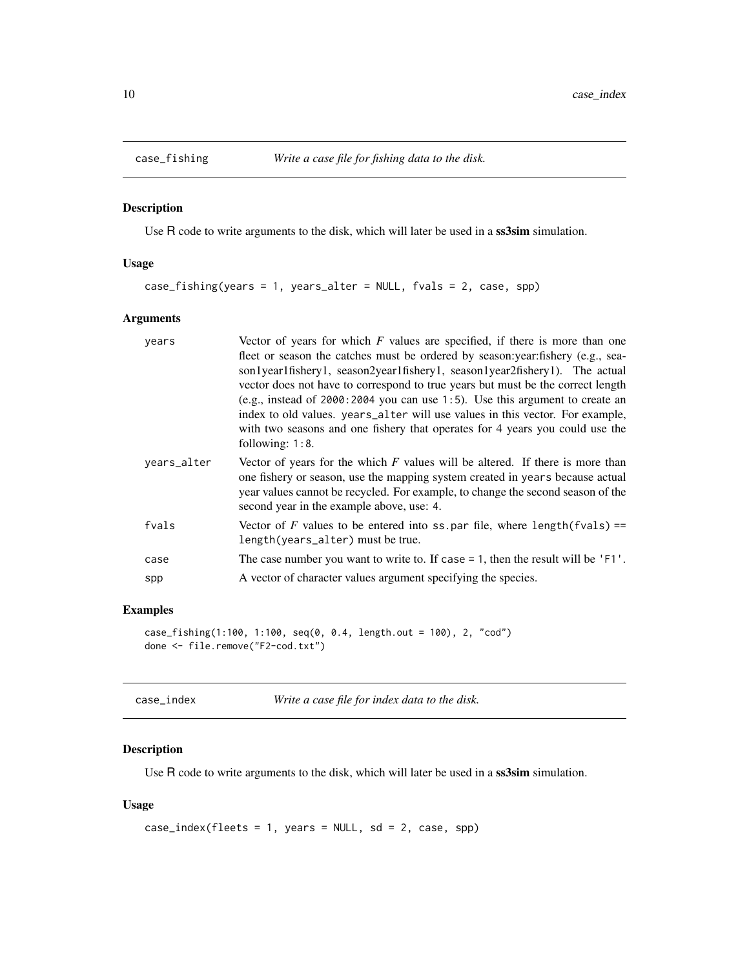<span id="page-9-0"></span>

Use R code to write arguments to the disk, which will later be used in a ss3sim simulation.

## Usage

case\_fishing(years = 1, years\_alter = NULL, fvals = 2, case, spp)

## Arguments

| years       | Vector of years for which $F$ values are specified, if there is more than one<br>fleet or season the catches must be ordered by season: year: fishery (e.g., sea-<br>son1year1fishery1, season2year1fishery1, season1year2fishery1). The actual<br>vector does not have to correspond to true years but must be the correct length<br>(e.g., instead of $2000:2004$ you can use 1:5). Use this argument to create an<br>index to old values. years_alter will use values in this vector. For example,<br>with two seasons and one fishery that operates for 4 years you could use the<br>following: $1:8$ . |
|-------------|-------------------------------------------------------------------------------------------------------------------------------------------------------------------------------------------------------------------------------------------------------------------------------------------------------------------------------------------------------------------------------------------------------------------------------------------------------------------------------------------------------------------------------------------------------------------------------------------------------------|
| years_alter | Vector of years for the which $F$ values will be altered. If there is more than<br>one fishery or season, use the mapping system created in years because actual<br>year values cannot be recycled. For example, to change the second season of the<br>second year in the example above, use: 4.                                                                                                                                                                                                                                                                                                            |
| fvals       | Vector of F values to be entered into ss. par file, where length(fvals) ==<br>length(years_alter) must be true.                                                                                                                                                                                                                                                                                                                                                                                                                                                                                             |
| case        | The case number you want to write to. If case $= 1$ , then the result will be 'F1'.                                                                                                                                                                                                                                                                                                                                                                                                                                                                                                                         |
| spp         | A vector of character values argument specifying the species.                                                                                                                                                                                                                                                                                                                                                                                                                                                                                                                                               |

## Examples

```
case_fishing(1:100, 1:100, seq(0, 0.4, length.out = 100), 2, "cod")
done <- file.remove("F2-cod.txt")
```

| Write a case file for index data to the disk.<br>case index |
|-------------------------------------------------------------|
|-------------------------------------------------------------|

## Description

Use R code to write arguments to the disk, which will later be used in a ss3sim simulation.

## Usage

```
case_index(fheets = 1, years = NULL, sd = 2, case, spp)
```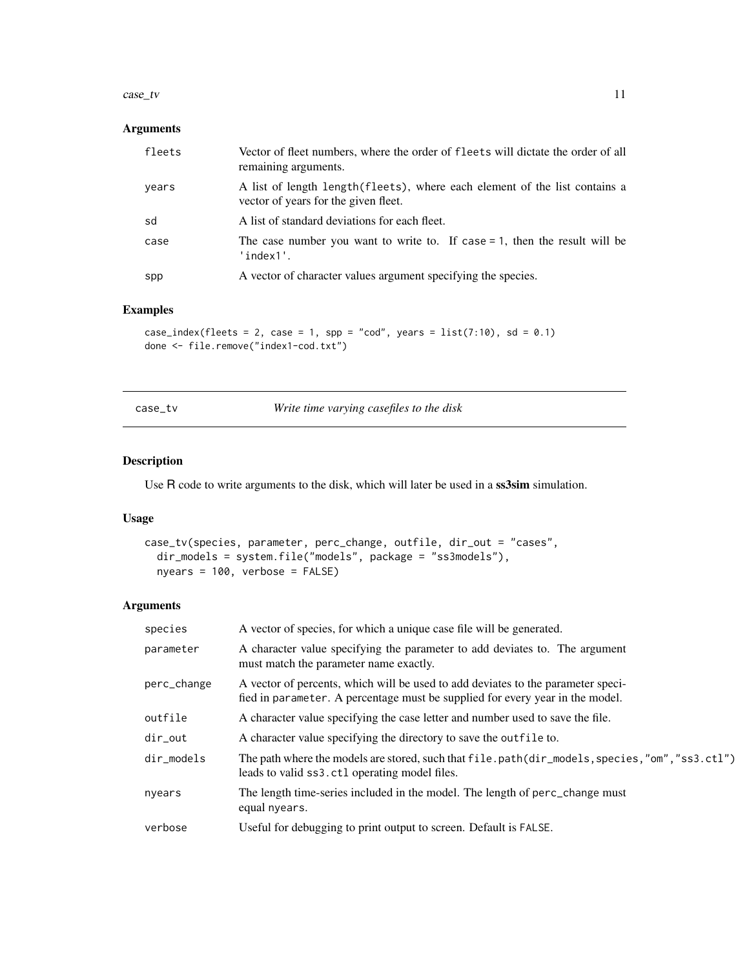#### <span id="page-10-0"></span> $case\_tv$  11

## Arguments

| fleets | Vector of fleet numbers, where the order of fleets will dictate the order of all<br>remaining arguments.            |
|--------|---------------------------------------------------------------------------------------------------------------------|
| years  | A list of length length (fleets), where each element of the list contains a<br>vector of years for the given fleet. |
| sd     | A list of standard deviations for each fleet.                                                                       |
| case   | The case number you want to write to. If case $= 1$ , then the result will be<br>'index1'.                          |
| spp    | A vector of character values argument specifying the species.                                                       |

## Examples

```
case_index(fleets = 2, case = 1, spp = "cod", years = list(7:10), sd = 0.1)
done <- file.remove("index1-cod.txt")
```
case\_tv *Write time varying casefiles to the disk*

## Description

Use R code to write arguments to the disk, which will later be used in a ss3sim simulation.

## Usage

```
case_tv(species, parameter, perc_change, outfile, dir_out = "cases",
  dir_models = system.file("models", package = "ss3models"),
  nyears = 100, verbose = FALSE)
```
## Arguments

| species     | A vector of species, for which a unique case file will be generated.                                                                                              |
|-------------|-------------------------------------------------------------------------------------------------------------------------------------------------------------------|
| parameter   | A character value specifying the parameter to add deviates to. The argument<br>must match the parameter name exactly.                                             |
| perc_change | A vector of percents, which will be used to add deviates to the parameter speci-<br>fied in parameter. A percentage must be supplied for every year in the model. |
| outfile     | A character value specifying the case letter and number used to save the file.                                                                                    |
| dir_out     | A character value specifying the directory to save the outfile to.                                                                                                |
| dir models  | The path where the models are stored, such that file.path(dir_models, species, "om", "ss3.ctl")<br>leads to valid ss3.ct1 operating model files.                  |
| nyears      | The length time-series included in the model. The length of perc_change must<br>equal nyears.                                                                     |
| verbose     | Useful for debugging to print output to screen. Default is FALSE.                                                                                                 |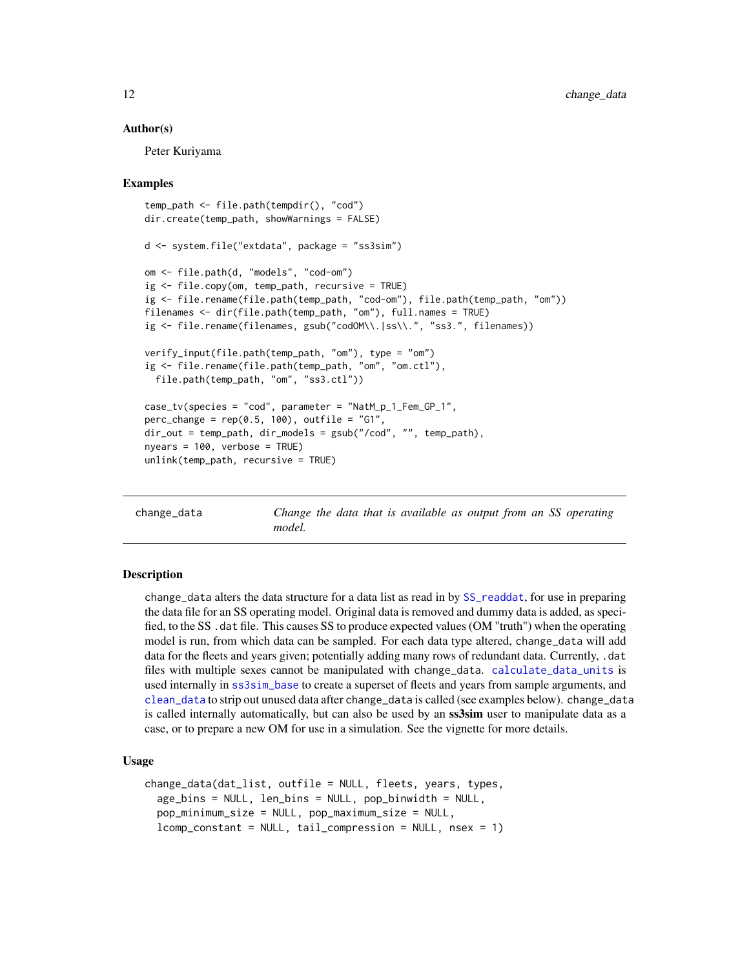#### Author(s)

Peter Kuriyama

#### Examples

```
temp_path <- file.path(tempdir(), "cod")
dir.create(temp_path, showWarnings = FALSE)
d <- system.file("extdata", package = "ss3sim")
om <- file.path(d, "models", "cod-om")
ig <- file.copy(om, temp_path, recursive = TRUE)
ig <- file.rename(file.path(temp_path, "cod-om"), file.path(temp_path, "om"))
filenames <- dir(file.path(temp_path, "om"), full.names = TRUE)
ig <- file.rename(filenames, gsub("codOM\\.|ss\\.", "ss3.", filenames))
verify_input(file.path(temp_path, "om"), type = "om")
ig <- file.rename(file.path(temp_path, "om", "om.ctl"),
 file.path(temp_path, "om", "ss3.ctl"))
case_tv(species = "cod", parameter = "NatM_p_1_Fem_GP_1",
perc_change = rep(0.5, 100), outfile = "G1",
dir_out = temp_path, dir_models = gsub("/cod", "", temp_path),
nyears = 100, verbose = TRUE)
unlink(temp_path, recursive = TRUE)
```
<span id="page-11-1"></span>change\_data *Change the data that is available as output from an SS operating model.*

#### **Description**

change\_data alters the data structure for a data list as read in by [SS\\_readdat](#page-0-0), for use in preparing the data file for an SS operating model. Original data is removed and dummy data is added, as specified, to the SS .dat file. This causes SS to produce expected values (OM "truth") when the operating model is run, from which data can be sampled. For each data type altered, change\_data will add data for the fleets and years given; potentially adding many rows of redundant data. Currently, .dat files with multiple sexes cannot be manipulated with change\_data. [calculate\\_data\\_units](#page-5-1) is used internally in [ss3sim\\_base](#page-77-1) to create a superset of fleets and years from sample arguments, and [clean\\_data](#page-32-1) to strip out unused data after change\_data is called (see examples below). change\_data is called internally automatically, but can also be used by an **ss3sim** user to manipulate data as a case, or to prepare a new OM for use in a simulation. See the vignette for more details.

#### Usage

```
change_data(dat_list, outfile = NULL, fleets, years, types,
  age_bins = NULL, len_bins = NULL, pop_binwidth = NULL,
  pop_minimum_size = NULL, pop_maximum_size = NULL,
  lcomp_constant = NULL, tail_compression = NULL, nsex = 1)
```
<span id="page-11-0"></span>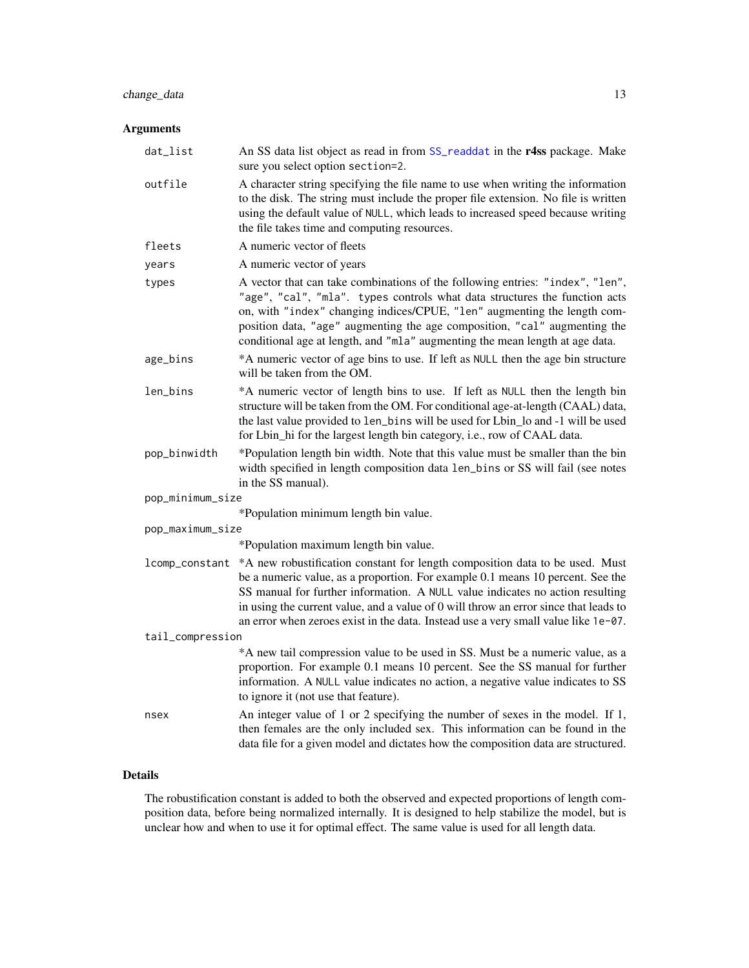## change\_data 13

## Arguments

| dat_list         | An SS data list object as read in from SS_readdat in the r4ss package. Make<br>sure you select option section=2.                                                                                                                                                                                                                                                                                                                             |
|------------------|----------------------------------------------------------------------------------------------------------------------------------------------------------------------------------------------------------------------------------------------------------------------------------------------------------------------------------------------------------------------------------------------------------------------------------------------|
| outfile          | A character string specifying the file name to use when writing the information<br>to the disk. The string must include the proper file extension. No file is written<br>using the default value of NULL, which leads to increased speed because writing<br>the file takes time and computing resources.                                                                                                                                     |
| fleets           | A numeric vector of fleets                                                                                                                                                                                                                                                                                                                                                                                                                   |
| years            | A numeric vector of years                                                                                                                                                                                                                                                                                                                                                                                                                    |
| types            | A vector that can take combinations of the following entries: "index", "len",<br>"age", "cal", "mla". types controls what data structures the function acts<br>on, with "index" changing indices/CPUE, "len" augmenting the length com-<br>position data, "age" augmenting the age composition, "cal" augmenting the<br>conditional age at length, and "mla" augmenting the mean length at age data.                                         |
| age_bins         | *A numeric vector of age bins to use. If left as NULL then the age bin structure<br>will be taken from the OM.                                                                                                                                                                                                                                                                                                                               |
| len_bins         | *A numeric vector of length bins to use. If left as NULL then the length bin<br>structure will be taken from the OM. For conditional age-at-length (CAAL) data,<br>the last value provided to len_bins will be used for Lbin_lo and -1 will be used<br>for Lbin_hi for the largest length bin category, i.e., row of CAAL data.                                                                                                              |
| pop_binwidth     | *Population length bin width. Note that this value must be smaller than the bin<br>width specified in length composition data len_bins or SS will fail (see notes<br>in the SS manual).                                                                                                                                                                                                                                                      |
| pop_minimum_size |                                                                                                                                                                                                                                                                                                                                                                                                                                              |
|                  | *Population minimum length bin value.                                                                                                                                                                                                                                                                                                                                                                                                        |
| pop_maximum_size |                                                                                                                                                                                                                                                                                                                                                                                                                                              |
|                  | *Population maximum length bin value.                                                                                                                                                                                                                                                                                                                                                                                                        |
|                  | 1comp_constant *A new robustification constant for length composition data to be used. Must<br>be a numeric value, as a proportion. For example 0.1 means 10 percent. See the<br>SS manual for further information. A NULL value indicates no action resulting<br>in using the current value, and a value of 0 will throw an error since that leads to<br>an error when zeroes exist in the data. Instead use a very small value like 1e-07. |
| tail_compression |                                                                                                                                                                                                                                                                                                                                                                                                                                              |
|                  | *A new tail compression value to be used in SS. Must be a numeric value, as a<br>proportion. For example 0.1 means 10 percent. See the SS manual for further<br>information. A NULL value indicates no action, a negative value indicates to SS<br>to ignore it (not use that feature).                                                                                                                                                      |
| nsex             | An integer value of 1 or 2 specifying the number of sexes in the model. If 1,<br>then females are the only included sex. This information can be found in the<br>data file for a given model and dictates how the composition data are structured.                                                                                                                                                                                           |

## Details

The robustification constant is added to both the observed and expected proportions of length composition data, before being normalized internally. It is designed to help stabilize the model, but is unclear how and when to use it for optimal effect. The same value is used for all length data.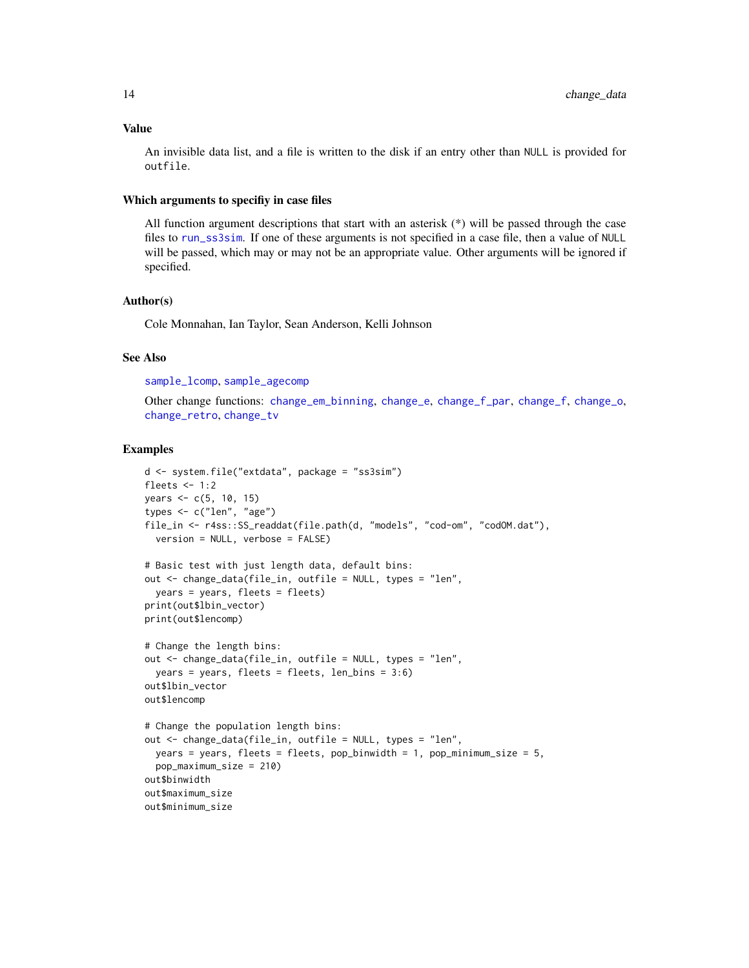## Value

An invisible data list, and a file is written to the disk if an entry other than NULL is provided for outfile.

#### Which arguments to specifiy in case files

All function argument descriptions that start with an asterisk (\*) will be passed through the case files to [run\\_ss3sim](#page-60-1). If one of these arguments is not specified in a case file, then a value of NULL will be passed, which may or may not be an appropriate value. Other arguments will be ignored if specified.

## Author(s)

Cole Monnahan, Ian Taylor, Sean Anderson, Kelli Johnson

## See Also

[sample\\_lcomp](#page-70-1), [sample\\_agecomp](#page-63-1)

Other change functions: [change\\_em\\_binning](#page-16-1), [change\\_e](#page-14-1), [change\\_f\\_par](#page-20-1), [change\\_f](#page-18-1), [change\\_o](#page-22-1), [change\\_retro](#page-26-1), [change\\_tv](#page-29-1)

#### Examples

```
d <- system.file("extdata", package = "ss3sim")
fleets <-1:2years <- c(5, 10, 15)
types <- c("len", "age")
file_in <- r4ss::SS_readdat(file.path(d, "models", "cod-om", "codOM.dat"),
  version = NULL, verbose = FALSE)
# Basic test with just length data, default bins:
out <- change_data(file_in, outfile = NULL, types = "len",
  years = years, fleets = fleets)
print(out$lbin_vector)
print(out$lencomp)
# Change the length bins:
out <- change_data(file_in, outfile = NULL, types = "len",
  years = years, fleets = fleets, len_bins = 3:6)
out$lbin_vector
out$lencomp
# Change the population length bins:
out <- change_data(file_in, outfile = NULL, types = "len",
  years = years, fleets = fleets, pop_binwidth = 1, pop_minimum_size = 5,
  pop_maximum_size = 210)
out$binwidth
out$maximum_size
out$minimum_size
```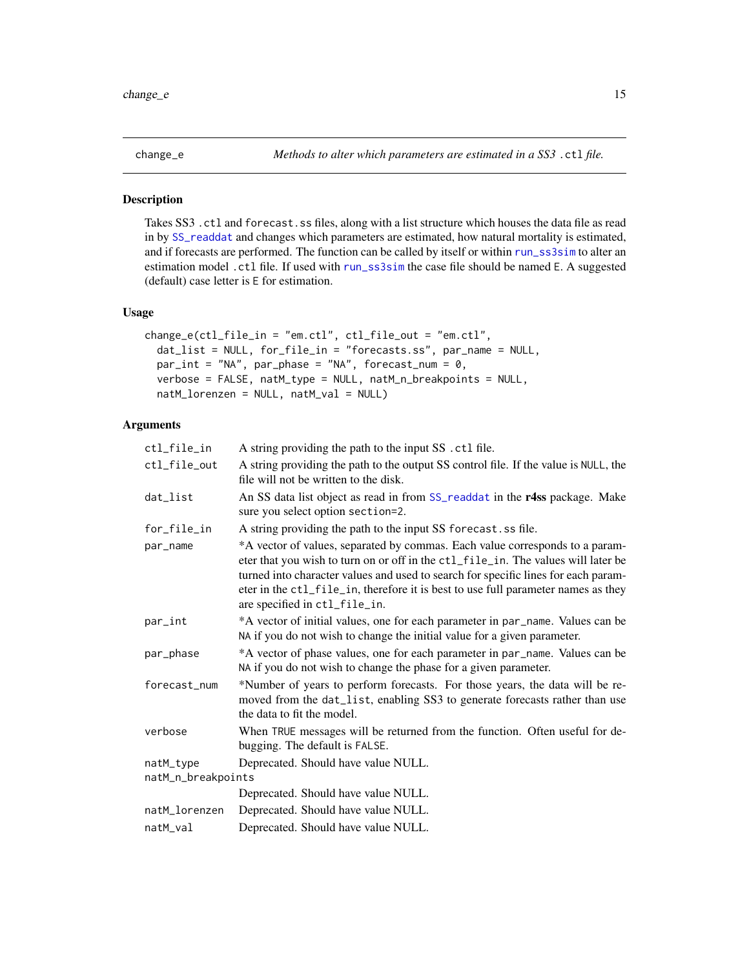<span id="page-14-1"></span><span id="page-14-0"></span>

Takes SS3 .ctl and forecast.ss files, along with a list structure which houses the data file as read in by [SS\\_readdat](#page-0-0) and changes which parameters are estimated, how natural mortality is estimated, and if forecasts are performed. The function can be called by itself or within [run\\_ss3sim](#page-60-1) to alter an estimation model .ctl file. If used with [run\\_ss3sim](#page-60-1) the case file should be named E. A suggested (default) case letter is E for estimation.

#### Usage

```
change_e(ctl_file_in = "em.ctl", ctl_file_out = "em.ctl",
  dat_list = NULL, for_file_in = "forecasts.ss", par_name = NULL,
 par\_int = "NA", par\_phase = "NA", forceast\_num = 0,verbose = FALSE, natM_type = NULL, natM_n_breakpoints = NULL,
  natM_lorenzen = NULL, natM_val = NULL)
```
## Arguments

| ctl_file_in        | A string providing the path to the input SS . ctl file.                                                                                                                                                                                                                                                                                                                       |
|--------------------|-------------------------------------------------------------------------------------------------------------------------------------------------------------------------------------------------------------------------------------------------------------------------------------------------------------------------------------------------------------------------------|
| ctl_file_out       | A string providing the path to the output SS control file. If the value is NULL, the<br>file will not be written to the disk.                                                                                                                                                                                                                                                 |
| dat_list           | An SS data list object as read in from SS_readdat in the r4ss package. Make<br>sure you select option section=2.                                                                                                                                                                                                                                                              |
| for_file_in        | A string providing the path to the input SS forecast. ss file.                                                                                                                                                                                                                                                                                                                |
| par_name           | *A vector of values, separated by commas. Each value corresponds to a param-<br>eter that you wish to turn on or off in the ctl_file_in. The values will later be<br>turned into character values and used to search for specific lines for each param-<br>eter in the ctl_file_in, therefore it is best to use full parameter names as they<br>are specified in ctl_file_in. |
| par_int            | *A vector of initial values, one for each parameter in par_name. Values can be<br>NA if you do not wish to change the initial value for a given parameter.                                                                                                                                                                                                                    |
| par_phase          | *A vector of phase values, one for each parameter in par_name. Values can be<br>NA if you do not wish to change the phase for a given parameter.                                                                                                                                                                                                                              |
| forecast_num       | *Number of years to perform forecasts. For those years, the data will be re-<br>moved from the dat_list, enabling SS3 to generate forecasts rather than use<br>the data to fit the model.                                                                                                                                                                                     |
| verbose            | When TRUE messages will be returned from the function. Often useful for de-<br>bugging. The default is FALSE.                                                                                                                                                                                                                                                                 |
| natM_type          | Deprecated. Should have value NULL.                                                                                                                                                                                                                                                                                                                                           |
| natM_n_breakpoints |                                                                                                                                                                                                                                                                                                                                                                               |
|                    | Deprecated. Should have value NULL.                                                                                                                                                                                                                                                                                                                                           |
| natM_lorenzen      | Deprecated. Should have value NULL.                                                                                                                                                                                                                                                                                                                                           |
| natM_val           | Deprecated. Should have value NULL.                                                                                                                                                                                                                                                                                                                                           |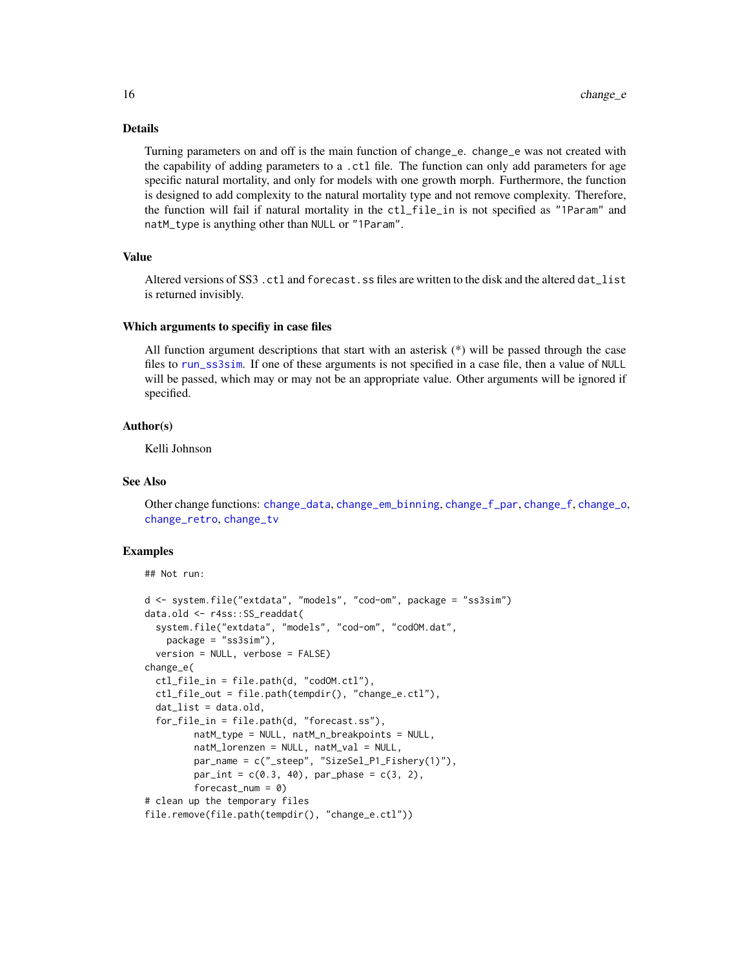## Details

Turning parameters on and off is the main function of change\_e. change\_e was not created with the capability of adding parameters to a .ctl file. The function can only add parameters for age specific natural mortality, and only for models with one growth morph. Furthermore, the function is designed to add complexity to the natural mortality type and not remove complexity. Therefore, the function will fail if natural mortality in the ctl\_file\_in is not specified as "1Param" and natM\_type is anything other than NULL or "1Param".

#### Value

Altered versions of SS3. ctl and forecast. ss files are written to the disk and the altered dat list is returned invisibly.

#### Which arguments to specifiy in case files

All function argument descriptions that start with an asterisk (\*) will be passed through the case files to [run\\_ss3sim](#page-60-1). If one of these arguments is not specified in a case file, then a value of NULL will be passed, which may or may not be an appropriate value. Other arguments will be ignored if specified.

## Author(s)

Kelli Johnson

## See Also

Other change functions: [change\\_data](#page-11-1), [change\\_em\\_binning](#page-16-1), [change\\_f\\_par](#page-20-1), [change\\_f](#page-18-1), [change\\_o](#page-22-1), [change\\_retro](#page-26-1), [change\\_tv](#page-29-1)

## Examples

```
## Not run:
```

```
d <- system.file("extdata", "models", "cod-om", package = "ss3sim")
data.old <- r4ss::SS_readdat(
 system.file("extdata", "models", "cod-om", "codOM.dat",
   package = "ss3sim"),
 version = NULL, verbose = FALSE)
change_e(
 ctl_file_in = file.path(d, "codOM.ctl"),
 ctl_file_out = file.path(tempdir(), "change_e.ctl"),
 dat_list = data.old,
 for_file_in = file.path(d, "forecast.ss"),
        natM_type = NULL, natM_n_breakpoints = NULL,
        natM_lorenzen = NULL, natM_val = NULL,
         par_name = c("_steep", "SizeSel_P1_Fishery(1)"),
         par\_int = c(0.3, 40), par\_phase = c(3, 2),forecast_num = 0)
# clean up the temporary files
file.remove(file.path(tempdir(), "change_e.ctl"))
```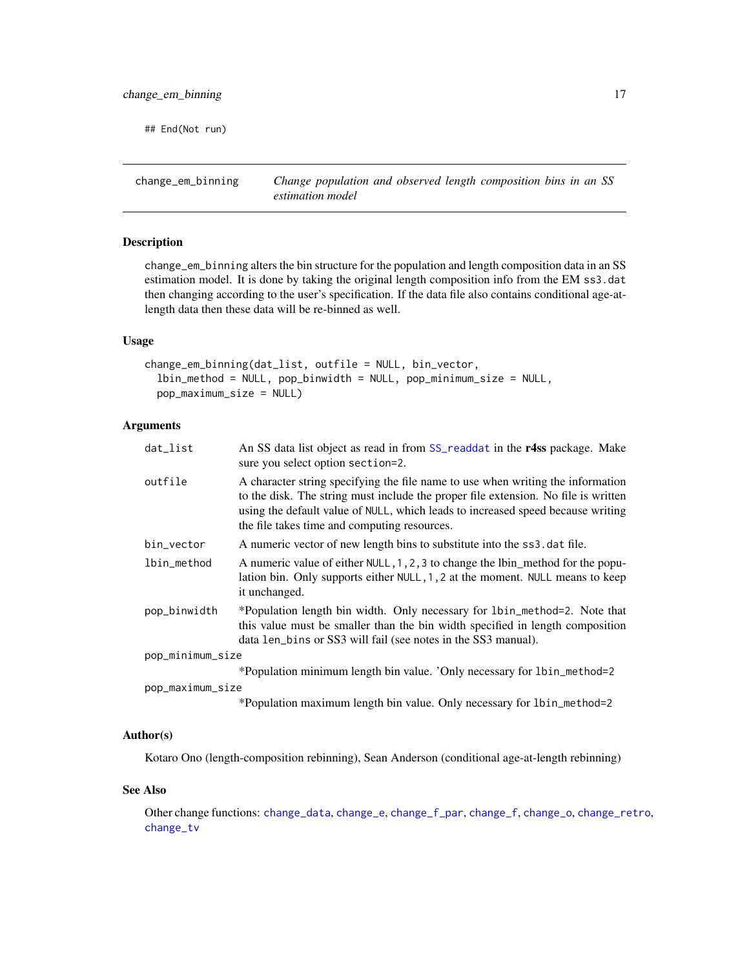<span id="page-16-0"></span>## End(Not run)

<span id="page-16-1"></span>change\_em\_binning *Change population and observed length composition bins in an SS estimation model*

## Description

change\_em\_binning alters the bin structure for the population and length composition data in an SS estimation model. It is done by taking the original length composition info from the EM ss3.dat then changing according to the user's specification. If the data file also contains conditional age-atlength data then these data will be re-binned as well.

#### Usage

```
change_em_binning(dat_list, outfile = NULL, bin_vector,
 lbin_method = NULL, pop_binwidth = NULL, pop_minimum_size = NULL,
 pop_maximum_size = NULL)
```
## Arguments

| dat_list         | An SS data list object as read in from SS_readdat in the r4ss package. Make<br>sure you select option section=2.                                                                                                                                                                                         |
|------------------|----------------------------------------------------------------------------------------------------------------------------------------------------------------------------------------------------------------------------------------------------------------------------------------------------------|
| outfile          | A character string specifying the file name to use when writing the information<br>to the disk. The string must include the proper file extension. No file is written<br>using the default value of NULL, which leads to increased speed because writing<br>the file takes time and computing resources. |
| bin_vector       | A numeric vector of new length bins to substitute into the ss3. dat file.                                                                                                                                                                                                                                |
| lbin_method      | A numeric value of either NULL, 1, 2, 3 to change the lbin_method for the popu-<br>lation bin. Only supports either NULL, 1, 2 at the moment. NULL means to keep<br>it unchanged.                                                                                                                        |
| pop_binwidth     | *Population length bin width. Only necessary for 1bin_method=2. Note that<br>this value must be smaller than the bin width specified in length composition<br>data len_bins or SS3 will fail (see notes in the SS3 manual).                                                                              |
| pop_minimum_size |                                                                                                                                                                                                                                                                                                          |
|                  | *Population minimum length bin value. 'Only necessary for 1bin_method=2                                                                                                                                                                                                                                  |
| pop_maximum_size |                                                                                                                                                                                                                                                                                                          |
|                  | *Population maximum length bin value. Only necessary for 1bin_method=2                                                                                                                                                                                                                                   |

## Author(s)

Kotaro Ono (length-composition rebinning), Sean Anderson (conditional age-at-length rebinning)

#### See Also

Other change functions: [change\\_data](#page-11-1), [change\\_e](#page-14-1), [change\\_f\\_par](#page-20-1), [change\\_f](#page-18-1), [change\\_o](#page-22-1), [change\\_retro](#page-26-1), [change\\_tv](#page-29-1)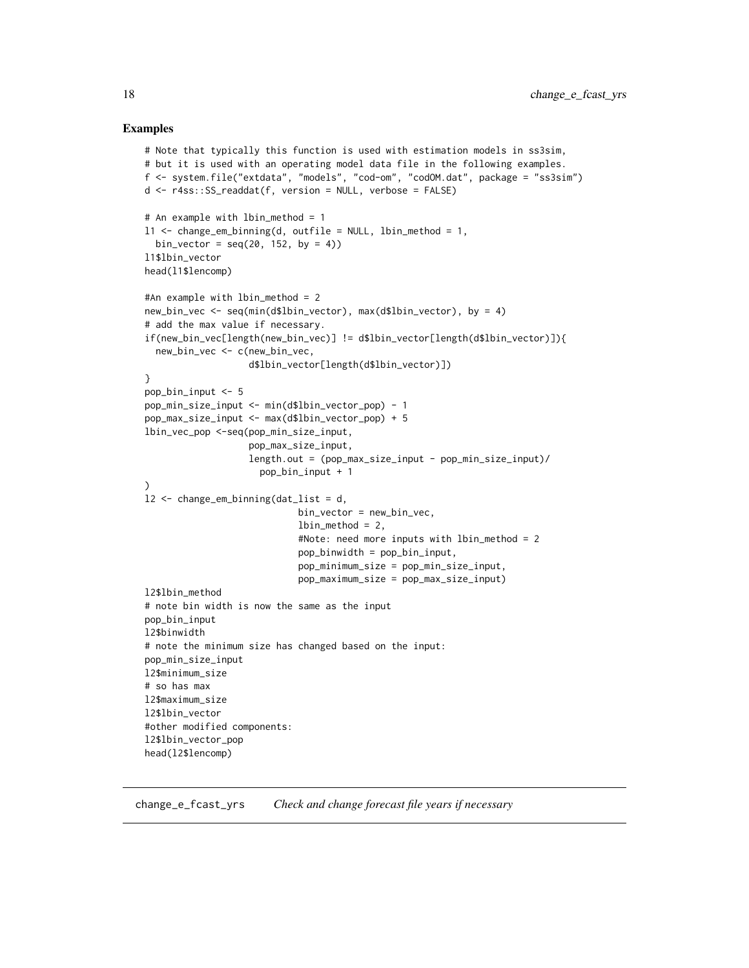#### Examples

```
# Note that typically this function is used with estimation models in ss3sim,
# but it is used with an operating model data file in the following examples.
f <- system.file("extdata", "models", "cod-om", "codOM.dat", package = "ss3sim")
d <- r4ss::SS_readdat(f, version = NULL, verbose = FALSE)
# An example with lbin_method = 1
l1 <- change_em_binning(d, outfile = NULL, lbin_method = 1,
  bin_vector = seq(20, 152, by = 4))l1$lbin_vector
head(l1$lencomp)
#An example with lbin_method = 2
new_bin_vec <- seq(min(d$lbin_vector), max(d$lbin_vector), by = 4)
# add the max value if necessary.
if(new_bin_vec[length(new_bin_vec)] != d$lbin_vector[length(d$lbin_vector)]){
  new_bin_vec <- c(new_bin_vec,
                   d$lbin_vector[length(d$lbin_vector)])
}
pop_bin_input <- 5
pop_min_size_input <- min(d$lbin_vector_pop) - 1
pop_max_size_input <- max(d$lbin_vector_pop) + 5
lbin_vec_pop <-seq(pop_min_size_input,
                   pop_max_size_input,
                   length.out = (pop_max_size_input - pop_min_size_input)/
                     pop_bin_input + 1
)
l2 <- change_em_binning(dat_list = d,
                            bin_vector = new_bin_vec,
                            lbin_method = 2,
                            #Note: need more inputs with lbin_method = 2
                            pop_binwidth = pop_bin_input,
                            pop_minimum_size = pop_min_size_input,
                            pop_maximum_size = pop_max_size_input)
l2$lbin_method
# note bin width is now the same as the input
pop_bin_input
l2$binwidth
# note the minimum size has changed based on the input:
pop_min_size_input
l2$minimum_size
# so has max
l2$maximum_size
l2$lbin_vector
#other modified components:
l2$lbin_vector_pop
head(l2$lencomp)
```
change\_e\_fcast\_yrs *Check and change forecast file years if necessary*

<span id="page-17-0"></span>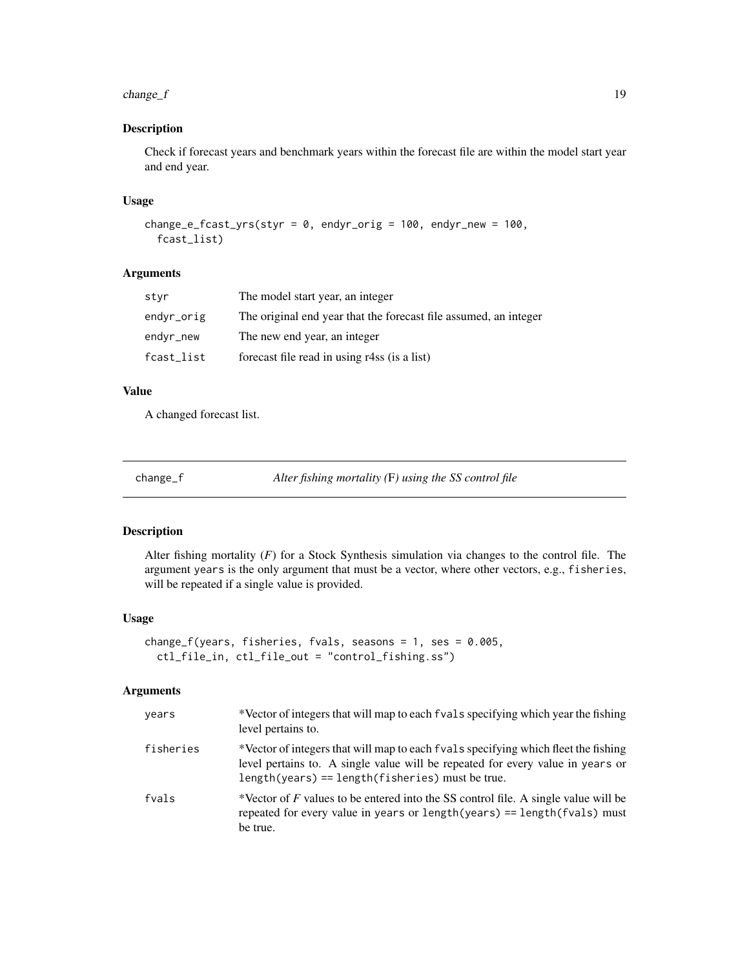#### <span id="page-18-0"></span> $change_f$  19

## Description

Check if forecast years and benchmark years within the forecast file are within the model start year and end year.

## Usage

```
change_e_fcast_yrs(styr = 0, endyr_orig = 100, endyr_new = 100,
  fcast_list)
```
## Arguments

| styr       | The model start year, an integer                                 |
|------------|------------------------------------------------------------------|
| endyr_orig | The original end year that the forecast file assumed, an integer |
| endyr_new  | The new end year, an integer                                     |
| fcast_list | forecast file read in using r4ss (is a list)                     |
|            |                                                                  |

## Value

A changed forecast list.

<span id="page-18-1"></span>change\_f *Alter fishing mortality (*F*) using the SS control file*

## Description

Alter fishing mortality (*F*) for a Stock Synthesis simulation via changes to the control file. The argument years is the only argument that must be a vector, where other vectors, e.g., fisheries, will be repeated if a single value is provided.

## Usage

```
change_f(years, fisheries, fvals, seasons = 1, ses = 0.005,
  ctl_file_in, ctl_file_out = "control_fishing.ss")
```
## Arguments

| years     | *Vector of integers that will map to each f vals specifying which year the fishing<br>level pertains to.                                                                                                                    |
|-----------|-----------------------------------------------------------------------------------------------------------------------------------------------------------------------------------------------------------------------------|
| fisheries | *Vector of integers that will map to each f vals specifying which fleet the fishing<br>level pertains to. A single value will be repeated for every value in years or<br>$length(years) == length(fisheries) must be true.$ |
| fvals     | *Vector of F values to be entered into the SS control file. A single value will be<br>repeated for every value in years or length(years) == length(fvals) must<br>be true.                                                  |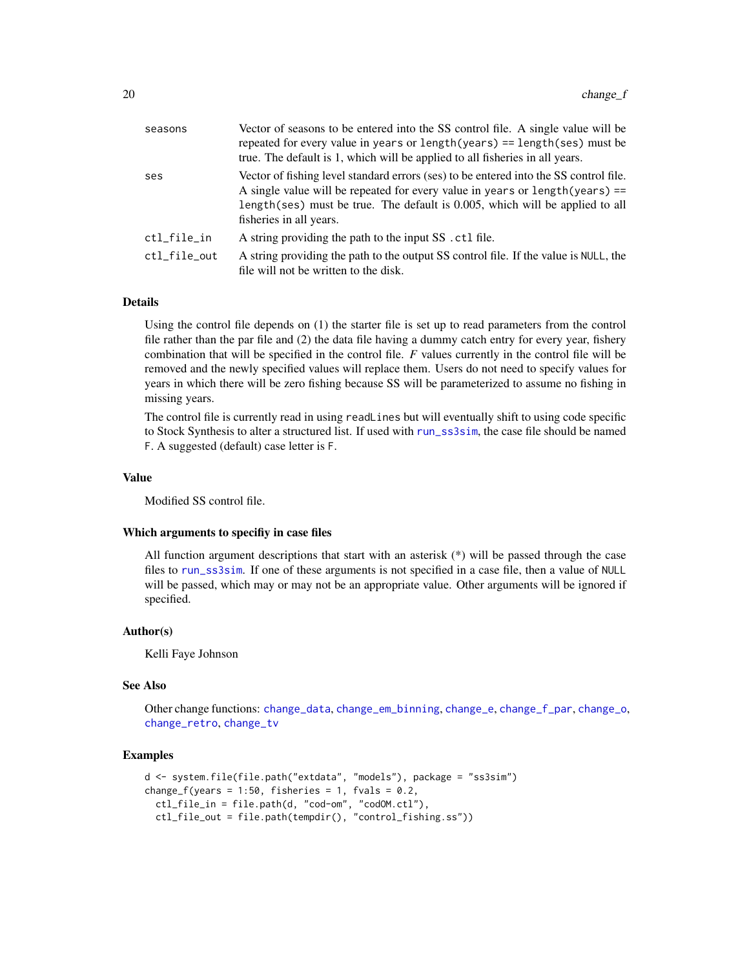| seasons      | Vector of seasons to be entered into the SS control file. A single value will be<br>repeated for every value in years or $length(years) == length(ses)$ must be<br>true. The default is 1, which will be applied to all fisheries in all years.                                     |
|--------------|-------------------------------------------------------------------------------------------------------------------------------------------------------------------------------------------------------------------------------------------------------------------------------------|
| ses          | Vector of fishing level standard errors (ses) to be entered into the SS control file.<br>A single value will be repeated for every value in years or $length(years) ==$<br>length (ses) must be true. The default is 0.005, which will be applied to all<br>fisheries in all years. |
| ctl_file_in  | A string providing the path to the input SS . ctl file.                                                                                                                                                                                                                             |
| ctl file out | A string providing the path to the output SS control file. If the value is NULL, the<br>file will not be written to the disk.                                                                                                                                                       |

#### Details

Using the control file depends on (1) the starter file is set up to read parameters from the control file rather than the par file and (2) the data file having a dummy catch entry for every year, fishery combination that will be specified in the control file. *F* values currently in the control file will be removed and the newly specified values will replace them. Users do not need to specify values for years in which there will be zero fishing because SS will be parameterized to assume no fishing in missing years.

The control file is currently read in using readLines but will eventually shift to using code specific to Stock Synthesis to alter a structured list. If used with [run\\_ss3sim](#page-60-1), the case file should be named F. A suggested (default) case letter is F.

## Value

Modified SS control file.

#### Which arguments to specifiy in case files

All function argument descriptions that start with an asterisk (\*) will be passed through the case files to [run\\_ss3sim](#page-60-1). If one of these arguments is not specified in a case file, then a value of NULL will be passed, which may or may not be an appropriate value. Other arguments will be ignored if specified.

#### Author(s)

Kelli Faye Johnson

#### See Also

Other change functions: [change\\_data](#page-11-1), [change\\_em\\_binning](#page-16-1), [change\\_e](#page-14-1), [change\\_f\\_par](#page-20-1), [change\\_o](#page-22-1), [change\\_retro](#page-26-1), [change\\_tv](#page-29-1)

#### Examples

```
d <- system.file(file.path("extdata", "models"), package = "ss3sim")
change_f(years = 1:50, fisheries = 1, fvals = 0.2,
 ctl_file_in = file.path(d, "cod-om", "codOM.ctl"),
 ctl_file_out = file.path(tempdir(), "control_fishing.ss"))
```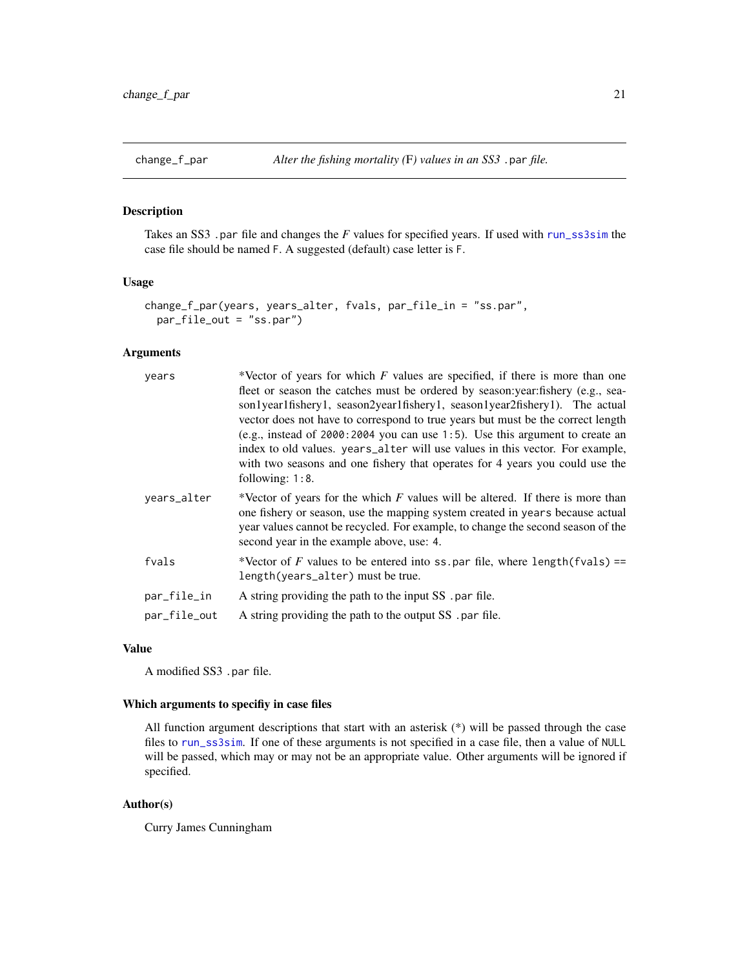<span id="page-20-1"></span><span id="page-20-0"></span>Takes an SS3 .par file and changes the *F* values for specified years. If used with [run\\_ss3sim](#page-60-1) the case file should be named F. A suggested (default) case letter is F.

## Usage

```
change_f_par(years, years_alter, fvals, par_file_in = "ss.par",
 par_file_out = "ss.par")
```
## Arguments

| years        | *Vector of years for which $F$ values are specified, if there is more than one<br>fleet or season the catches must be ordered by season: year: fishery (e.g., sea-<br>son1year1fishery1, season2year1fishery1, season1year2fishery1). The actual<br>vector does not have to correspond to true years but must be the correct length<br>(e.g., instead of $2000:2004$ you can use 1:5). Use this argument to create an<br>index to old values. years_alter will use values in this vector. For example,<br>with two seasons and one fishery that operates for 4 years you could use the<br>following: 1:8. |
|--------------|-----------------------------------------------------------------------------------------------------------------------------------------------------------------------------------------------------------------------------------------------------------------------------------------------------------------------------------------------------------------------------------------------------------------------------------------------------------------------------------------------------------------------------------------------------------------------------------------------------------|
| years_alter  | *Vector of years for the which $F$ values will be altered. If there is more than<br>one fishery or season, use the mapping system created in years because actual<br>year values cannot be recycled. For example, to change the second season of the<br>second year in the example above, use: 4.                                                                                                                                                                                                                                                                                                         |
| fvals        | *Vector of F values to be entered into ss. par file, where length (fvals) ==<br>length(years_alter) must be true.                                                                                                                                                                                                                                                                                                                                                                                                                                                                                         |
| par_file_in  | A string providing the path to the input SS . par file.                                                                                                                                                                                                                                                                                                                                                                                                                                                                                                                                                   |
| par_file_out | A string providing the path to the output SS . par file.                                                                                                                                                                                                                                                                                                                                                                                                                                                                                                                                                  |

#### Value

A modified SS3 .par file.

## Which arguments to specifiy in case files

All function argument descriptions that start with an asterisk (\*) will be passed through the case files to [run\\_ss3sim](#page-60-1). If one of these arguments is not specified in a case file, then a value of NULL will be passed, which may or may not be an appropriate value. Other arguments will be ignored if specified.

## Author(s)

Curry James Cunningham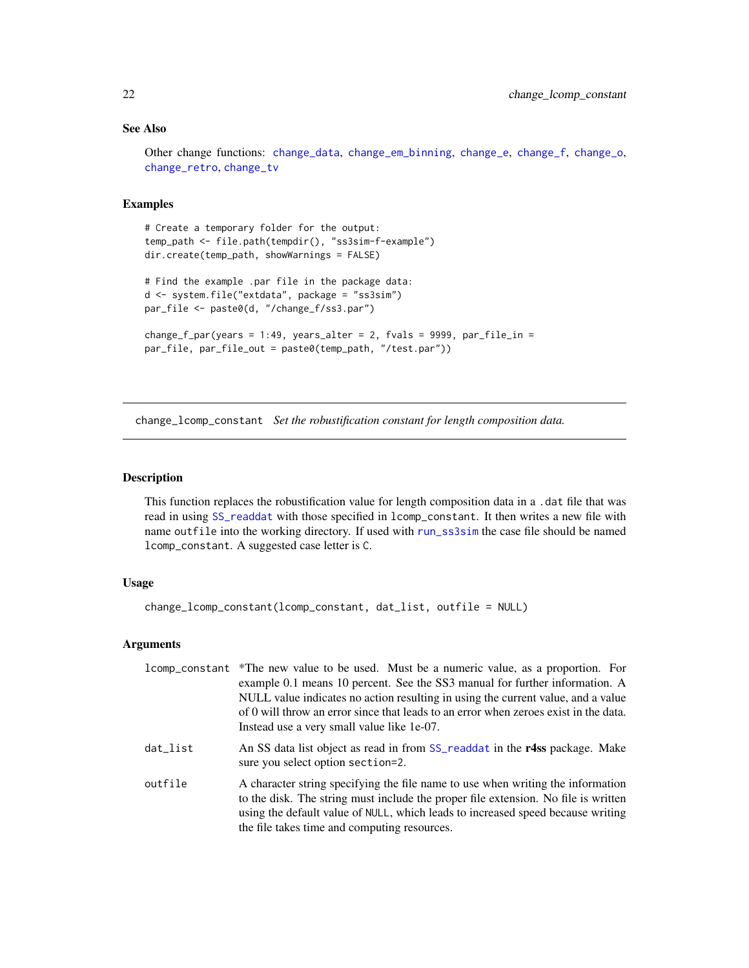## <span id="page-21-0"></span>See Also

Other change functions: [change\\_data](#page-11-1), [change\\_em\\_binning](#page-16-1), [change\\_e](#page-14-1), [change\\_f](#page-18-1), [change\\_o](#page-22-1), [change\\_retro](#page-26-1), [change\\_tv](#page-29-1)

## Examples

```
# Create a temporary folder for the output:
temp_path <- file.path(tempdir(), "ss3sim-f-example")
dir.create(temp_path, showWarnings = FALSE)
# Find the example .par file in the package data:
d <- system.file("extdata", package = "ss3sim")
par_file <- paste0(d, "/change_f/ss3.par")
change_f_par(years = 1:49, years_alter = 2, fvals = 9999, par_file_in =
par_file, par_file_out = paste0(temp_path, "/test.par"))
```
change\_lcomp\_constant *Set the robustification constant for length composition data.*

## **Description**

This function replaces the robustification value for length composition data in a .dat file that was read in using [SS\\_readdat](#page-0-0) with those specified in lcomp\_constant. It then writes a new file with name outfile into the working directory. If used with [run\\_ss3sim](#page-60-1) the case file should be named lcomp\_constant. A suggested case letter is C.

## Usage

```
change_lcomp_constant(lcomp_constant, dat_list, outfile = NULL)
```
## Arguments

|          | 1comp_constant *The new value to be used. Must be a numeric value, as a proportion. For<br>example 0.1 means 10 percent. See the SS3 manual for further information. A<br>NULL value indicates no action resulting in using the current value, and a value<br>of 0 will throw an error since that leads to an error when zeroes exist in the data. |
|----------|----------------------------------------------------------------------------------------------------------------------------------------------------------------------------------------------------------------------------------------------------------------------------------------------------------------------------------------------------|
| dat_list | Instead use a very small value like 1e-07.<br>An SS data list object as read in from SS_readdat in the r4ss package. Make<br>sure you select option section=2.                                                                                                                                                                                     |
| outfile  | A character string specifying the file name to use when writing the information<br>to the disk. The string must include the proper file extension. No file is written<br>using the default value of NULL, which leads to increased speed because writing<br>the file takes time and computing resources.                                           |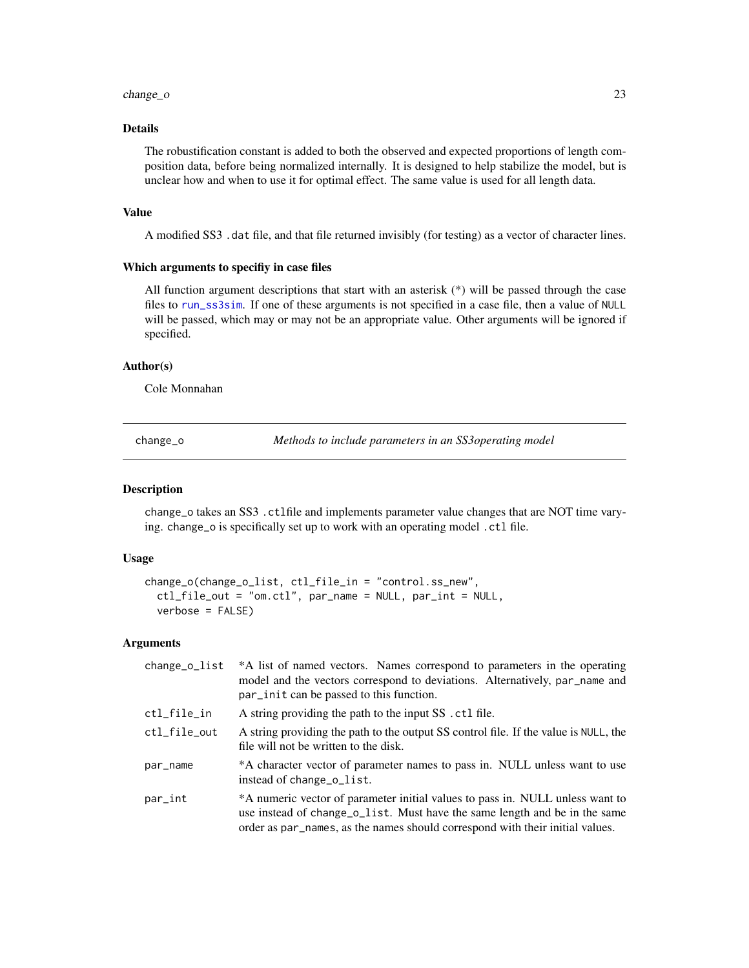#### <span id="page-22-0"></span>change\_o 23

## Details

The robustification constant is added to both the observed and expected proportions of length composition data, before being normalized internally. It is designed to help stabilize the model, but is unclear how and when to use it for optimal effect. The same value is used for all length data.

#### Value

A modified SS3 .dat file, and that file returned invisibly (for testing) as a vector of character lines.

#### Which arguments to specifiy in case files

All function argument descriptions that start with an asterisk  $(*)$  will be passed through the case files to [run\\_ss3sim](#page-60-1). If one of these arguments is not specified in a case file, then a value of NULL will be passed, which may or may not be an appropriate value. Other arguments will be ignored if specified.

#### Author(s)

Cole Monnahan

<span id="page-22-1"></span>change\_o *Methods to include parameters in an SS3operating model*

#### Description

change\_o takes an SS3 .ctlfile and implements parameter value changes that are NOT time varying. change\_o is specifically set up to work with an operating model .ctl file.

## Usage

```
change_o(change_o_list, ctl_file_in = "control.ss_new",
 ctl_file_out = "om.ctl", par_name = NULL, par_int = NULL,
 verbose = FALSE)
```
## Arguments

| change_o_list | *A list of named vectors. Names correspond to parameters in the operating<br>model and the vectors correspond to deviations. Alternatively, par_name and<br>par_init can be passed to this function.                                         |
|---------------|----------------------------------------------------------------------------------------------------------------------------------------------------------------------------------------------------------------------------------------------|
| ctl_file_in   | A string providing the path to the input SS . ctl file.                                                                                                                                                                                      |
| ctl_file_out  | A string providing the path to the output SS control file. If the value is NULL, the<br>file will not be written to the disk.                                                                                                                |
| par_name      | *A character vector of parameter names to pass in. NULL unless want to use<br>instead of change_o_list.                                                                                                                                      |
| par_int       | *A numeric vector of parameter initial values to pass in. NULL unless want to<br>use instead of change_o_list. Must have the same length and be in the same<br>order as par_names, as the names should correspond with their initial values. |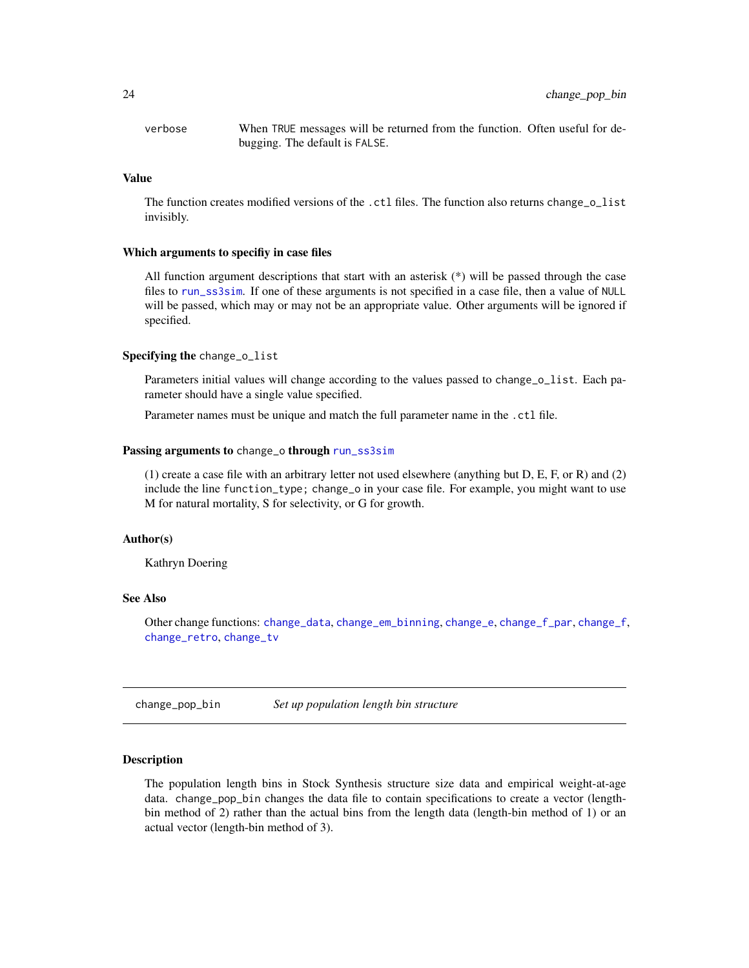<span id="page-23-0"></span>verbose When TRUE messages will be returned from the function. Often useful for debugging. The default is FALSE.

#### Value

The function creates modified versions of the .ctl files. The function also returns change\_o\_list invisibly.

#### Which arguments to specifiy in case files

All function argument descriptions that start with an asterisk (\*) will be passed through the case files to [run\\_ss3sim](#page-60-1). If one of these arguments is not specified in a case file, then a value of NULL will be passed, which may or may not be an appropriate value. Other arguments will be ignored if specified.

## Specifying the change\_o\_list

Parameters initial values will change according to the values passed to change  $o$  list. Each parameter should have a single value specified.

Parameter names must be unique and match the full parameter name in the .ctl file.

#### Passing arguments to change\_o through [run\\_ss3sim](#page-60-1)

(1) create a case file with an arbitrary letter not used elsewhere (anything but D, E, F, or R) and (2) include the line function\_type; change\_o in your case file. For example, you might want to use M for natural mortality, S for selectivity, or G for growth.

## Author(s)

Kathryn Doering

## See Also

Other change functions: [change\\_data](#page-11-1), [change\\_em\\_binning](#page-16-1), [change\\_e](#page-14-1), [change\\_f\\_par](#page-20-1), [change\\_f](#page-18-1), [change\\_retro](#page-26-1), [change\\_tv](#page-29-1)

change\_pop\_bin *Set up population length bin structure*

## Description

The population length bins in Stock Synthesis structure size data and empirical weight-at-age data. change\_pop\_bin changes the data file to contain specifications to create a vector (lengthbin method of 2) rather than the actual bins from the length data (length-bin method of 1) or an actual vector (length-bin method of 3).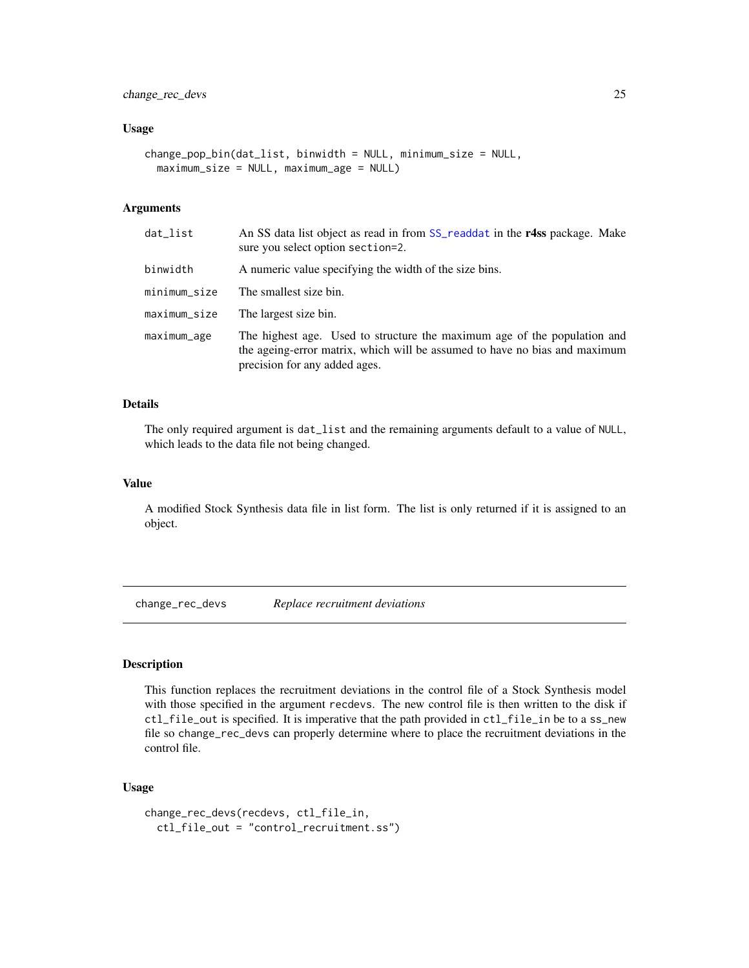#### <span id="page-24-0"></span>Usage

```
change_pop_bin(dat_list, binwidth = NULL, minimum_size = NULL,
 maximum_size = NULL, maximum_age = NULL)
```
## Arguments

| dat_list     | An SS data list object as read in from SS_readdat in the r4ss package. Make<br>sure you select option section=2.                                                                        |
|--------------|-----------------------------------------------------------------------------------------------------------------------------------------------------------------------------------------|
| binwidth     | A numeric value specifying the width of the size bins.                                                                                                                                  |
| minimum_size | The smallest size bin.                                                                                                                                                                  |
| maximum_size | The largest size bin.                                                                                                                                                                   |
| maximum_age  | The highest age. Used to structure the maximum age of the population and<br>the ageing-error matrix, which will be assumed to have no bias and maximum<br>precision for any added ages. |

## Details

The only required argument is dat\_list and the remaining arguments default to a value of NULL, which leads to the data file not being changed.

#### Value

A modified Stock Synthesis data file in list form. The list is only returned if it is assigned to an object.

change\_rec\_devs *Replace recruitment deviations*

## **Description**

This function replaces the recruitment deviations in the control file of a Stock Synthesis model with those specified in the argument recdevs. The new control file is then written to the disk if ctl\_file\_out is specified. It is imperative that the path provided in ctl\_file\_in be to a ss\_new file so change\_rec\_devs can properly determine where to place the recruitment deviations in the control file.

## Usage

```
change_rec_devs(recdevs, ctl_file_in,
  ctl_file_out = "control_recruitment.ss")
```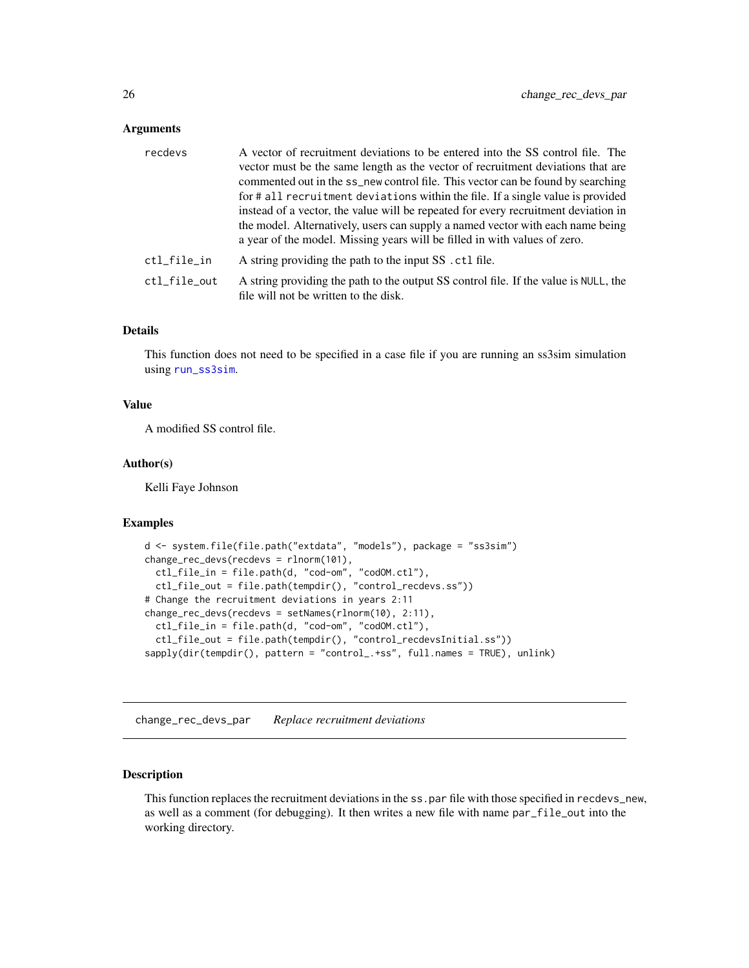## <span id="page-25-0"></span>Arguments

| recdevs      | A vector of recruitment deviations to be entered into the SS control file. The<br>vector must be the same length as the vector of recruitment deviations that are<br>commented out in the ss_new control file. This vector can be found by searching<br>for # all recruitment deviations within the file. If a single value is provided<br>instead of a vector, the value will be repeated for every recruitment deviation in<br>the model. Alternatively, users can supply a named vector with each name being<br>a year of the model. Missing years will be filled in with values of zero. |
|--------------|----------------------------------------------------------------------------------------------------------------------------------------------------------------------------------------------------------------------------------------------------------------------------------------------------------------------------------------------------------------------------------------------------------------------------------------------------------------------------------------------------------------------------------------------------------------------------------------------|
| ctl_file_in  | A string providing the path to the input SS . ctl file.                                                                                                                                                                                                                                                                                                                                                                                                                                                                                                                                      |
| ctl_file_out | A string providing the path to the output SS control file. If the value is NULL, the<br>file will not be written to the disk.                                                                                                                                                                                                                                                                                                                                                                                                                                                                |

## Details

This function does not need to be specified in a case file if you are running an ss3sim simulation using [run\\_ss3sim](#page-60-1).

## Value

A modified SS control file.

#### Author(s)

Kelli Faye Johnson

## Examples

```
d <- system.file(file.path("extdata", "models"), package = "ss3sim")
change_rec_devs(recdevs = rlnorm(101),
  ctl_file_in = file.path(d, "cod-om", "codOM.ctl"),
  ctl_file_out = file.path(tempdir(), "control_recdevs.ss"))
# Change the recruitment deviations in years 2:11
change_rec_devs(recdevs = setNames(rlnorm(10), 2:11),
  ctl_file_in = file.path(d, "cod-om", "codOM.ctl"),
  ctl_file_out = file.path(tempdir(), "control_recdevsInitial.ss"))
sapply(dir(tempdir(), pattern = "control_.+ss", full.names = TRUE), unlink)
```
change\_rec\_devs\_par *Replace recruitment deviations*

#### Description

This function replaces the recruitment deviations in the ss.par file with those specified in recdevs\_new, as well as a comment (for debugging). It then writes a new file with name par\_file\_out into the working directory.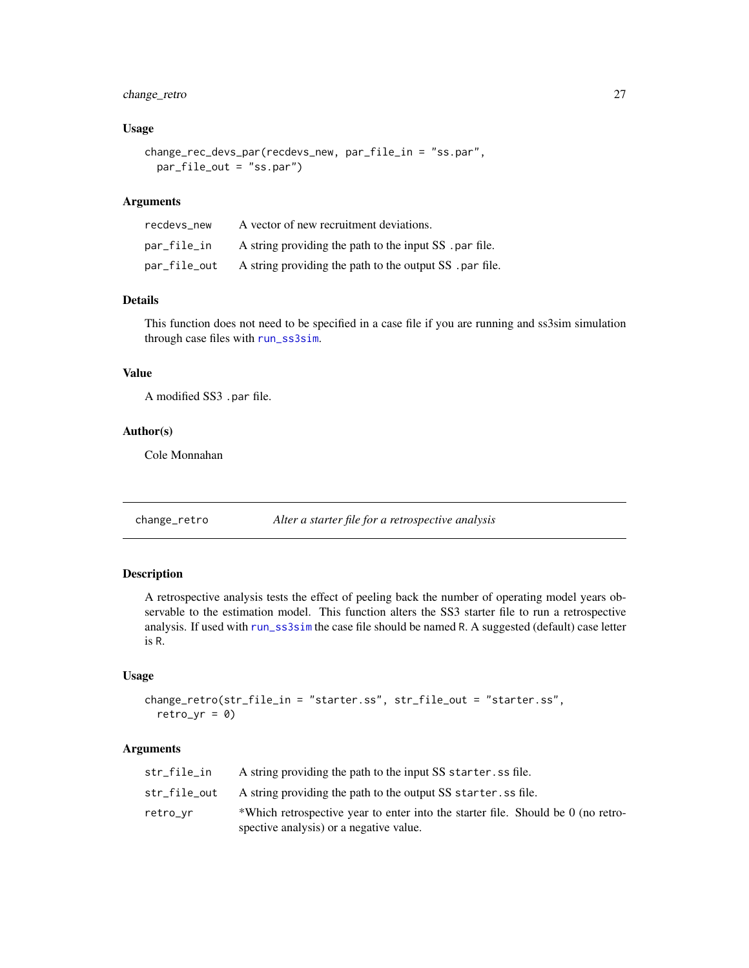## <span id="page-26-0"></span>change\_retro 27

## Usage

```
change_rec_devs_par(recdevs_new, par_file_in = "ss.par",
 par_file_out = "ss.par")
```
## Arguments

| recdevs new  | A vector of new recruitment deviations.                  |
|--------------|----------------------------------------------------------|
| par_file_in  | A string providing the path to the input SS . par file.  |
| par_file_out | A string providing the path to the output SS . par file. |

#### Details

This function does not need to be specified in a case file if you are running and ss3sim simulation through case files with [run\\_ss3sim](#page-60-1).

## Value

A modified SS3 .par file.

#### Author(s)

Cole Monnahan

<span id="page-26-1"></span>change\_retro *Alter a starter file for a retrospective analysis*

## Description

A retrospective analysis tests the effect of peeling back the number of operating model years observable to the estimation model. This function alters the SS3 starter file to run a retrospective analysis. If used with [run\\_ss3sim](#page-60-1) the case file should be named R. A suggested (default) case letter is R.

## Usage

```
change_retro(str_file_in = "starter.ss", str_file_out = "starter.ss",
 retro_vr = 0
```
## Arguments

| str_file_in  | A string providing the path to the input SS starter, ss file.                    |
|--------------|----------------------------------------------------------------------------------|
| str_file_out | A string providing the path to the output SS starter. ss file.                   |
| retro_vr     | *Which retrospective year to enter into the starter file. Should be 0 (no retro- |
|              | spective analysis) or a negative value.                                          |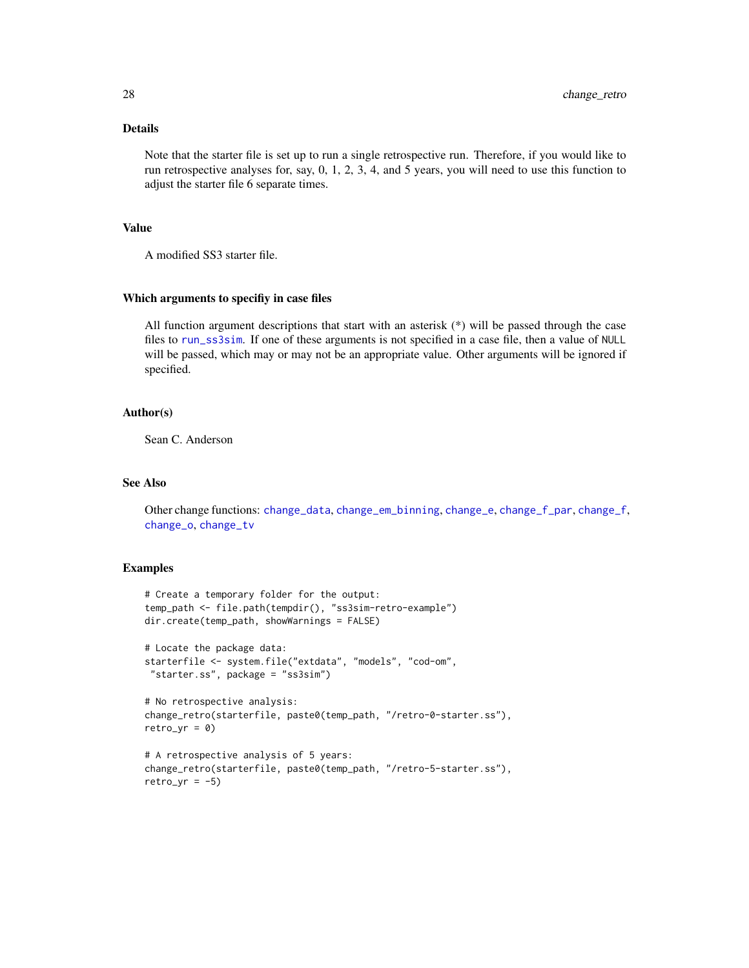## Details

Note that the starter file is set up to run a single retrospective run. Therefore, if you would like to run retrospective analyses for, say, 0, 1, 2, 3, 4, and 5 years, you will need to use this function to adjust the starter file 6 separate times.

## Value

A modified SS3 starter file.

#### Which arguments to specifiy in case files

All function argument descriptions that start with an asterisk  $(*)$  will be passed through the case files to [run\\_ss3sim](#page-60-1). If one of these arguments is not specified in a case file, then a value of NULL will be passed, which may or may not be an appropriate value. Other arguments will be ignored if specified.

#### Author(s)

Sean C. Anderson

## See Also

Other change functions: [change\\_data](#page-11-1), [change\\_em\\_binning](#page-16-1), [change\\_e](#page-14-1), [change\\_f\\_par](#page-20-1), [change\\_f](#page-18-1), [change\\_o](#page-22-1), [change\\_tv](#page-29-1)

## Examples

```
# Create a temporary folder for the output:
temp_path <- file.path(tempdir(), "ss3sim-retro-example")
dir.create(temp_path, showWarnings = FALSE)
# Locate the package data:
starterfile <- system.file("extdata", "models", "cod-om",
 "starter.ss", package = "ss3sim")
# No retrospective analysis:
change_retro(starterfile, paste0(temp_path, "/retro-0-starter.ss"),
retroyr = 0# A retrospective analysis of 5 years:
change_retro(starterfile, paste0(temp_path, "/retro-5-starter.ss"),
retroyr = -5)
```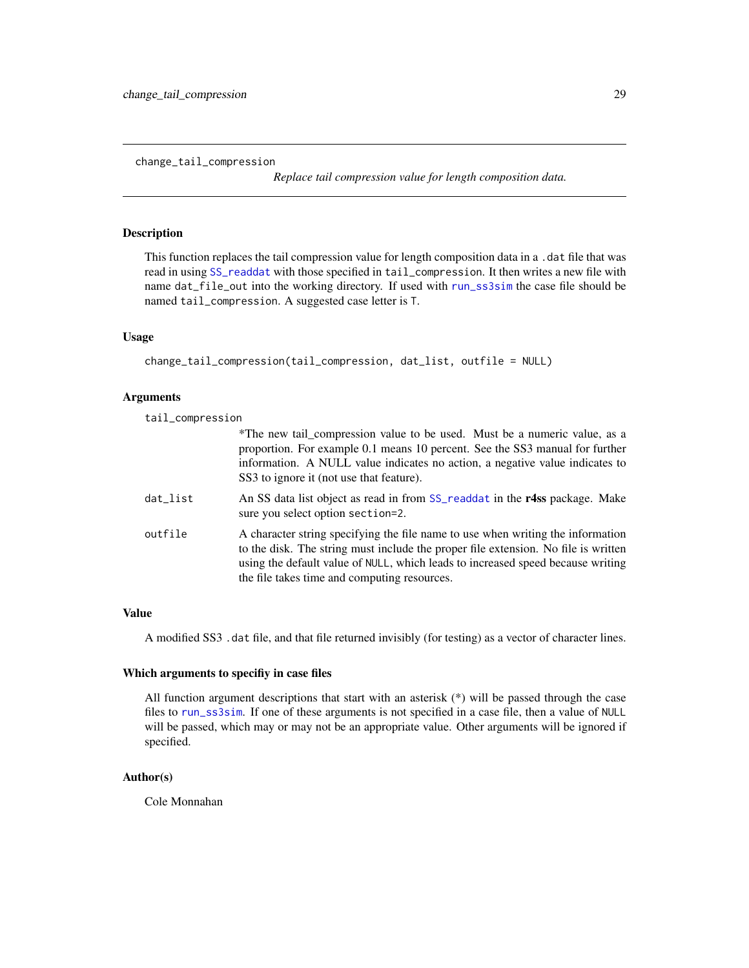*Replace tail compression value for length composition data.*

## <span id="page-28-0"></span>Description

This function replaces the tail compression value for length composition data in a .dat file that was read in using [SS\\_readdat](#page-0-0) with those specified in tail\_compression. It then writes a new file with name dat\_file\_out into the working directory. If used with [run\\_ss3sim](#page-60-1) the case file should be named tail\_compression. A suggested case letter is T.

#### Usage

```
change_tail_compression(tail_compression, dat_list, outfile = NULL)
```
#### Arguments

tail\_compression

|          | *The new tail_compression value to be used. Must be a numeric value, as a<br>proportion. For example 0.1 means 10 percent. See the SS3 manual for further<br>information. A NULL value indicates no action, a negative value indicates to<br>SS3 to ignore it (not use that feature).                    |
|----------|----------------------------------------------------------------------------------------------------------------------------------------------------------------------------------------------------------------------------------------------------------------------------------------------------------|
| dat_list | An SS data list object as read in from SS_readdat in the r4ss package. Make<br>sure you select option section=2.                                                                                                                                                                                         |
| outfile  | A character string specifying the file name to use when writing the information<br>to the disk. The string must include the proper file extension. No file is written<br>using the default value of NULL, which leads to increased speed because writing<br>the file takes time and computing resources. |

## Value

A modified SS3 .dat file, and that file returned invisibly (for testing) as a vector of character lines.

#### Which arguments to specifiy in case files

All function argument descriptions that start with an asterisk (\*) will be passed through the case files to [run\\_ss3sim](#page-60-1). If one of these arguments is not specified in a case file, then a value of NULL will be passed, which may or may not be an appropriate value. Other arguments will be ignored if specified.

## Author(s)

Cole Monnahan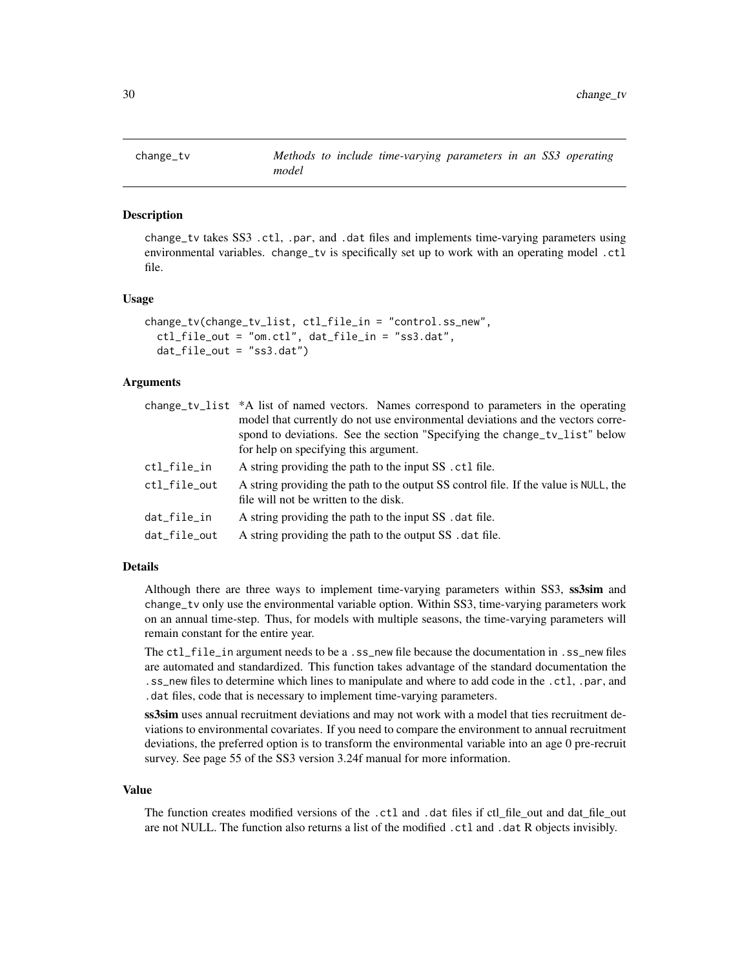<span id="page-29-1"></span><span id="page-29-0"></span>

change\_tv takes SS3 .ctl, .par, and .dat files and implements time-varying parameters using environmental variables. change\_tv is specifically set up to work with an operating model .ctl file.

#### Usage

```
change_tv(change_tv_list, ctl_file_in = "control.ss_new",
  ctl_file_out = "om.ctl", dat_file_in = "ss3.dat",
  dat_file_out = "ss3.dat")
```
## Arguments

|              | change_tv_list *A list of named vectors. Names correspond to parameters in the operating<br>model that currently do not use environmental deviations and the vectors corre-<br>spond to deviations. See the section "Specifying the change_tv_list" below<br>for help on specifying this argument. |
|--------------|----------------------------------------------------------------------------------------------------------------------------------------------------------------------------------------------------------------------------------------------------------------------------------------------------|
| ctl_file_in  | A string providing the path to the input SS . ctl file.                                                                                                                                                                                                                                            |
| ctl_file_out | A string providing the path to the output SS control file. If the value is NULL, the<br>file will not be written to the disk.                                                                                                                                                                      |
| dat_file_in  | A string providing the path to the input SS . dat file.                                                                                                                                                                                                                                            |
| dat file out | A string providing the path to the output SS . dat file.                                                                                                                                                                                                                                           |
|              |                                                                                                                                                                                                                                                                                                    |

#### Details

Although there are three ways to implement time-varying parameters within SS3, ss3sim and change\_tv only use the environmental variable option. Within SS3, time-varying parameters work on an annual time-step. Thus, for models with multiple seasons, the time-varying parameters will remain constant for the entire year.

The ctl\_file\_in argument needs to be a .ss\_new file because the documentation in .ss\_new files are automated and standardized. This function takes advantage of the standard documentation the .ss\_new files to determine which lines to manipulate and where to add code in the .ctl, .par, and .dat files, code that is necessary to implement time-varying parameters.

ss3sim uses annual recruitment deviations and may not work with a model that ties recruitment deviations to environmental covariates. If you need to compare the environment to annual recruitment deviations, the preferred option is to transform the environmental variable into an age 0 pre-recruit survey. See page 55 of the SS3 version 3.24f manual for more information.

#### Value

The function creates modified versions of the .ctl and .dat files if ctl\_file\_out and dat\_file\_out are not NULL. The function also returns a list of the modified .ctl and .dat R objects invisibly.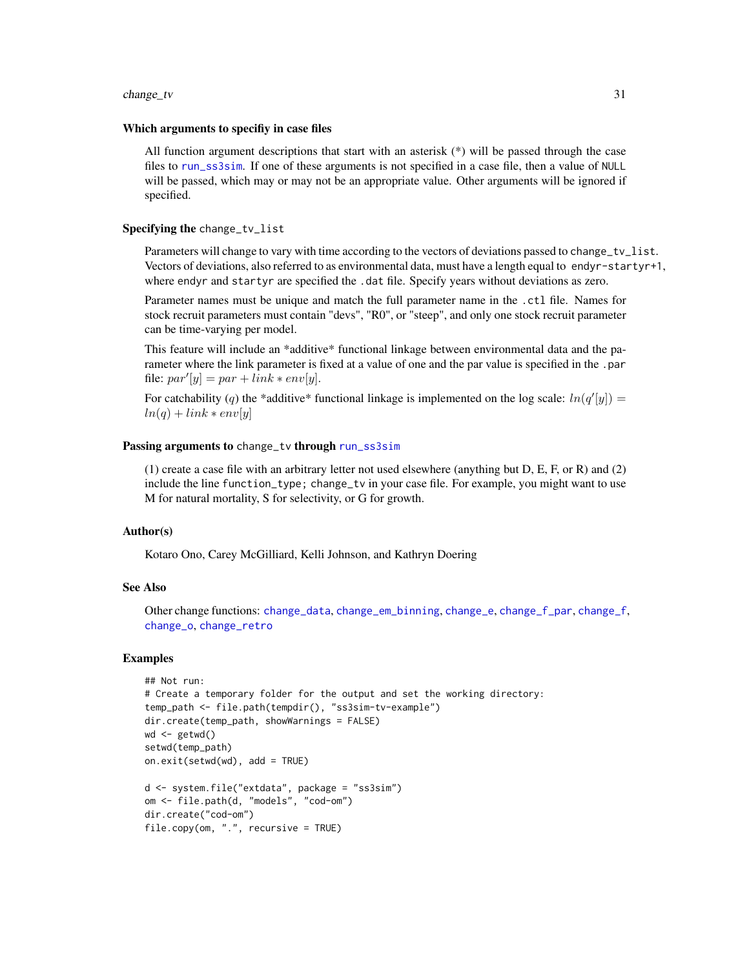#### change\_tv 31

#### Which arguments to specifiy in case files

All function argument descriptions that start with an asterisk  $(*)$  will be passed through the case files to [run\\_ss3sim](#page-60-1). If one of these arguments is not specified in a case file, then a value of NULL will be passed, which may or may not be an appropriate value. Other arguments will be ignored if specified.

## Specifying the change\_tv\_list

Parameters will change to vary with time according to the vectors of deviations passed to change\_tv\_list. Vectors of deviations, also referred to as environmental data, must have a length equal to endyr-startyr+1, where endyr and startyr are specified the .dat file. Specify years without deviations as zero.

Parameter names must be unique and match the full parameter name in the .ctl file. Names for stock recruit parameters must contain "devs", "R0", or "steep", and only one stock recruit parameter can be time-varying per model.

This feature will include an \*additive\* functional linkage between environmental data and the parameter where the link parameter is fixed at a value of one and the par value is specified in the .par file:  $par'[y] = par + link * env[y]$ .

For catchability (q) the \*additive\* functional linkage is implemented on the log scale:  $ln(q'[y]) =$  $ln(q) + link * env[y]$ 

#### Passing arguments to change\_tv through [run\\_ss3sim](#page-60-1)

(1) create a case file with an arbitrary letter not used elsewhere (anything but D, E, F, or R) and (2) include the line function\_type; change\_tv in your case file. For example, you might want to use M for natural mortality, S for selectivity, or G for growth.

#### Author(s)

Kotaro Ono, Carey McGilliard, Kelli Johnson, and Kathryn Doering

#### See Also

Other change functions: [change\\_data](#page-11-1), [change\\_em\\_binning](#page-16-1), [change\\_e](#page-14-1), [change\\_f\\_par](#page-20-1), [change\\_f](#page-18-1), [change\\_o](#page-22-1), [change\\_retro](#page-26-1)

#### Examples

```
## Not run:
# Create a temporary folder for the output and set the working directory:
temp_path <- file.path(tempdir(), "ss3sim-tv-example")
dir.create(temp_path, showWarnings = FALSE)
wd <- getwd()
setwd(temp_path)
on.exit(setwd(wd), add = TRUE)
d <- system.file("extdata", package = "ss3sim")
om <- file.path(d, "models", "cod-om")
dir.create("cod-om")
file.copy(om, ".", recursive = TRUE)
```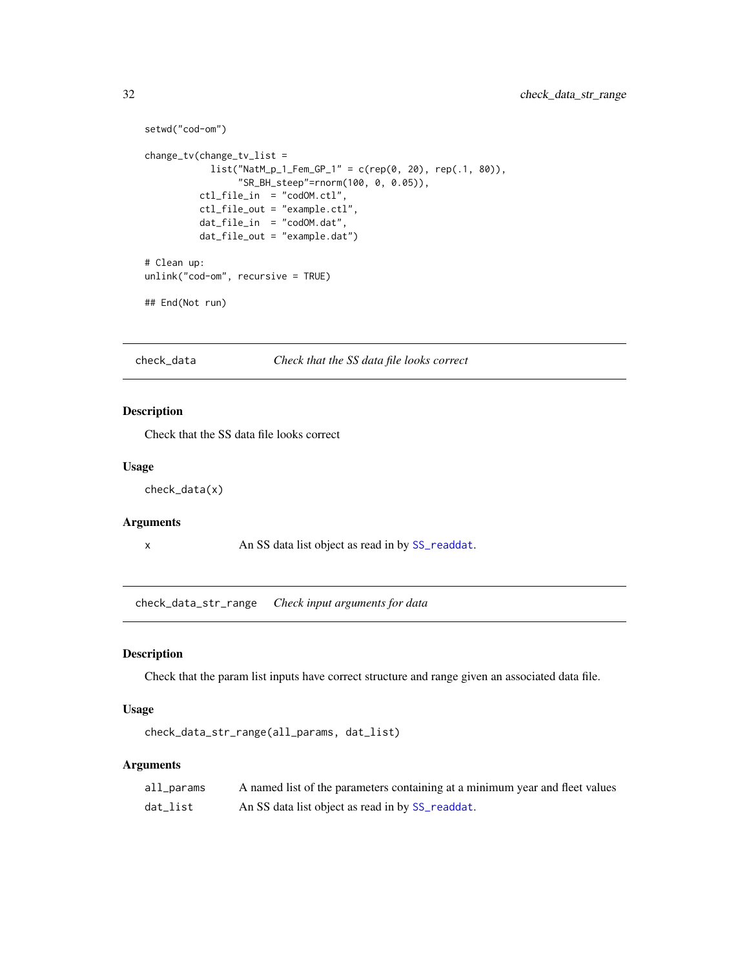```
setwd("cod-om")
change_tv(change_tv_list =
           list("NatM_p_1_Fem_GP_1" = c(rep(0, 20), rep(.1, 80)),"SR_BH_steep"=rnorm(100, 0, 0.05)),
         ctl_file_in = "codOM.ctl",
         ctl_file_out = "example.ctl",
         dat_file_in = "codOM.dat",
         dat_file_out = "example.dat")
# Clean up:
unlink("cod-om", recursive = TRUE)
## End(Not run)
```
check\_data *Check that the SS data file looks correct*

## Description

Check that the SS data file looks correct

#### Usage

check\_data(x)

#### Arguments

x An SS data list object as read in by [SS\\_readdat](#page-0-0).

check\_data\_str\_range *Check input arguments for data*

## Description

Check that the param list inputs have correct structure and range given an associated data file.

#### Usage

```
check_data_str_range(all_params, dat_list)
```
## Arguments

| all_params | A named list of the parameters containing at a minimum year and fleet values |
|------------|------------------------------------------------------------------------------|
| dat_list   | An SS data list object as read in by SS_readdat.                             |

<span id="page-31-0"></span>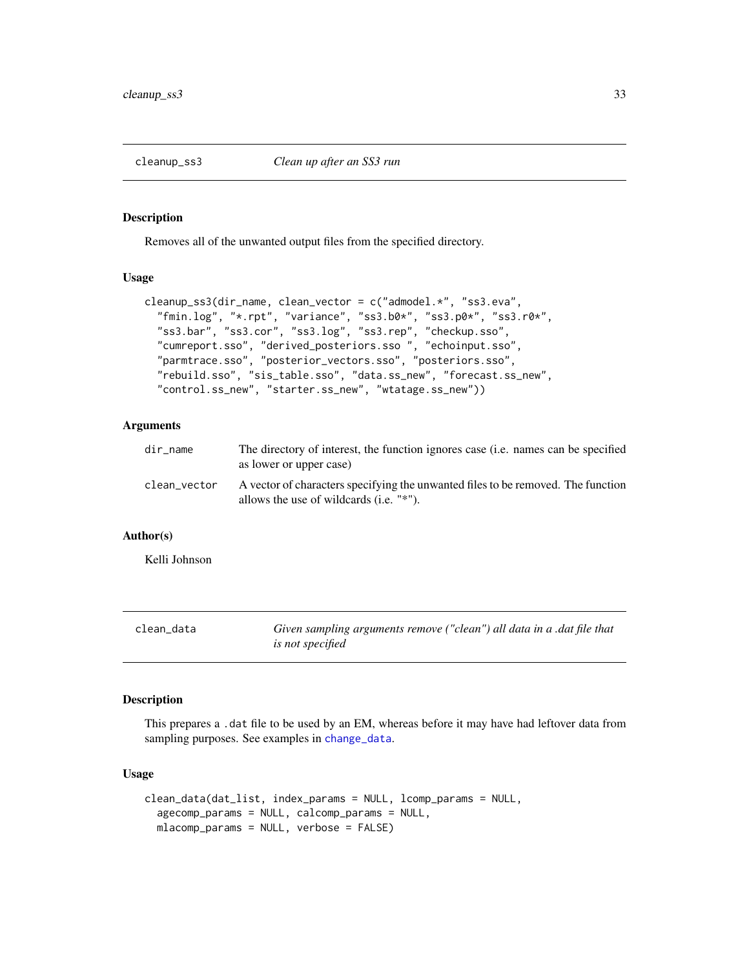<span id="page-32-0"></span>

Removes all of the unwanted output files from the specified directory.

#### Usage

```
cleanup_ss3(dir_name, clean_vector = c("admodel.*", "ss3.eva",
  "fmin.log", "*.rpt", "variance", "ss3.b0*", "ss3.p0*", "ss3.r0*",
  "ss3.bar", "ss3.cor", "ss3.log", "ss3.rep", "checkup.sso",
  "cumreport.sso", "derived_posteriors.sso ", "echoinput.sso",
  "parmtrace.sso", "posterior_vectors.sso", "posteriors.sso",
  "rebuild.sso", "sis_table.sso", "data.ss_new", "forecast.ss_new",
  "control.ss_new", "starter.ss_new", "wtatage.ss_new"))
```
## Arguments

| dir_name     | The directory of interest, the function ignores case (i.e. names can be specified<br>as lower or upper case)                  |
|--------------|-------------------------------------------------------------------------------------------------------------------------------|
| clean_vector | A vector of characters specifying the unwanted files to be removed. The function<br>allows the use of wildcards $(i.e. "*)$ . |

## Author(s)

Kelli Johnson

<span id="page-32-1"></span>

| clean data | Given sampling arguments remove ("clean") all data in a .dat file that |
|------------|------------------------------------------------------------------------|
|            | <i>is not specified</i>                                                |

## Description

This prepares a .dat file to be used by an EM, whereas before it may have had leftover data from sampling purposes. See examples in [change\\_data](#page-11-1).

#### Usage

```
clean_data(dat_list, index_params = NULL, lcomp_params = NULL,
  agecomp_params = NULL, calcomp_params = NULL,
  mlacomp_params = NULL, verbose = FALSE)
```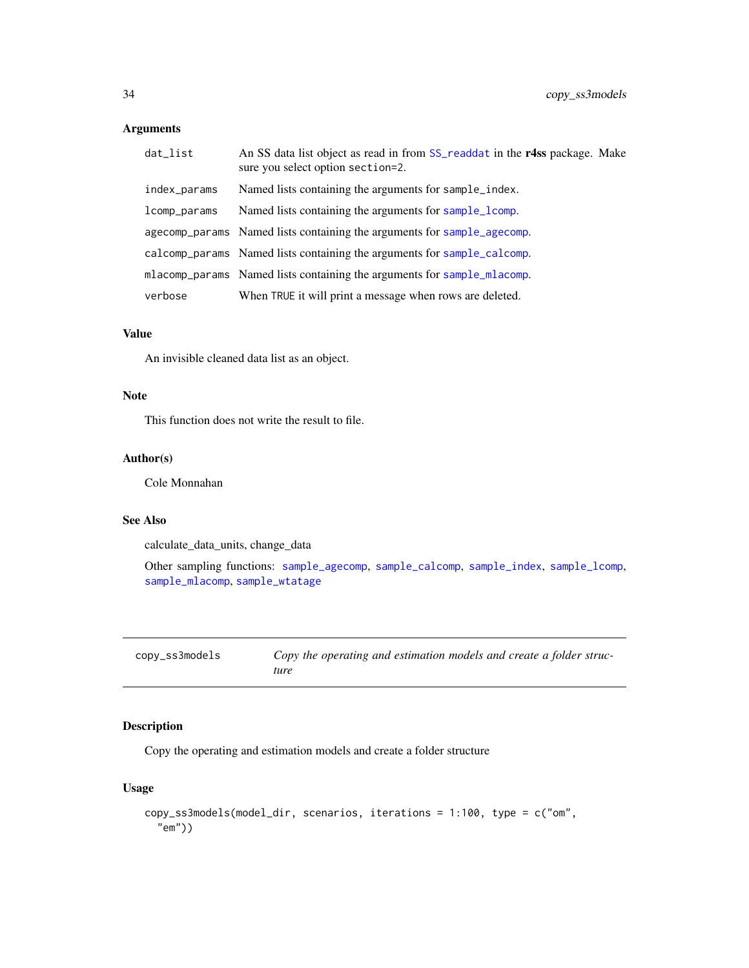## <span id="page-33-0"></span>Arguments

| dat_list     | An SS data list object as read in from SS_readdat in the r4ss package. Make<br>sure you select option section=2. |
|--------------|------------------------------------------------------------------------------------------------------------------|
| index_params | Named lists containing the arguments for sample_index.                                                           |
| lcomp_params | Named lists containing the arguments for sample_lcomp.                                                           |
|              | agecomp_params Named lists containing the arguments for sample_agecomp.                                          |
|              | calcomp params Named lists containing the arguments for sample calcomp.                                          |
|              | mlacomp_params Named lists containing the arguments for sample_mlacomp.                                          |
| verbose      | When TRUE it will print a message when rows are deleted.                                                         |

## Value

An invisible cleaned data list as an object.

## Note

This function does not write the result to file.

## Author(s)

Cole Monnahan

## See Also

calculate\_data\_units, change\_data

Other sampling functions: [sample\\_agecomp](#page-63-1), [sample\\_calcomp](#page-65-1), [sample\\_index](#page-68-1), [sample\\_lcomp](#page-70-1), [sample\\_mlacomp](#page-72-1), [sample\\_wtatage](#page-74-1)

| copy_ss3models | Copy the operating and estimation models and create a folder struc- |
|----------------|---------------------------------------------------------------------|
|                | ture                                                                |

## Description

Copy the operating and estimation models and create a folder structure

## Usage

```
copy_ss3models(model_dir, scenarios, iterations = 1:100, type = c("om",
  "em"))
```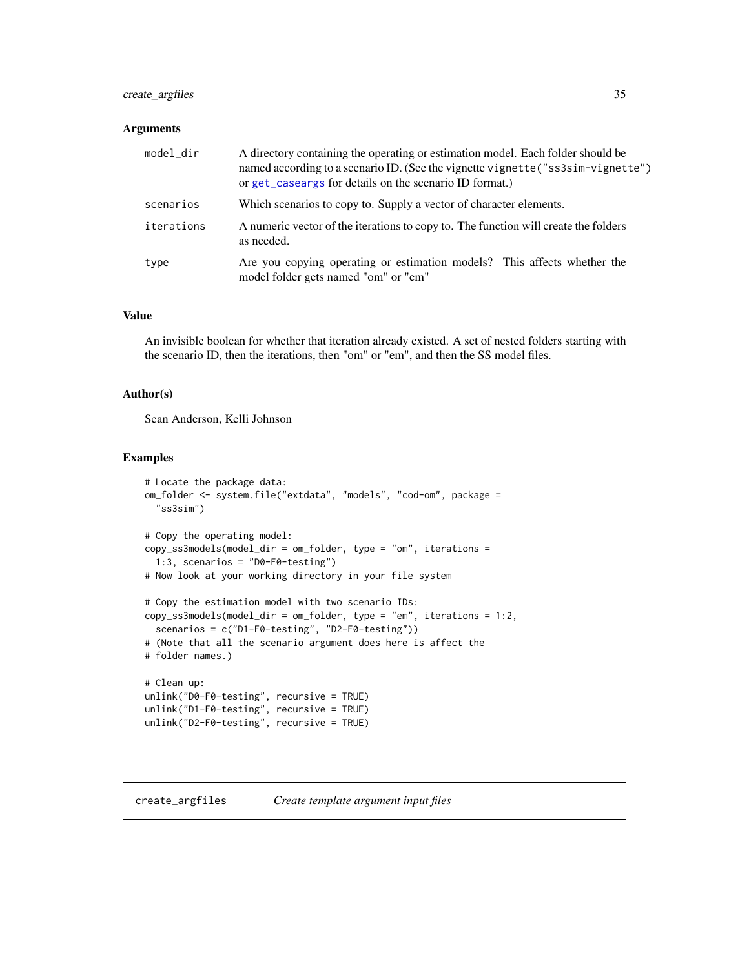## <span id="page-34-0"></span>create\_argfiles 35

#### Arguments

| model_dir  | A directory containing the operating or estimation model. Each folder should be<br>named according to a scenario ID. (See the vignette vignette ("ss3sim-vignette")<br>or get_caseargs for details on the scenario ID format.) |
|------------|--------------------------------------------------------------------------------------------------------------------------------------------------------------------------------------------------------------------------------|
| scenarios  | Which scenarios to copy to. Supply a vector of character elements.                                                                                                                                                             |
| iterations | A numeric vector of the iterations to copy to. The function will create the folders<br>as needed.                                                                                                                              |
| type       | Are you copying operating or estimation models? This affects whether the<br>model folder gets named "om" or "em"                                                                                                               |

## Value

An invisible boolean for whether that iteration already existed. A set of nested folders starting with the scenario ID, then the iterations, then "om" or "em", and then the SS model files.

#### Author(s)

Sean Anderson, Kelli Johnson

## Examples

```
# Locate the package data:
om_folder <- system.file("extdata", "models", "cod-om", package =
  "ss3sim")
# Copy the operating model:
copy_ss3models(model_dir = om_folder, type = "om", iterations =
  1:3, scenarios = "D0-F0-testing")
# Now look at your working directory in your file system
# Copy the estimation model with two scenario IDs:
copy_ss3models(model_dir = om_folder, type = "em", iterations = 1:2,
  scenarios = c("D1-F0-testing", "D2-F0-testing"))
# (Note that all the scenario argument does here is affect the
# folder names.)
# Clean up:
unlink("D0-F0-testing", recursive = TRUE)
unlink("D1-F0-testing", recursive = TRUE)
unlink("D2-F0-testing", recursive = TRUE)
```
## create\_argfiles *Create template argument input files*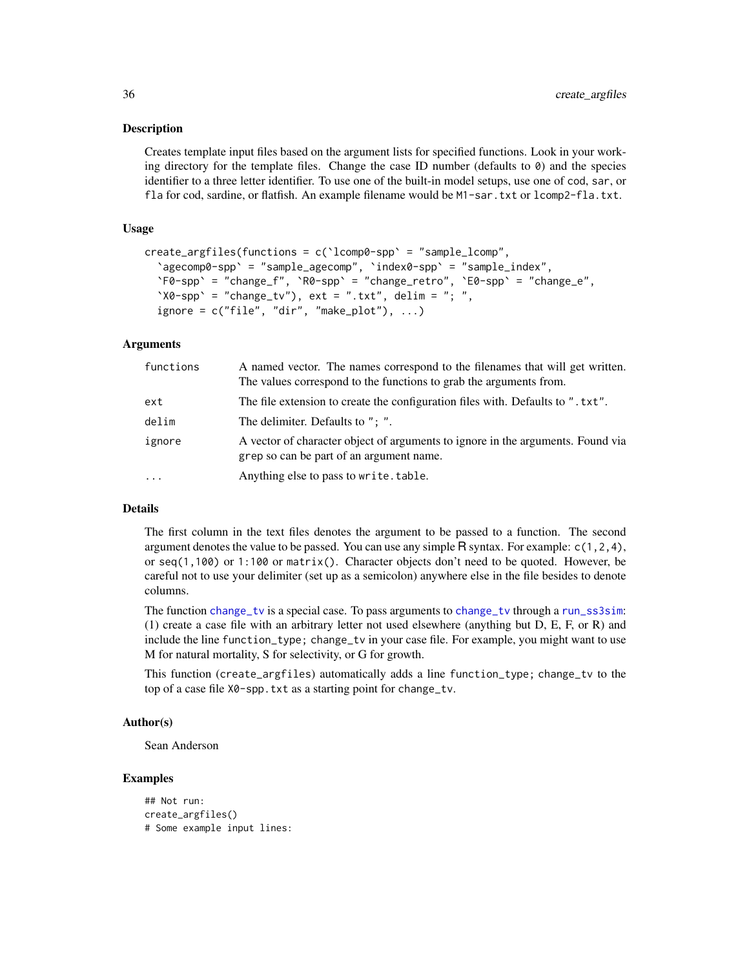Creates template input files based on the argument lists for specified functions. Look in your working directory for the template files. Change the case ID number (defaults to  $\theta$ ) and the species identifier to a three letter identifier. To use one of the built-in model setups, use one of cod, sar, or fla for cod, sardine, or flatfish. An example filename would be M1-sar.txt or lcomp2-fla.txt.

## Usage

```
create_argfiles(functions = c(`lcomp0-spp` = "sample_lcomp",
  `agecomp0-spp` = "sample_agecomp", `index0-spp` = "sample_index",
  `F0-spp` = "change_f", `R0-spp` = "change_retro", `E0-spp` = "change_e",
  'X0-spp' = "change_tv"), ext = ".txt", delim = "; ",
  ignore = c("file", "dir", "make.plot"), ...)
```
## Arguments

| functions | A named vector. The names correspond to the filenames that will get written.<br>The values correspond to the functions to grab the arguments from. |
|-----------|----------------------------------------------------------------------------------------------------------------------------------------------------|
| ext       | The file extension to create the configuration files with. Defaults to ". txt".                                                                    |
| delim     | The delimiter. Defaults to ": ".                                                                                                                   |
| ignore    | A vector of character object of arguments to ignore in the arguments. Found via<br>grep so can be part of an argument name.                        |
| $\cdots$  | Anything else to pass to write.table.                                                                                                              |

## Details

The first column in the text files denotes the argument to be passed to a function. The second argument denotes the value to be passed. You can use any simple  $\mathsf R$  syntax. For example:  $c(1,2,4)$ , or seq(1,100) or 1:100 or matrix(). Character objects don't need to be quoted. However, be careful not to use your delimiter (set up as a semicolon) anywhere else in the file besides to denote columns.

The function [change\\_tv](#page-29-1) is a special case. To pass arguments to change\_tv through a [run\\_ss3sim](#page-60-1): (1) create a case file with an arbitrary letter not used elsewhere (anything but D, E, F, or R) and include the line function\_type; change\_tv in your case file. For example, you might want to use M for natural mortality, S for selectivity, or G for growth.

This function (create\_argfiles) automatically adds a line function\_type; change\_tv to the top of a case file X0-spp.txt as a starting point for change\_tv.

#### Author(s)

Sean Anderson

## Examples

```
## Not run:
create_argfiles()
# Some example input lines:
```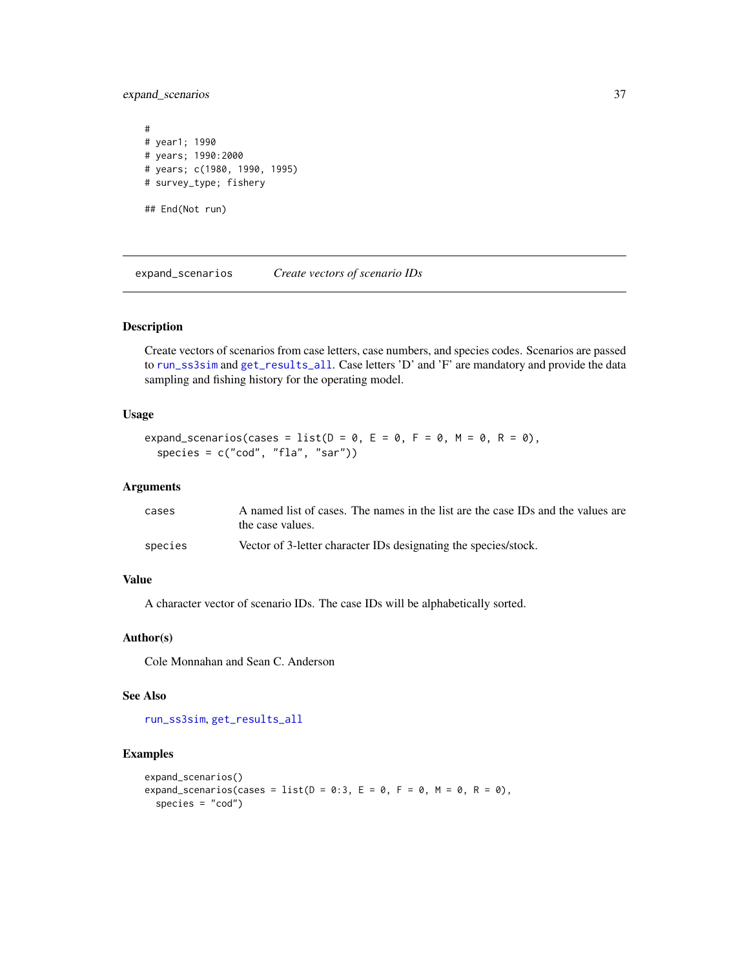expand\_scenarios 37

# # year1; 1990 # years; 1990:2000 # years; c(1980, 1990, 1995) # survey\_type; fishery ## End(Not run)

<span id="page-36-0"></span>expand\_scenarios *Create vectors of scenario IDs*

### Description

Create vectors of scenarios from case letters, case numbers, and species codes. Scenarios are passed to [run\\_ss3sim](#page-60-0) and [get\\_results\\_all](#page-43-0). Case letters 'D' and 'F' are mandatory and provide the data sampling and fishing history for the operating model.

### Usage

```
expand_scenarios(cases = list(D = 0, E = 0, F = 0, M = 0, R = 0),
 species = c("cod", "fla", "sar"))
```
#### Arguments

| cases   | A named list of cases. The names in the list are the case IDs and the values are<br>the case values. |
|---------|------------------------------------------------------------------------------------------------------|
| species | Vector of 3-letter character IDs designating the species/stock.                                      |

# Value

A character vector of scenario IDs. The case IDs will be alphabetically sorted.

### Author(s)

Cole Monnahan and Sean C. Anderson

### See Also

[run\\_ss3sim](#page-60-0), [get\\_results\\_all](#page-43-0)

# Examples

```
expand_scenarios()
expand_scenarios(cases = list(D = 0:3, E = 0, F = 0, M = 0, R = 0),
  species = "cod")
```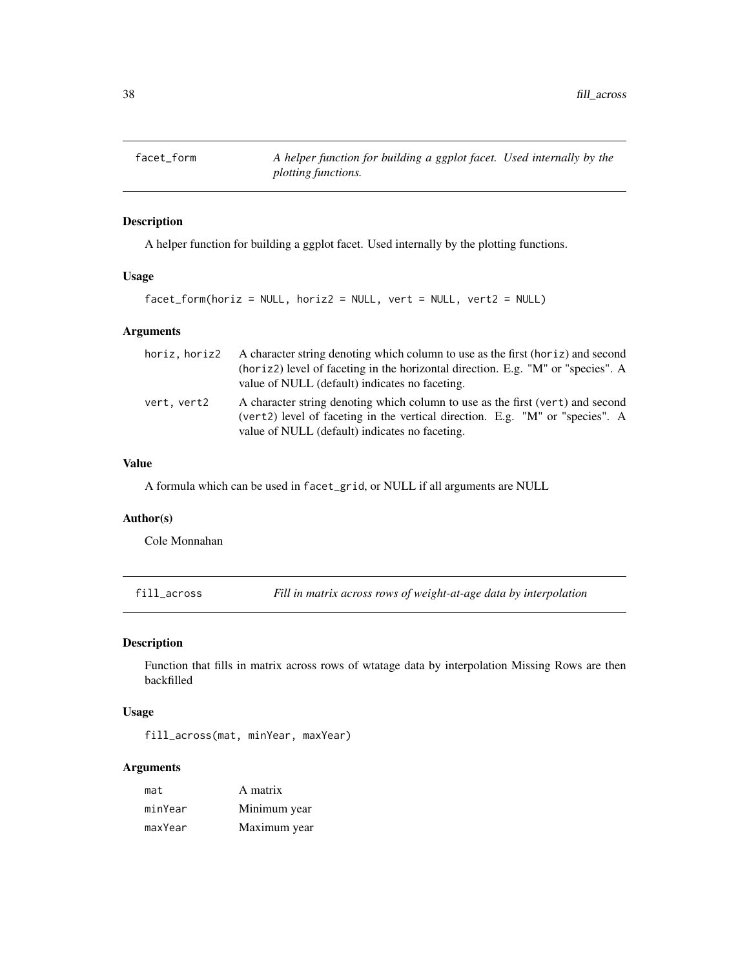# Description

A helper function for building a ggplot facet. Used internally by the plotting functions.

### Usage

```
facet_form(horiz = NULL, horiz2 = NULL, vert = NULL, vert2 = NULL)
```
## Arguments

| horiz.horiz2 | A character string denoting which column to use as the first (horiz) and second<br>(horiz) level of faceting in the horizontal direction. E.g. "M" or "species". A<br>value of NULL (default) indicates no faceting. |
|--------------|----------------------------------------------------------------------------------------------------------------------------------------------------------------------------------------------------------------------|
| vert, vert2  | A character string denoting which column to use as the first (vert) and second<br>(vert2) level of faceting in the vertical direction. E.g. "M" or "species". A<br>value of NULL (default) indicates no faceting.    |

# Value

A formula which can be used in facet\_grid, or NULL if all arguments are NULL

# Author(s)

Cole Monnahan

<span id="page-37-0"></span>fill\_across *Fill in matrix across rows of weight-at-age data by interpolation*

### Description

Function that fills in matrix across rows of wtatage data by interpolation Missing Rows are then backfilled

# Usage

fill\_across(mat, minYear, maxYear)

| mat     | A matrix     |
|---------|--------------|
| minYear | Minimum year |
| maxYear | Maximum year |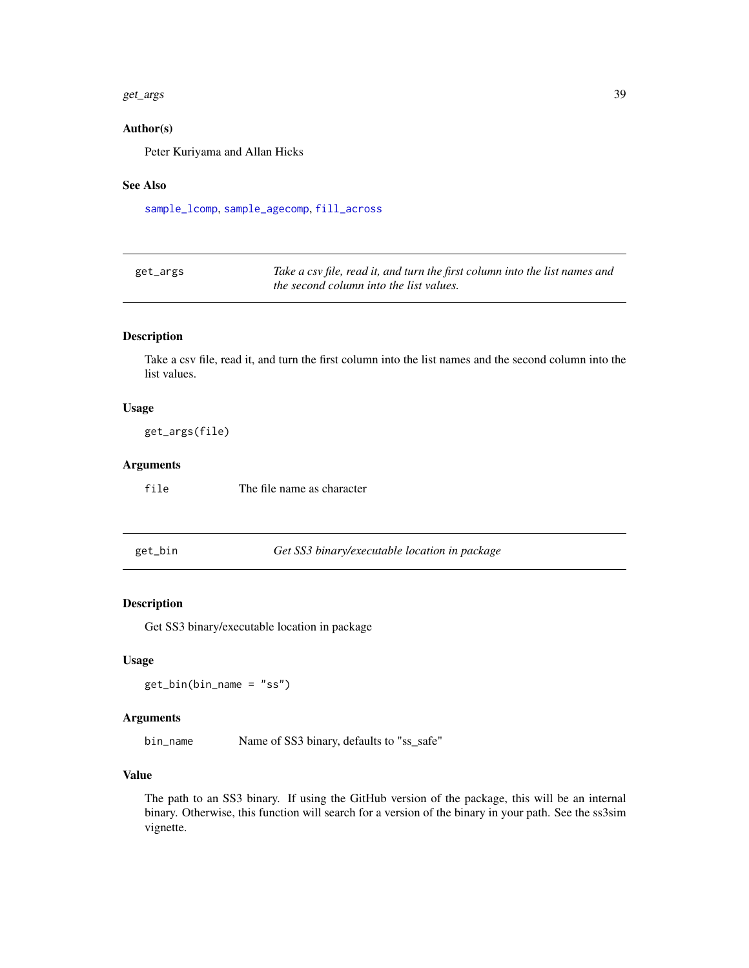#### get\_args 39

### Author(s)

Peter Kuriyama and Allan Hicks

### See Also

[sample\\_lcomp](#page-70-0), [sample\\_agecomp](#page-63-0), [fill\\_across](#page-37-0)

| get_args | Take a csv file, read it, and turn the first column into the list names and |
|----------|-----------------------------------------------------------------------------|
|          | <i>the second column into the list values.</i>                              |

# Description

Take a csv file, read it, and turn the first column into the list names and the second column into the list values.

### Usage

get\_args(file)

### Arguments

file The file name as character

get\_bin *Get SS3 binary/executable location in package*

# Description

Get SS3 binary/executable location in package

#### Usage

get\_bin(bin\_name = "ss")

#### Arguments

bin\_name Name of SS3 binary, defaults to "ss\_safe"

### Value

The path to an SS3 binary. If using the GitHub version of the package, this will be an internal binary. Otherwise, this function will search for a version of the binary in your path. See the ss3sim vignette.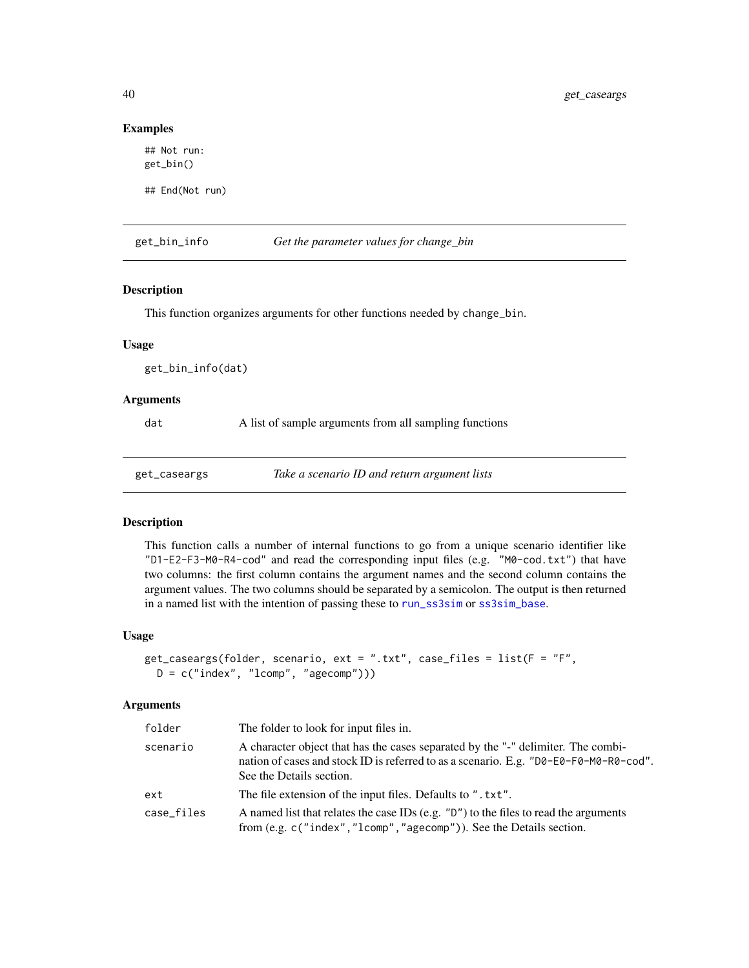#### Examples

```
## Not run:
get_bin()
```
## End(Not run)

get\_bin\_info *Get the parameter values for change\_bin*

### Description

This function organizes arguments for other functions needed by change\_bin.

#### Usage

get\_bin\_info(dat)

#### **Arguments**

dat A list of sample arguments from all sampling functions

<span id="page-39-0"></span>get\_caseargs *Take a scenario ID and return argument lists*

#### **Description**

This function calls a number of internal functions to go from a unique scenario identifier like "D1-E2-F3-M0-R4-cod" and read the corresponding input files (e.g. "M0-cod.txt") that have two columns: the first column contains the argument names and the second column contains the argument values. The two columns should be separated by a semicolon. The output is then returned in a named list with the intention of passing these to [run\\_ss3sim](#page-60-0) or [ss3sim\\_base](#page-77-0).

### Usage

```
get_caseargs(folder, scenario, ext = ".txt", case_files = list(F = "F",
 D = c("index", "lcomp", "agecomp"))
```

| folder     | The folder to look for input files in.                                                                                                                                                                |
|------------|-------------------------------------------------------------------------------------------------------------------------------------------------------------------------------------------------------|
| scenario   | A character object that has the cases separated by the "-" delimiter. The combi-<br>nation of cases and stock ID is referred to as a scenario. E.g. "D0-E0-F0-M0-R0-cod".<br>See the Details section. |
| ext        | The file extension of the input files. Defaults to ". txt".                                                                                                                                           |
| case_files | A named list that relates the case IDs (e.g. $"D"$ ) to the files to read the arguments<br>from (e.g. c("index","lcomp","agecomp")). See the Details section.                                         |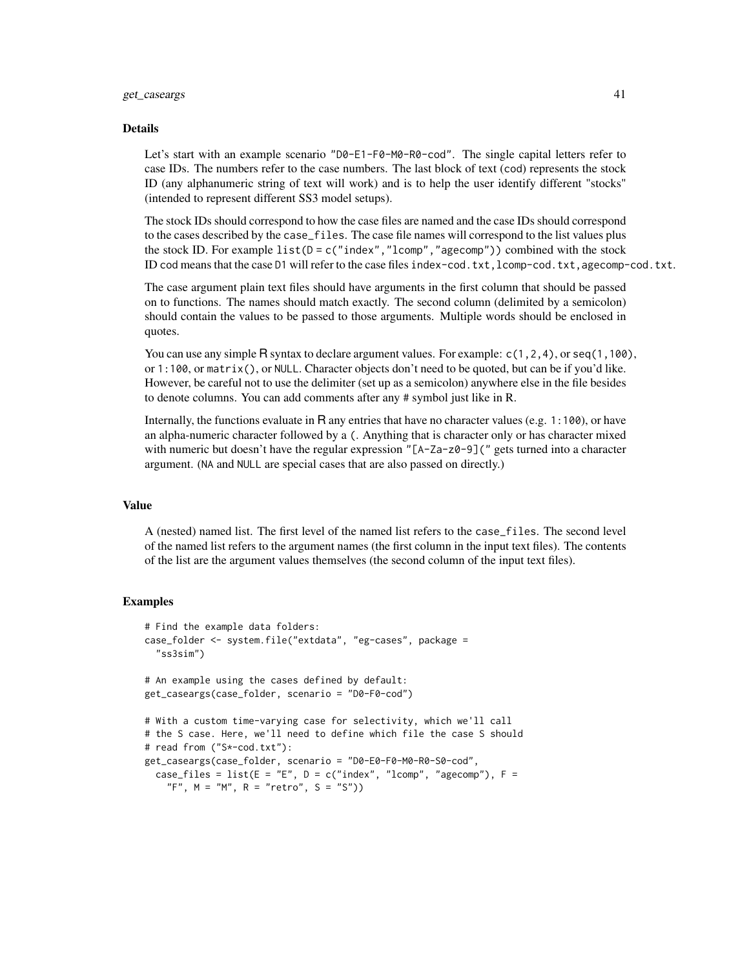### get\_caseargs 41

#### Details

Let's start with an example scenario "D0-E1-F0-M0-R0-cod". The single capital letters refer to case IDs. The numbers refer to the case numbers. The last block of text (cod) represents the stock ID (any alphanumeric string of text will work) and is to help the user identify different "stocks" (intended to represent different SS3 model setups).

The stock IDs should correspond to how the case files are named and the case IDs should correspond to the cases described by the case\_files. The case file names will correspond to the list values plus the stock ID. For example list( $D = c("index", "lcomp", "agecomp")$ ) combined with the stock ID cod means that the case D1 will refer to the case files index-cod.txt,lcomp-cod.txt,agecomp-cod.txt.

The case argument plain text files should have arguments in the first column that should be passed on to functions. The names should match exactly. The second column (delimited by a semicolon) should contain the values to be passed to those arguments. Multiple words should be enclosed in quotes.

You can use any simple R syntax to declare argument values. For example:  $c(1,2,4)$ , or  $\text{seq}(1,100)$ , or 1:100, or matrix(), or NULL. Character objects don't need to be quoted, but can be if you'd like. However, be careful not to use the delimiter (set up as a semicolon) anywhere else in the file besides to denote columns. You can add comments after any # symbol just like in R.

Internally, the functions evaluate in R any entries that have no character values (e.g. 1:100), or have an alpha-numeric character followed by a (. Anything that is character only or has character mixed with numeric but doesn't have the regular expression "[A-Za-z0-9](" gets turned into a character argument. (NA and NULL are special cases that are also passed on directly.)

#### Value

A (nested) named list. The first level of the named list refers to the case\_files. The second level of the named list refers to the argument names (the first column in the input text files). The contents of the list are the argument values themselves (the second column of the input text files).

#### Examples

```
# Find the example data folders:
case_folder <- system.file("extdata", "eg-cases", package =
  "ss3sim")
# An example using the cases defined by default:
get_caseargs(case_folder, scenario = "D0-F0-cod")
# With a custom time-varying case for selectivity, which we'll call
# the S case. Here, we'll need to define which file the case S should
# read from ("S*-cod.txt"):
get_caseargs(case_folder, scenario = "D0-E0-F0-M0-R0-S0-cod",
 case_files = list(E = "E", D = c("index", "lcomp", "agecomp"), F ="F", M = "M", R = "retro", S = "S")
```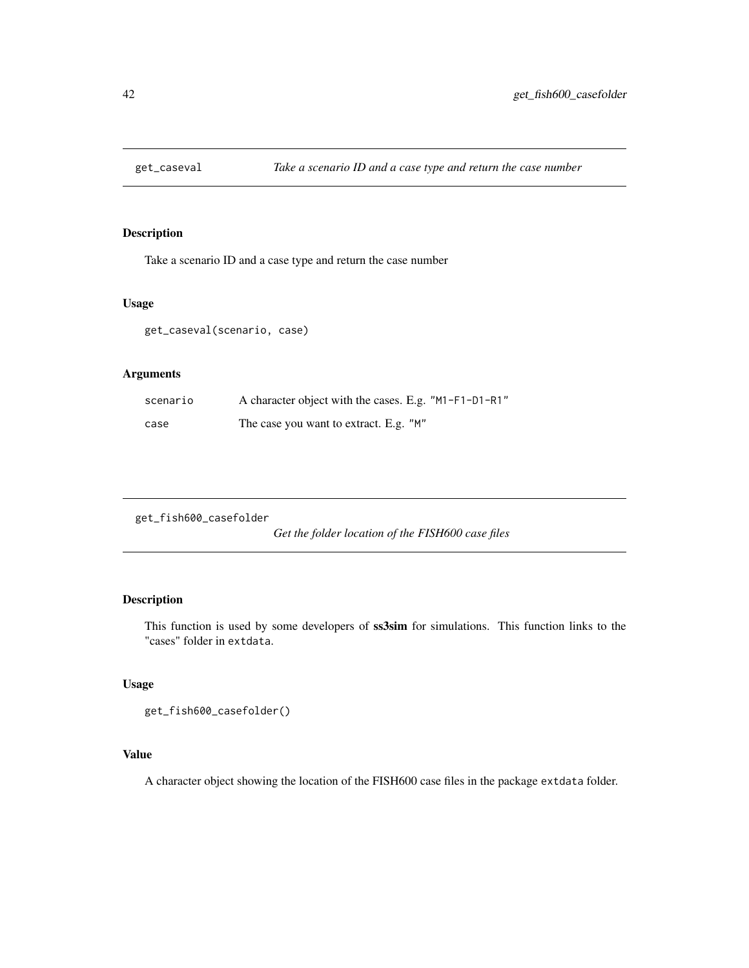# Description

Take a scenario ID and a case type and return the case number

### Usage

get\_caseval(scenario, case)

# Arguments

| scenario | A character object with the cases. E.g. "M1-F1-D1-R1" |
|----------|-------------------------------------------------------|
| case     | The case you want to extract. E.g. "M"                |

get\_fish600\_casefolder

*Get the folder location of the FISH600 case files*

# Description

This function is used by some developers of ss3sim for simulations. This function links to the "cases" folder in extdata.

# Usage

```
get_fish600_casefolder()
```
# Value

A character object showing the location of the FISH600 case files in the package extdata folder.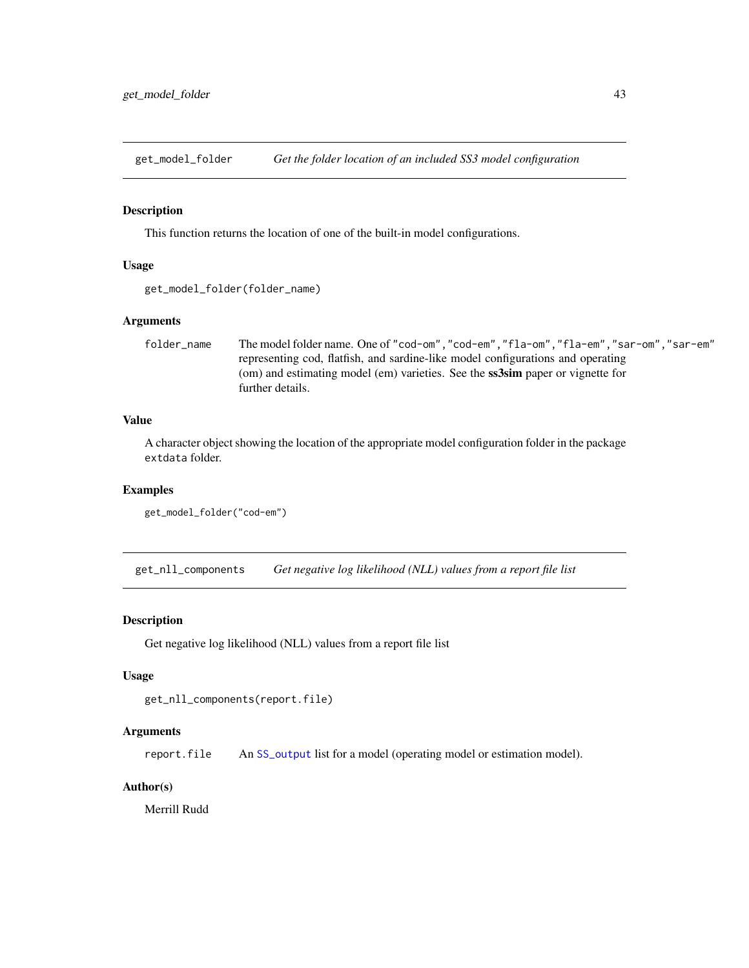get\_model\_folder *Get the folder location of an included SS3 model configuration*

#### Description

This function returns the location of one of the built-in model configurations.

### Usage

```
get_model_folder(folder_name)
```
# Arguments

folder\_name The model folder name. One of "cod-om","cod-em","fla-om","fla-em","sar-om","sar-em" representing cod, flatfish, and sardine-like model configurations and operating (om) and estimating model (em) varieties. See the ss3sim paper or vignette for further details.

## Value

A character object showing the location of the appropriate model configuration folder in the package extdata folder.

# Examples

```
get_model_folder("cod-em")
```
get\_nll\_components *Get negative log likelihood (NLL) values from a report file list*

### Description

Get negative log likelihood (NLL) values from a report file list

#### Usage

```
get_nll_components(report.file)
```
### Arguments

report.file An [SS\\_output](#page-0-0) list for a model (operating model or estimation model).

### Author(s)

Merrill Rudd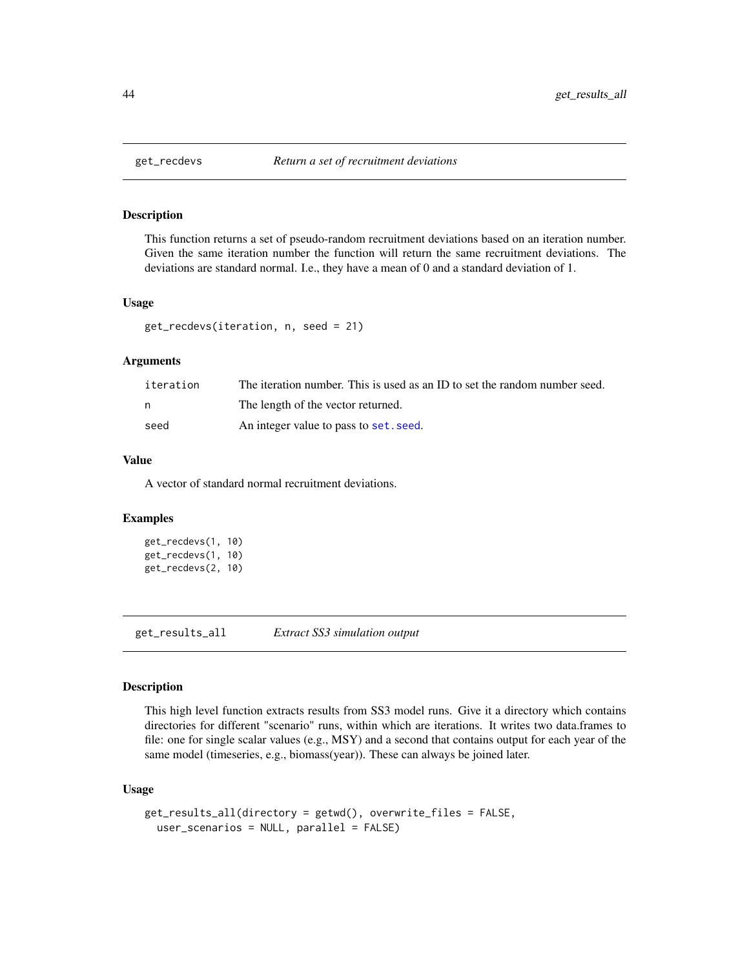# Description

This function returns a set of pseudo-random recruitment deviations based on an iteration number. Given the same iteration number the function will return the same recruitment deviations. The deviations are standard normal. I.e., they have a mean of 0 and a standard deviation of 1.

#### Usage

```
get_recdevs(iteration, n, seed = 21)
```
#### Arguments

| iteration | The iteration number. This is used as an ID to set the random number seed. |
|-----------|----------------------------------------------------------------------------|
|           | The length of the vector returned.                                         |
| seed      | An integer value to pass to set. seed.                                     |

### Value

A vector of standard normal recruitment deviations.

#### Examples

```
get_recdevs(1, 10)
get_recdevs(1, 10)
get_recdevs(2, 10)
```
<span id="page-43-0"></span>get\_results\_all *Extract SS3 simulation output*

#### Description

This high level function extracts results from SS3 model runs. Give it a directory which contains directories for different "scenario" runs, within which are iterations. It writes two data.frames to file: one for single scalar values (e.g., MSY) and a second that contains output for each year of the same model (timeseries, e.g., biomass(year)). These can always be joined later.

### Usage

```
get_results_all(directory = getwd(), overwrite_files = FALSE,
 user_scenarios = NULL, parallel = FALSE)
```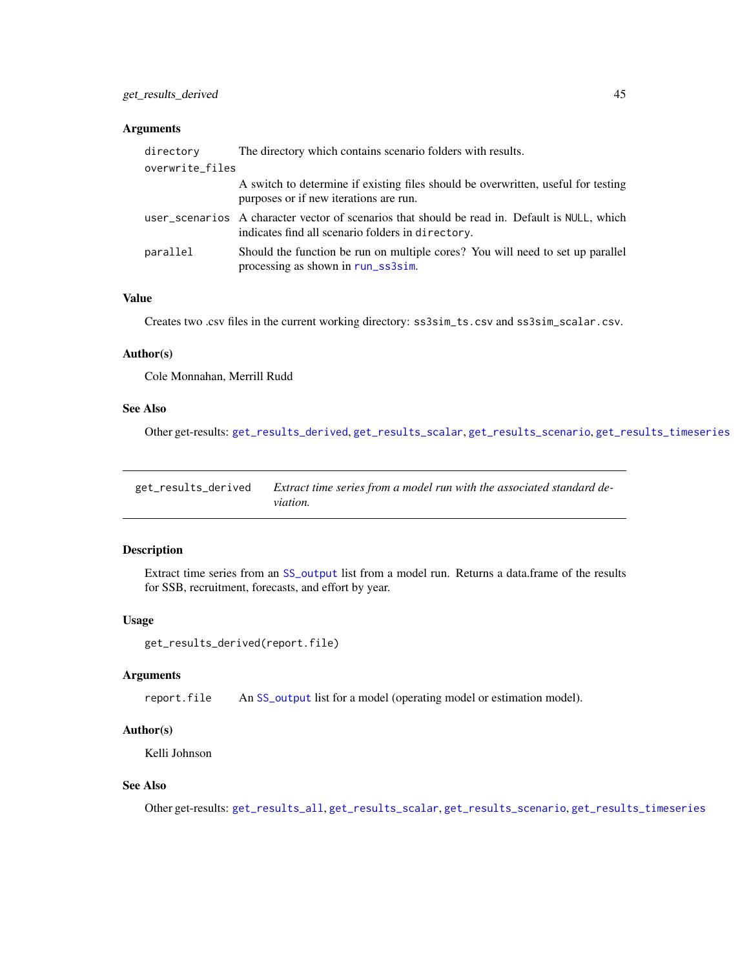## Arguments

| directory       | The directory which contains scenario folders with results.                                                                                        |
|-----------------|----------------------------------------------------------------------------------------------------------------------------------------------------|
| overwrite_files |                                                                                                                                                    |
|                 | A switch to determine if existing files should be overwritten, useful for testing<br>purposes or if new iterations are run.                        |
|                 | user_scenarios A character vector of scenarios that should be read in. Default is NULL, which<br>indicates find all scenario folders in directory. |
| parallel        | Should the function be run on multiple cores? You will need to set up parallel<br>processing as shown in run_ss3sim.                               |

# Value

Creates two .csv files in the current working directory: ss3sim\_ts.csv and ss3sim\_scalar.csv.

### Author(s)

Cole Monnahan, Merrill Rudd

### See Also

Other get-results: [get\\_results\\_derived](#page-44-0), [get\\_results\\_scalar](#page-45-0), [get\\_results\\_scenario](#page-45-1), [get\\_results\\_timeseries](#page-46-0)

<span id="page-44-0"></span>get\_results\_derived *Extract time series from a model run with the associated standard deviation.*

# Description

Extract time series from an [SS\\_output](#page-0-0) list from a model run. Returns a data.frame of the results for SSB, recruitment, forecasts, and effort by year.

## Usage

```
get_results_derived(report.file)
```
### Arguments

report.file An [SS\\_output](#page-0-0) list for a model (operating model or estimation model).

# Author(s)

Kelli Johnson

# See Also

Other get-results: [get\\_results\\_all](#page-43-0), [get\\_results\\_scalar](#page-45-0), [get\\_results\\_scenario](#page-45-1), [get\\_results\\_timeseries](#page-46-0)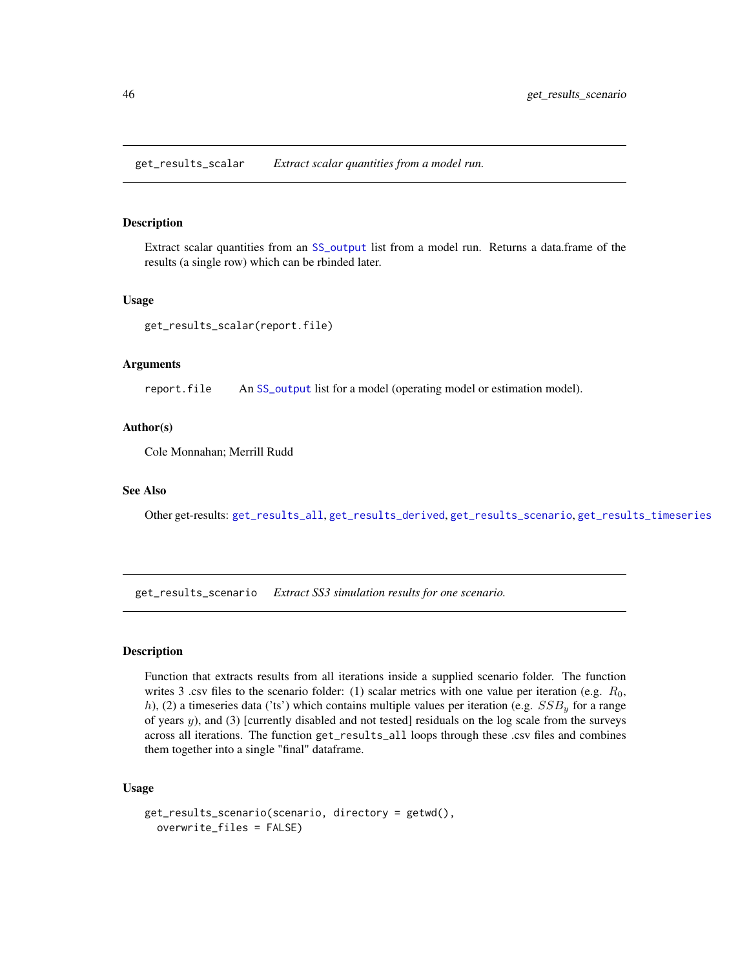<span id="page-45-0"></span>get\_results\_scalar *Extract scalar quantities from a model run.*

### Description

Extract scalar quantities from an [SS\\_output](#page-0-0) list from a model run. Returns a data.frame of the results (a single row) which can be rbinded later.

### Usage

get\_results\_scalar(report.file)

### Arguments

report.file An [SS\\_output](#page-0-0) list for a model (operating model or estimation model).

#### Author(s)

Cole Monnahan; Merrill Rudd

#### See Also

Other get-results: [get\\_results\\_all](#page-43-0), [get\\_results\\_derived](#page-44-0), [get\\_results\\_scenario](#page-45-1), [get\\_results\\_timeseries](#page-46-0)

<span id="page-45-1"></span>get\_results\_scenario *Extract SS3 simulation results for one scenario.*

# **Description**

Function that extracts results from all iterations inside a supplied scenario folder. The function writes 3 .csv files to the scenario folder: (1) scalar metrics with one value per iteration (e.g.  $R_0$ , h), (2) a timeseries data ('ts') which contains multiple values per iteration (e.g.  $SSB<sub>y</sub>$  for a range of years y), and (3) [currently disabled and not tested] residuals on the log scale from the surveys across all iterations. The function get\_results\_all loops through these .csv files and combines them together into a single "final" dataframe.

### Usage

```
get_results_scenario(scenario, directory = getwd(),
 overwrite_files = FALSE)
```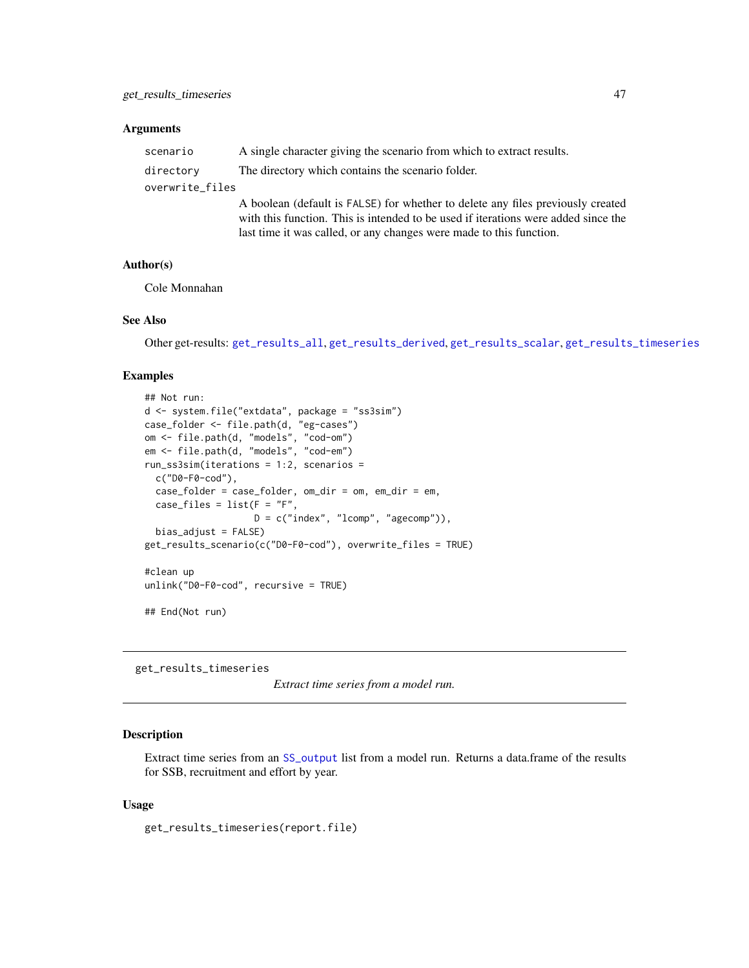### **Arguments**

| scenario        | A single character giving the scenario from which to extract results.                                                                                                                                                                        |
|-----------------|----------------------------------------------------------------------------------------------------------------------------------------------------------------------------------------------------------------------------------------------|
| directory       | The directory which contains the scenario folder.                                                                                                                                                                                            |
| overwrite_files |                                                                                                                                                                                                                                              |
|                 | A boolean (default is FALSE) for whether to delete any files previously created<br>with this function. This is intended to be used if iterations were added since the<br>last time it was called, or any changes were made to this function. |

#### Author(s)

Cole Monnahan

# See Also

Other get-results: [get\\_results\\_all](#page-43-0), [get\\_results\\_derived](#page-44-0), [get\\_results\\_scalar](#page-45-0), [get\\_results\\_timeseries](#page-46-0)

### Examples

```
## Not run:
d <- system.file("extdata", package = "ss3sim")
case_folder <- file.path(d, "eg-cases")
om <- file.path(d, "models", "cod-om")
em <- file.path(d, "models", "cod-em")
run_ss3sim(iterations = 1:2, scenarios =
  c("D0-F0-cod"),
  case_folder = case_folder, om_dir = om, em_dir = em,
  case_files = list(F = "F",D = c("index", "lcomp", "agecomp")),
  bias_adjust = FALSE)
get_results_scenario(c("D0-F0-cod"), overwrite_files = TRUE)
#clean up
unlink("D0-F0-cod", recursive = TRUE)
## End(Not run)
```
<span id="page-46-0"></span>get\_results\_timeseries

*Extract time series from a model run.*

#### Description

Extract time series from an [SS\\_output](#page-0-0) list from a model run. Returns a data.frame of the results for SSB, recruitment and effort by year.

### Usage

get\_results\_timeseries(report.file)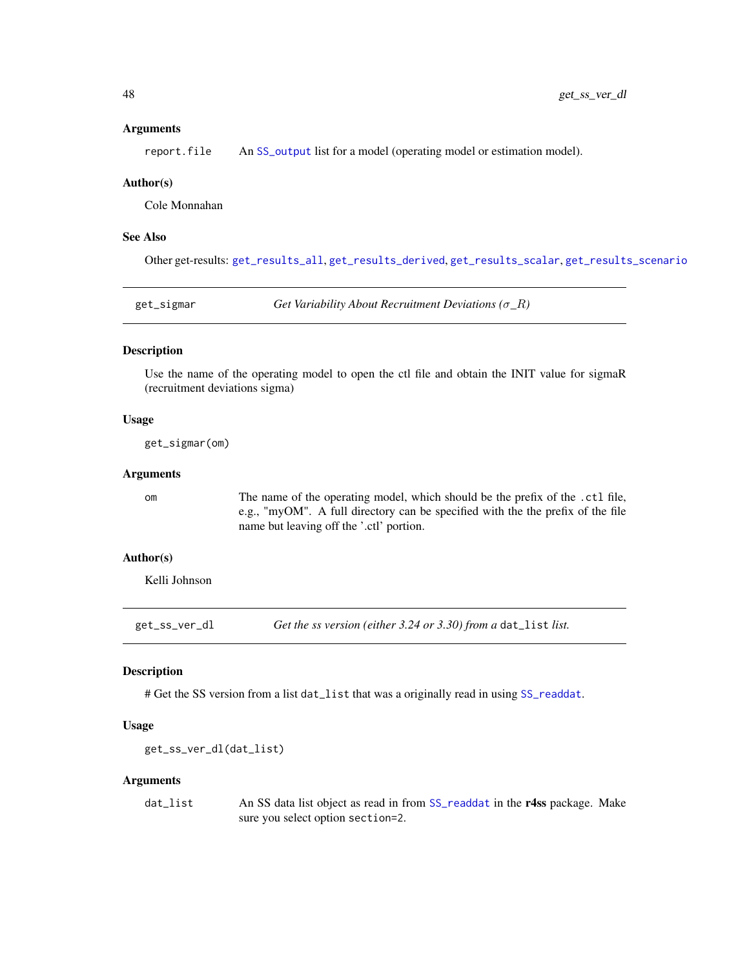### **Arguments**

report. file An [SS\\_output](#page-0-0) list for a model (operating model or estimation model).

#### Author(s)

Cole Monnahan

### See Also

Other get-results: [get\\_results\\_all](#page-43-0), [get\\_results\\_derived](#page-44-0), [get\\_results\\_scalar](#page-45-0), [get\\_results\\_scenario](#page-45-1)

| get_sigmar | Get Variability About Recruitment Deviations ( $\sigma_R$ ) |
|------------|-------------------------------------------------------------|
|            |                                                             |

### Description

Use the name of the operating model to open the ctl file and obtain the INIT value for sigmaR (recruitment deviations sigma)

### Usage

get\_sigmar(om)

## Arguments

om The name of the operating model, which should be the prefix of the .ctl file, e.g., "myOM". A full directory can be specified with the the prefix of the file name but leaving off the '.ctl' portion.

### Author(s)

Kelli Johnson

get\_ss\_ver\_dl *Get the ss version (either 3.24 or 3.30) from a* dat\_list *list.*

### Description

# Get the SS version from a list dat\_list that was a originally read in using [SS\\_readdat](#page-0-0).

### Usage

get\_ss\_ver\_dl(dat\_list)

#### Arguments

dat\_list An SS data list object as read in from [SS\\_readdat](#page-0-0) in the r4ss package. Make sure you select option section=2.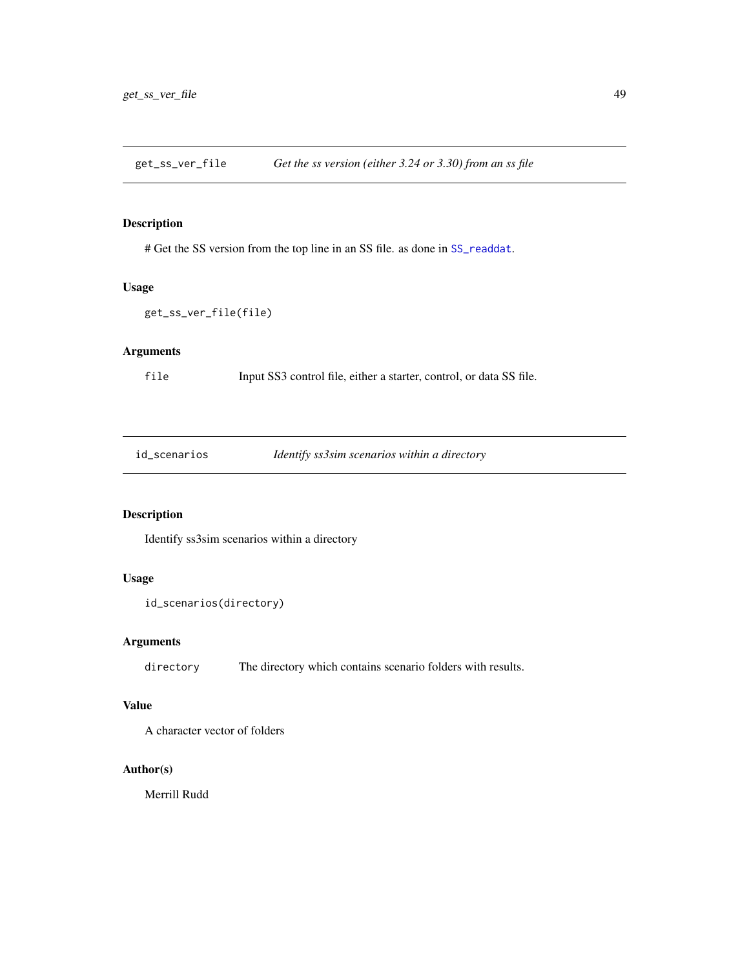get\_ss\_ver\_file *Get the ss version (either 3.24 or 3.30) from an ss file*

### Description

# Get the SS version from the top line in an SS file. as done in [SS\\_readdat](#page-0-0).

### Usage

```
get_ss_ver_file(file)
```
# Arguments

file Input SS3 control file, either a starter, control, or data SS file.

id\_scenarios *Identify ss3sim scenarios within a directory*

# Description

Identify ss3sim scenarios within a directory

# Usage

```
id_scenarios(directory)
```
# Arguments

directory The directory which contains scenario folders with results.

# Value

A character vector of folders

### Author(s)

Merrill Rudd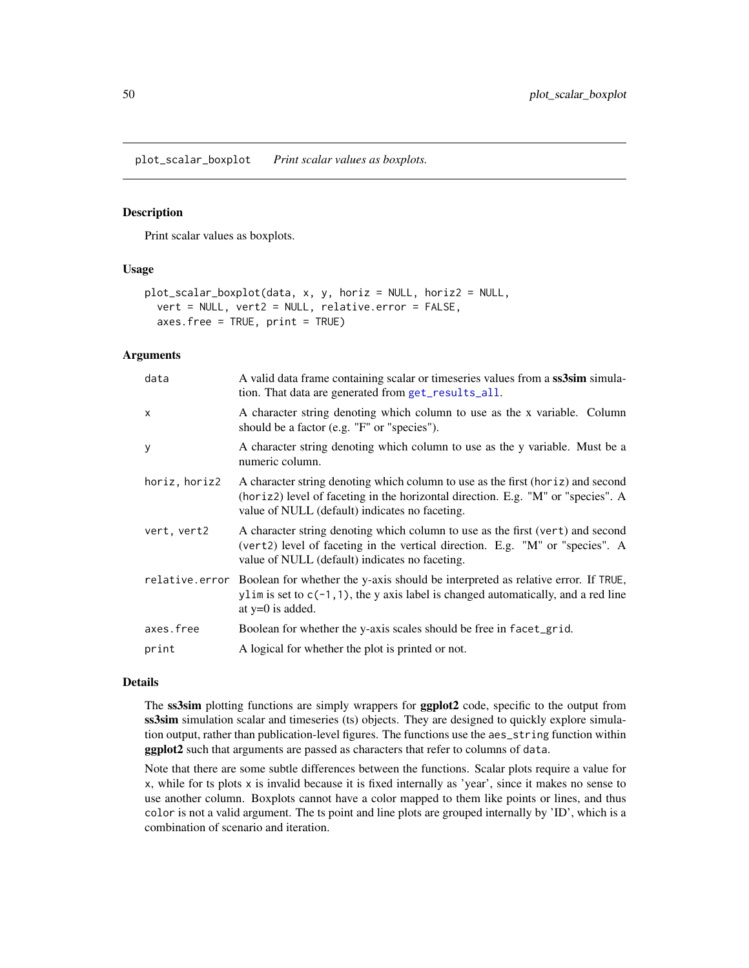plot\_scalar\_boxplot *Print scalar values as boxplots.*

#### Description

Print scalar values as boxplots.

## Usage

```
plot_scalar_boxplot(data, x, y, horiz = NULL, horiz2 = NULL,
  vert = NULL, vert2 = NULL, relative.error = FALSE,
  axes.free = TRUE, print = TRUE)
```
# Arguments

| data          | A valid data frame containing scalar or timeseries values from a ss3sim simula-<br>tion. That data are generated from get_results_all.                                                                                |
|---------------|-----------------------------------------------------------------------------------------------------------------------------------------------------------------------------------------------------------------------|
| $\mathsf{x}$  | A character string denoting which column to use as the x variable. Column<br>should be a factor (e.g. "F" or "species").                                                                                              |
| y             | A character string denoting which column to use as the y variable. Must be a<br>numeric column.                                                                                                                       |
| horiz, horiz2 | A character string denoting which column to use as the first (horiz) and second<br>(horiz2) level of faceting in the horizontal direction. E.g. "M" or "species". A<br>value of NULL (default) indicates no faceting. |
| vert, vert2   | A character string denoting which column to use as the first (vert) and second<br>(vert2) level of faceting in the vertical direction. E.g. "M" or "species". A<br>value of NULL (default) indicates no faceting.     |
|               | relative error Boolean for whether the y-axis should be interpreted as relative error. If TRUE,<br>ylim is set to $c(-1, 1)$ , the y axis label is changed automatically, and a red line<br>at $y=0$ is added.        |
| axes.free     | Boolean for whether the y-axis scales should be free in facet_grid.                                                                                                                                                   |
| print         | A logical for whether the plot is printed or not.                                                                                                                                                                     |

### Details

The ss3sim plotting functions are simply wrappers for **ggplot2** code, specific to the output from ss3sim simulation scalar and timeseries (ts) objects. They are designed to quickly explore simulation output, rather than publication-level figures. The functions use the aes\_string function within ggplot2 such that arguments are passed as characters that refer to columns of data.

Note that there are some subtle differences between the functions. Scalar plots require a value for x, while for ts plots x is invalid because it is fixed internally as 'year', since it makes no sense to use another column. Boxplots cannot have a color mapped to them like points or lines, and thus color is not a valid argument. The ts point and line plots are grouped internally by 'ID', which is a combination of scenario and iteration.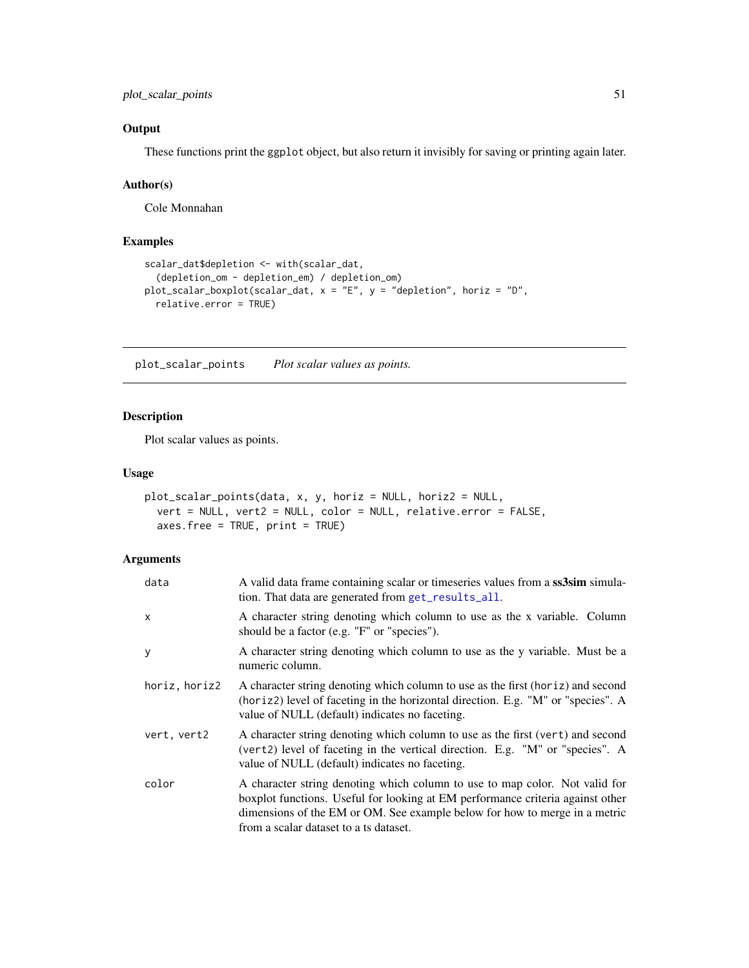# **Output**

These functions print the ggplot object, but also return it invisibly for saving or printing again later.

# Author(s)

Cole Monnahan

# Examples

```
scalar_dat$depletion <- with(scalar_dat,
  (depletion_om - depletion_em) / depletion_om)
plot_scalar_boxplot(scalar_dat, x = "E", y = "depletion", horiz = "D",
  relative.error = TRUE)
```
plot\_scalar\_points *Plot scalar values as points.*

# Description

Plot scalar values as points.

### Usage

```
plot_scalar_points(data, x, y, horiz = NULL, horiz2 = NULL,
 vert = NULL, vert2 = NULL, color = NULL, relative.error = FALSE,
  axes.free = TRUE, print = TRUE)
```

| data          | A valid data frame containing scalar or timeseries values from a ss3sim simula-<br>tion. That data are generated from get_results_all.                                                                                                                                                |
|---------------|---------------------------------------------------------------------------------------------------------------------------------------------------------------------------------------------------------------------------------------------------------------------------------------|
| X             | A character string denoting which column to use as the x variable. Column<br>should be a factor (e.g. "F" or "species").                                                                                                                                                              |
| У             | A character string denoting which column to use as the y variable. Must be a<br>numeric column.                                                                                                                                                                                       |
| horiz, horiz2 | A character string denoting which column to use as the first (horiz) and second<br>(horiz2) level of faceting in the horizontal direction. E.g. "M" or "species". A<br>value of NULL (default) indicates no faceting.                                                                 |
| vert, vert2   | A character string denoting which column to use as the first (vert) and second<br>(vert2) level of faceting in the vertical direction. E.g. "M" or "species". A<br>value of NULL (default) indicates no faceting.                                                                     |
| color         | A character string denoting which column to use to map color. Not valid for<br>boxplot functions. Useful for looking at EM performance criteria against other<br>dimensions of the EM or OM. See example below for how to merge in a metric<br>from a scalar dataset to a ts dataset. |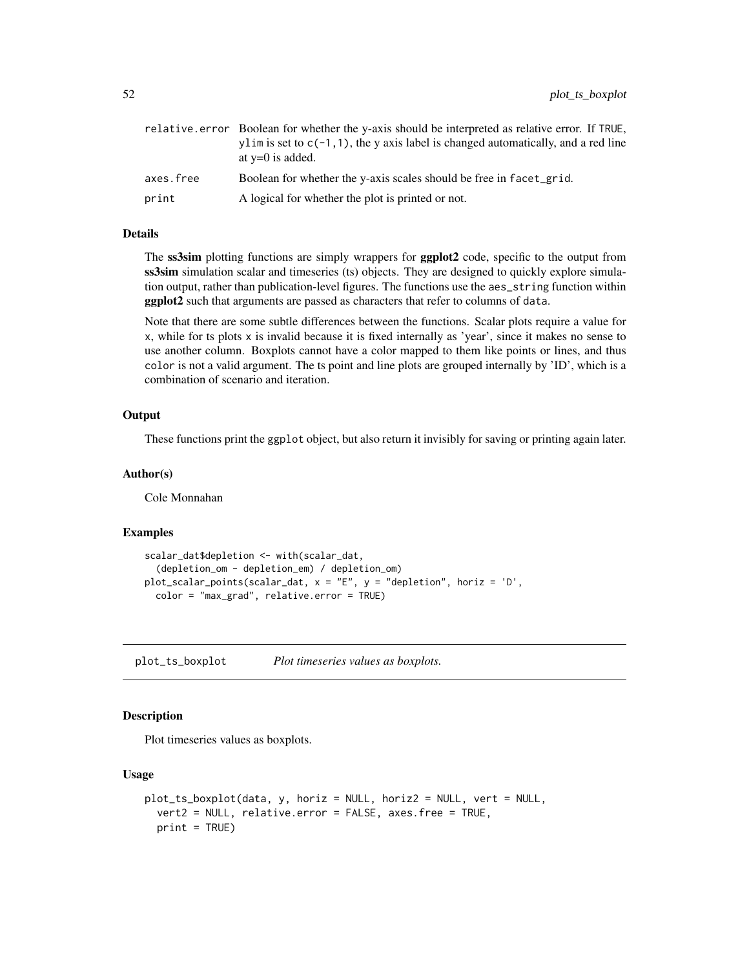|           | relative error Boolean for whether the y-axis should be interpreted as relative error. If TRUE,<br>$v\lim$ is set to $c(-1, 1)$ , the y axis label is changed automatically, and a red line<br>at $y=0$ is added. |
|-----------|-------------------------------------------------------------------------------------------------------------------------------------------------------------------------------------------------------------------|
| axes.free | Boolean for whether the y-axis scales should be free in facet_grid.                                                                                                                                               |
| print     | A logical for whether the plot is printed or not.                                                                                                                                                                 |

### Details

The ss3sim plotting functions are simply wrappers for **ggplot2** code, specific to the output from ss3sim simulation scalar and timeseries (ts) objects. They are designed to quickly explore simulation output, rather than publication-level figures. The functions use the aes\_string function within ggplot2 such that arguments are passed as characters that refer to columns of data.

Note that there are some subtle differences between the functions. Scalar plots require a value for x, while for ts plots x is invalid because it is fixed internally as 'year', since it makes no sense to use another column. Boxplots cannot have a color mapped to them like points or lines, and thus color is not a valid argument. The ts point and line plots are grouped internally by 'ID', which is a combination of scenario and iteration.

### **Output**

These functions print the ggplot object, but also return it invisibly for saving or printing again later.

#### Author(s)

Cole Monnahan

#### Examples

```
scalar_dat$depletion <- with(scalar_dat,
  (depletion_om - depletion_em) / depletion_om)
plot_scalar_points(scalar_dat, x = "E", y = "depletion", horiz = 'D',
 color = "max_grad", relative.error = TRUE)
```
plot\_ts\_boxplot *Plot timeseries values as boxplots.*

### **Description**

Plot timeseries values as boxplots.

#### Usage

```
plot_ts_boxplot(data, y, horiz = NULL, horiz2 = NULL, vert = NULL,
  vert2 = NULL, relative.error = FALSE, axes.free = TRUE,
 print = TRUE)
```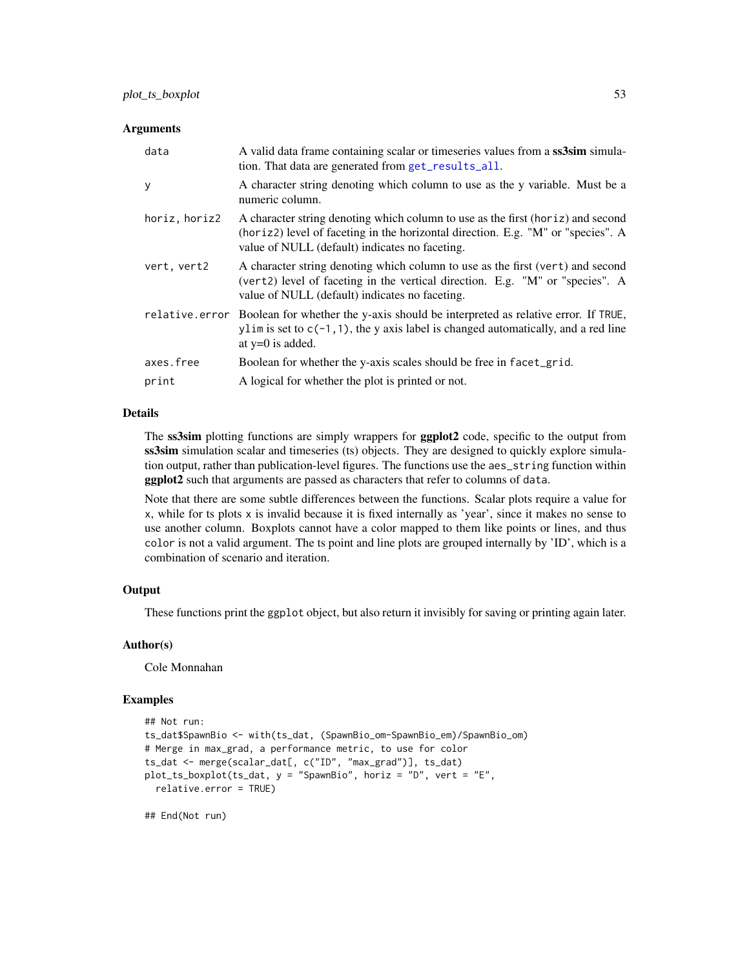#### **Arguments**

| data           | A valid data frame containing scalar or timeseries values from a ss3sim simula-<br>tion. That data are generated from get_results_all.                                                                                |
|----------------|-----------------------------------------------------------------------------------------------------------------------------------------------------------------------------------------------------------------------|
| y              | A character string denoting which column to use as the y variable. Must be a<br>numeric column.                                                                                                                       |
| horiz, horiz2  | A character string denoting which column to use as the first (horiz) and second<br>(horiz2) level of faceting in the horizontal direction. E.g. "M" or "species". A<br>value of NULL (default) indicates no faceting. |
| vert, vert2    | A character string denoting which column to use as the first (vert) and second<br>(vert2) level of faceting in the vertical direction. E.g. "M" or "species". A<br>value of NULL (default) indicates no faceting.     |
| relative.error | Boolean for whether the y-axis should be interpreted as relative error. If TRUE,<br>ylim is set to $c(-1, 1)$ , the y axis label is changed automatically, and a red line<br>at $y=0$ is added.                       |
| axes.free      | Boolean for whether the y-axis scales should be free in facet_grid.                                                                                                                                                   |
| print          | A logical for whether the plot is printed or not.                                                                                                                                                                     |

#### Details

The ss3sim plotting functions are simply wrappers for ggplot2 code, specific to the output from ss3sim simulation scalar and timeseries (ts) objects. They are designed to quickly explore simulation output, rather than publication-level figures. The functions use the aes\_string function within ggplot2 such that arguments are passed as characters that refer to columns of data.

Note that there are some subtle differences between the functions. Scalar plots require a value for x, while for ts plots x is invalid because it is fixed internally as 'year', since it makes no sense to use another column. Boxplots cannot have a color mapped to them like points or lines, and thus color is not a valid argument. The ts point and line plots are grouped internally by 'ID', which is a combination of scenario and iteration.

# **Output**

These functions print the ggplot object, but also return it invisibly for saving or printing again later.

### Author(s)

Cole Monnahan

#### Examples

```
## Not run:
ts_dat$SpawnBio <- with(ts_dat, (SpawnBio_om-SpawnBio_em)/SpawnBio_om)
# Merge in max_grad, a performance metric, to use for color
ts_dat <- merge(scalar_dat[, c("ID", "max_grad")], ts_dat)
plot_ts_boxplot(ts_dat, y = "SpawnBio", horiz = "D", vert = "E",
 relative.error = TRUE)
```
## End(Not run)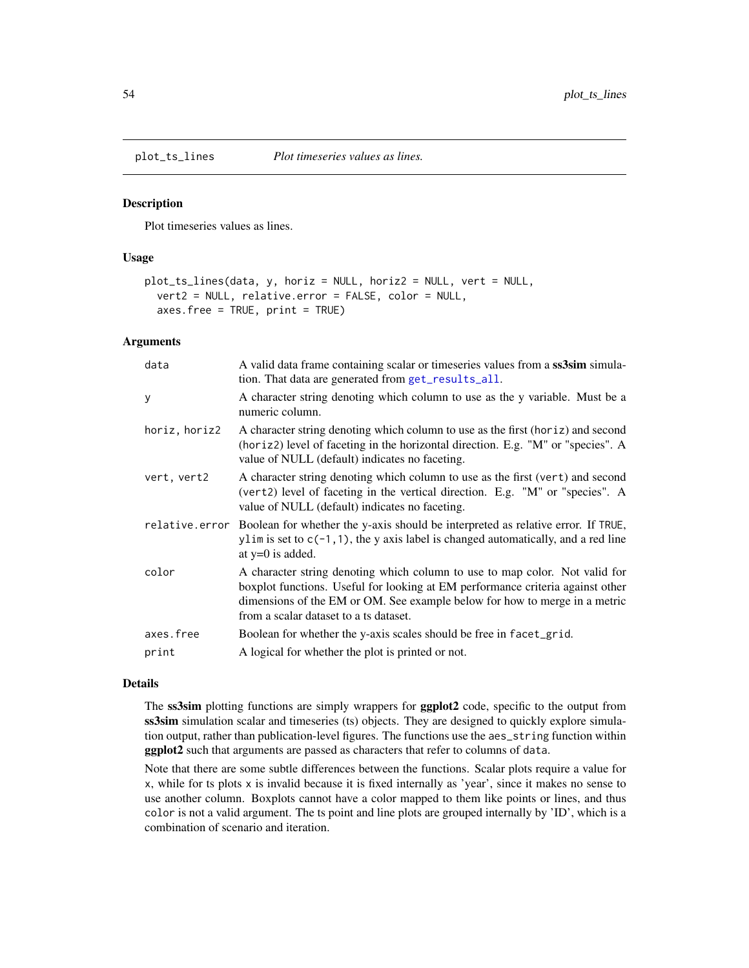#### Description

Plot timeseries values as lines.

### Usage

```
plot_ts_lines(data, y, horiz = NULL, horiz2 = NULL, vert = NULL,
  vert2 = NULL, relative.error = FALSE, color = NULL,
  axes.free = TRUE, print = TRUE)
```
# Arguments

| data           | A valid data frame containing scalar or timeseries values from a ss3sim simula-<br>tion. That data are generated from get_results_all.                                                                                                                                                |
|----------------|---------------------------------------------------------------------------------------------------------------------------------------------------------------------------------------------------------------------------------------------------------------------------------------|
| y              | A character string denoting which column to use as the y variable. Must be a<br>numeric column.                                                                                                                                                                                       |
| horiz, horiz2  | A character string denoting which column to use as the first (horiz) and second<br>(horiz2) level of faceting in the horizontal direction. E.g. "M" or "species". A<br>value of NULL (default) indicates no faceting.                                                                 |
| vert, vert2    | A character string denoting which column to use as the first (vert) and second<br>(vert2) level of faceting in the vertical direction. E.g. "M" or "species". A<br>value of NULL (default) indicates no faceting.                                                                     |
| relative.error | Boolean for whether the y-axis should be interpreted as relative error. If TRUE,<br>ylim is set to $c(-1, 1)$ , the y axis label is changed automatically, and a red line<br>at $y=0$ is added.                                                                                       |
| color          | A character string denoting which column to use to map color. Not valid for<br>boxplot functions. Useful for looking at EM performance criteria against other<br>dimensions of the EM or OM. See example below for how to merge in a metric<br>from a scalar dataset to a ts dataset. |
| axes.free      | Boolean for whether the y-axis scales should be free in facet_grid.                                                                                                                                                                                                                   |
| print          | A logical for whether the plot is printed or not.                                                                                                                                                                                                                                     |

#### Details

The ss3sim plotting functions are simply wrappers for **ggplot2** code, specific to the output from ss3sim simulation scalar and timeseries (ts) objects. They are designed to quickly explore simulation output, rather than publication-level figures. The functions use the aes\_string function within ggplot2 such that arguments are passed as characters that refer to columns of data.

Note that there are some subtle differences between the functions. Scalar plots require a value for x, while for ts plots x is invalid because it is fixed internally as 'year', since it makes no sense to use another column. Boxplots cannot have a color mapped to them like points or lines, and thus color is not a valid argument. The ts point and line plots are grouped internally by 'ID', which is a combination of scenario and iteration.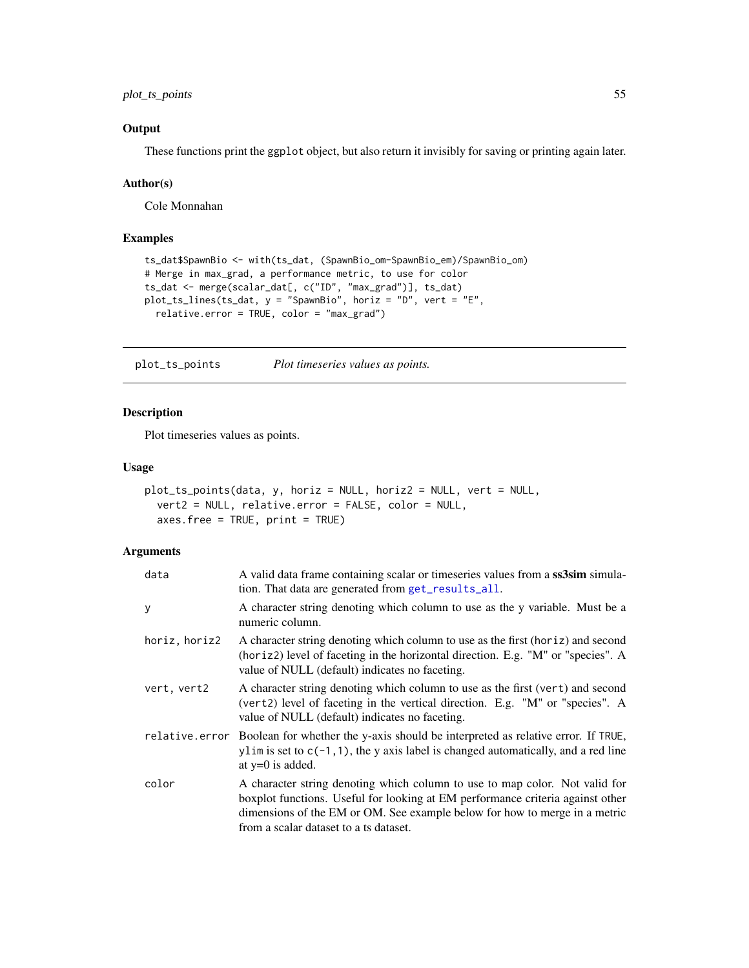plot\_ts\_points 55

# **Output**

These functions print the ggplot object, but also return it invisibly for saving or printing again later.

#### Author(s)

Cole Monnahan

### Examples

```
ts_dat$SpawnBio <- with(ts_dat, (SpawnBio_om-SpawnBio_em)/SpawnBio_om)
# Merge in max_grad, a performance metric, to use for color
ts_dat <- merge(scalar_dat[, c("ID", "max_grad")], ts_dat)
plot_ts_lines(ts_dat, y = "SpawnBio", horiz = "D", vert = "E",
  relative.error = TRUE, color = "max_grad")
```
plot\_ts\_points *Plot timeseries values as points.*

### Description

Plot timeseries values as points.

#### Usage

```
plot_ts_points(data, y, horiz = NULL, horiz2 = NULL, vert = NULL,
 vert2 = NULL, relative.error = FALSE, color = NULL,
  axes.free = TRUE, print = TRUE)
```

| data          | A valid data frame containing scalar or timeseries values from a ss3sim simula-<br>tion. That data are generated from get_results_all.                                                                                                                                                |
|---------------|---------------------------------------------------------------------------------------------------------------------------------------------------------------------------------------------------------------------------------------------------------------------------------------|
| У             | A character string denoting which column to use as the y variable. Must be a<br>numeric column.                                                                                                                                                                                       |
| horiz, horiz2 | A character string denoting which column to use as the first (horiz) and second<br>(horiz2) level of faceting in the horizontal direction. E.g. "M" or "species". A<br>value of NULL (default) indicates no faceting.                                                                 |
| vert, vert2   | A character string denoting which column to use as the first (vert) and second<br>(vert2) level of faceting in the vertical direction. E.g. "M" or "species". A<br>value of NULL (default) indicates no faceting.                                                                     |
|               | relative error Boolean for whether the y-axis should be interpreted as relative error. If TRUE,<br>ylim is set to $c(-1, 1)$ , the y axis label is changed automatically, and a red line<br>at $y=0$ is added.                                                                        |
| color         | A character string denoting which column to use to map color. Not valid for<br>boxplot functions. Useful for looking at EM performance criteria against other<br>dimensions of the EM or OM. See example below for how to merge in a metric<br>from a scalar dataset to a ts dataset. |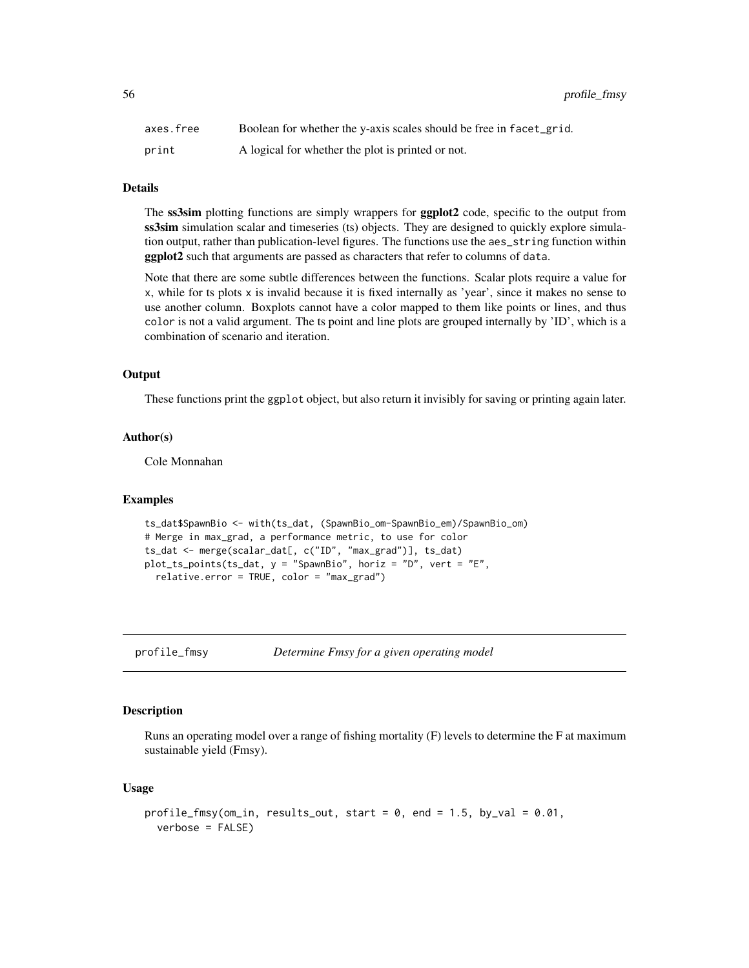| axes.free | Boolean for whether the y-axis scales should be free in facet_grid. |
|-----------|---------------------------------------------------------------------|
| print     | A logical for whether the plot is printed or not.                   |

# Details

The ss3sim plotting functions are simply wrappers for **ggplot2** code, specific to the output from ss3sim simulation scalar and timeseries (ts) objects. They are designed to quickly explore simulation output, rather than publication-level figures. The functions use the aes\_string function within ggplot2 such that arguments are passed as characters that refer to columns of data.

Note that there are some subtle differences between the functions. Scalar plots require a value for x, while for ts plots x is invalid because it is fixed internally as 'year', since it makes no sense to use another column. Boxplots cannot have a color mapped to them like points or lines, and thus color is not a valid argument. The ts point and line plots are grouped internally by 'ID', which is a combination of scenario and iteration.

### Output

These functions print the ggplot object, but also return it invisibly for saving or printing again later.

### Author(s)

Cole Monnahan

#### Examples

```
ts_dat$SpawnBio <- with(ts_dat, (SpawnBio_om-SpawnBio_em)/SpawnBio_om)
# Merge in max_grad, a performance metric, to use for color
ts_dat <- merge(scalar_dat[, c("ID", "max_grad")], ts_dat)
plot_ts_points(ts_dat, y = "SpawnBio", horiz = "D", vert = "E",
 relative.error = TRUE, color = "max_grad")
```

```
profile_fmsy Determine Fmsy for a given operating model
```
### Description

Runs an operating model over a range of fishing mortality (F) levels to determine the F at maximum sustainable yield (Fmsy).

#### Usage

```
profile_fmsy(om_in, results_out, start = 0, end = 1.5, by_val = 0.01,
  verbose = FALSE)
```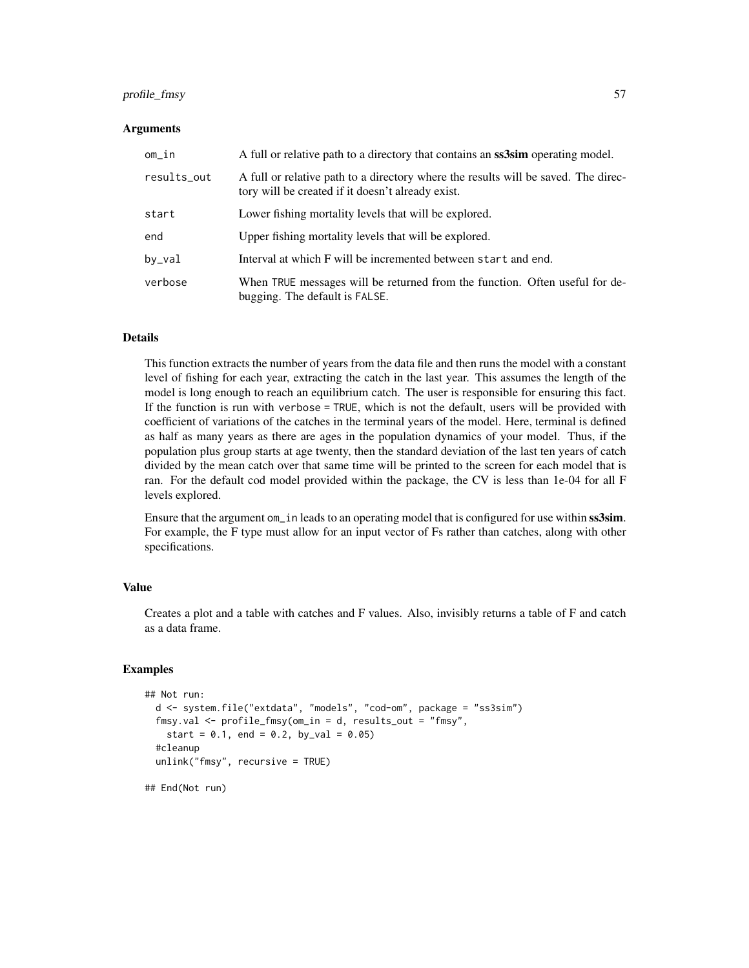### profile\_fmsy 57

#### **Arguments**

| om_in       | A full or relative path to a directory that contains an <b>ss3sim</b> operating model.                                                  |
|-------------|-----------------------------------------------------------------------------------------------------------------------------------------|
| results_out | A full or relative path to a directory where the results will be saved. The direc-<br>tory will be created if it doesn't already exist. |
| start       | Lower fishing mortality levels that will be explored.                                                                                   |
| end         | Upper fishing mortality levels that will be explored.                                                                                   |
| by_val      | Interval at which F will be incremented between start and end.                                                                          |
| verbose     | When TRUE messages will be returned from the function. Often useful for de-<br>bugging. The default is FALSE.                           |

#### Details

This function extracts the number of years from the data file and then runs the model with a constant level of fishing for each year, extracting the catch in the last year. This assumes the length of the model is long enough to reach an equilibrium catch. The user is responsible for ensuring this fact. If the function is run with verbose = TRUE, which is not the default, users will be provided with coefficient of variations of the catches in the terminal years of the model. Here, terminal is defined as half as many years as there are ages in the population dynamics of your model. Thus, if the population plus group starts at age twenty, then the standard deviation of the last ten years of catch divided by the mean catch over that same time will be printed to the screen for each model that is ran. For the default cod model provided within the package, the CV is less than 1e-04 for all F levels explored.

Ensure that the argument om\_in leads to an operating model that is configured for use within ss3sim. For example, the F type must allow for an input vector of Fs rather than catches, along with other specifications.

# Value

Creates a plot and a table with catches and F values. Also, invisibly returns a table of F and catch as a data frame.

# Examples

```
## Not run:
 d <- system.file("extdata", "models", "cod-om", package = "ss3sim")
 fmsy.val <- profile_fmsy(om_in = d, results_out = "fmsy",
   start = 0.1, end = 0.2, by_val = 0.05)
 #cleanup
 unlink("fmsy", recursive = TRUE)
```
## End(Not run)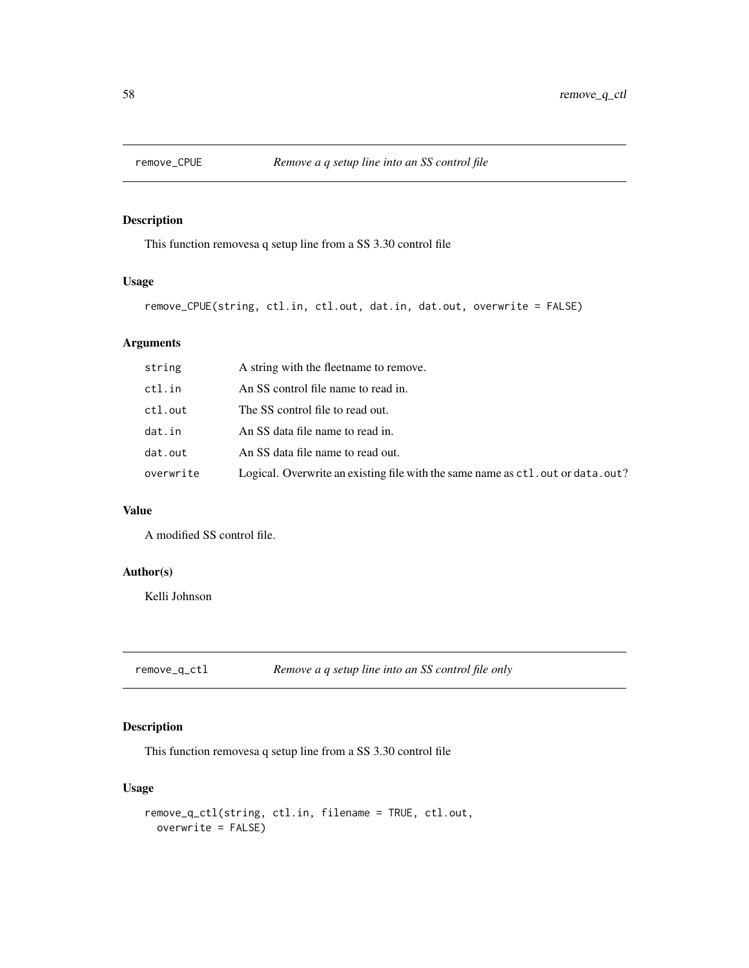# Description

This function removesa q setup line from a SS 3.30 control file

# Usage

```
remove_CPUE(string, ctl.in, ctl.out, dat.in, dat.out, overwrite = FALSE)
```
# Arguments

| ctl.in<br>An SS control file name to read in.<br>ctl.out<br>The SS control file to read out.<br>dat.in<br>An SS data file name to read in.<br>dat.out<br>An SS data file name to read out.<br>overwrite | string | A string with the fleetname to remove.                                           |
|---------------------------------------------------------------------------------------------------------------------------------------------------------------------------------------------------------|--------|----------------------------------------------------------------------------------|
|                                                                                                                                                                                                         |        |                                                                                  |
|                                                                                                                                                                                                         |        |                                                                                  |
|                                                                                                                                                                                                         |        |                                                                                  |
|                                                                                                                                                                                                         |        |                                                                                  |
|                                                                                                                                                                                                         |        | Logical. Overwrite an existing file with the same name as ctl. out or data. out? |

### Value

A modified SS control file.

# Author(s)

Kelli Johnson

remove\_q\_ctl *Remove a q setup line into an SS control file only*

# Description

This function removesa q setup line from a SS 3.30 control file

# Usage

```
remove_q_ctl(string, ctl.in, filename = TRUE, ctl.out,
 overwrite = FALSE)
```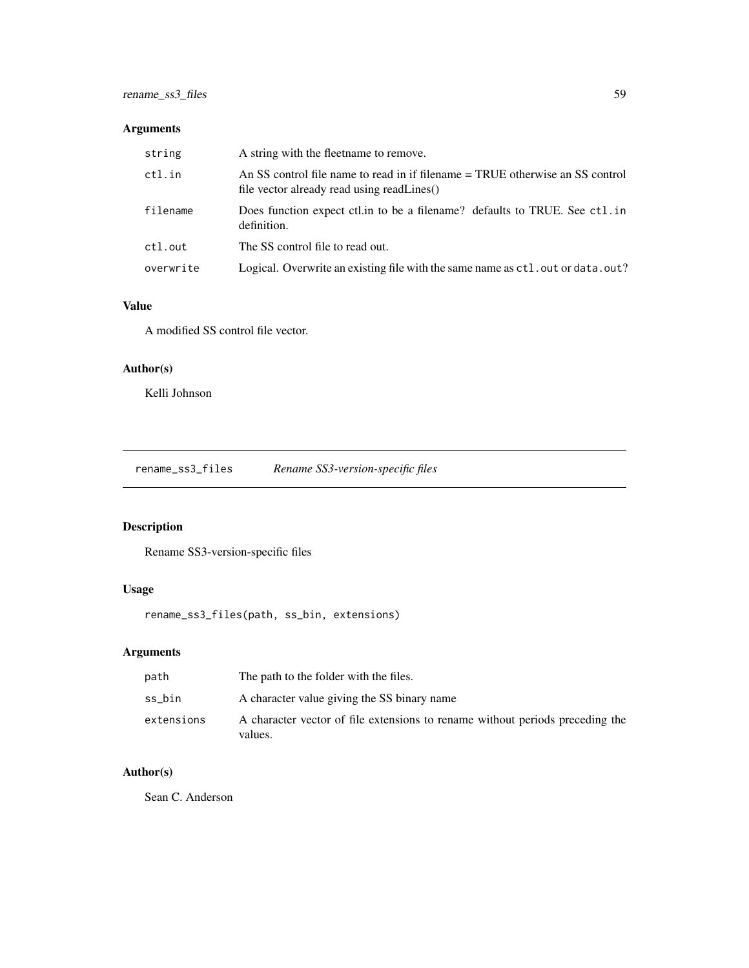# Arguments

| string    | A string with the fleetname to remove.                                                                                      |
|-----------|-----------------------------------------------------------------------------------------------------------------------------|
| ctl.in    | An SS control file name to read in if filename = TRUE otherwise an SS control<br>file vector already read using readLines() |
| filename  | Does function expect ctl. in to be a filename? defaults to TRUE. See ctl. in<br>definition.                                 |
| ctl.out   | The SS control file to read out.                                                                                            |
| overwrite | Logical. Overwrite an existing file with the same name as ctl. out or data. out?                                            |

# Value

A modified SS control file vector.

# Author(s)

Kelli Johnson

rename\_ss3\_files *Rename SS3-version-specific files*

# Description

Rename SS3-version-specific files

# Usage

rename\_ss3\_files(path, ss\_bin, extensions)

# Arguments

| path       | The path to the folder with the files.                                                   |
|------------|------------------------------------------------------------------------------------------|
| ss bin     | A character value giving the SS binary name                                              |
| extensions | A character vector of file extensions to rename without periods preceding the<br>values. |

# Author(s)

Sean C. Anderson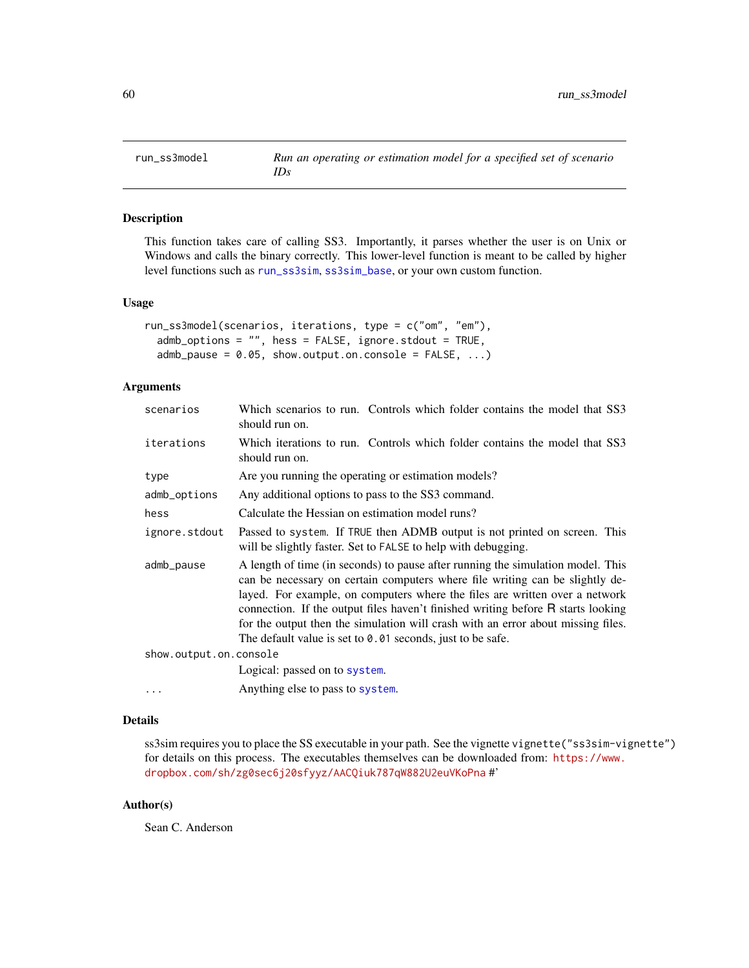<span id="page-59-0"></span>

### Description

This function takes care of calling SS3. Importantly, it parses whether the user is on Unix or Windows and calls the binary correctly. This lower-level function is meant to be called by higher level functions such as [run\\_ss3sim](#page-60-0), [ss3sim\\_base](#page-77-0), or your own custom function.

#### Usage

```
run_ss3model(scenarios, iterations, type = c("om", "em"),
  admb\_options = "", \text{hess} = FALSE, ignore.stdout = TRUE,admb_pause = 0.05, show.output.on.console = FALSE, ...)
```
### Arguments

| scenarios              | Which scenarios to run. Controls which folder contains the model that SS3<br>should run on.                                                                                                                                                                                                                                                                                                                                                                                            |
|------------------------|----------------------------------------------------------------------------------------------------------------------------------------------------------------------------------------------------------------------------------------------------------------------------------------------------------------------------------------------------------------------------------------------------------------------------------------------------------------------------------------|
| iterations             | Which iterations to run. Controls which folder contains the model that SS3<br>should run on.                                                                                                                                                                                                                                                                                                                                                                                           |
| type                   | Are you running the operating or estimation models?                                                                                                                                                                                                                                                                                                                                                                                                                                    |
| admb_options           | Any additional options to pass to the SS3 command.                                                                                                                                                                                                                                                                                                                                                                                                                                     |
| hess                   | Calculate the Hessian on estimation model runs?                                                                                                                                                                                                                                                                                                                                                                                                                                        |
| ignore.stdout          | Passed to system. If TRUE then ADMB output is not printed on screen. This<br>will be slightly faster. Set to FALSE to help with debugging.                                                                                                                                                                                                                                                                                                                                             |
| admb_pause             | A length of time (in seconds) to pause after running the simulation model. This<br>can be necessary on certain computers where file writing can be slightly de-<br>layed. For example, on computers where the files are written over a network<br>connection. If the output files haven't finished writing before R starts looking<br>for the output then the simulation will crash with an error about missing files.<br>The default value is set to $0.01$ seconds, just to be safe. |
| show.output.on.console |                                                                                                                                                                                                                                                                                                                                                                                                                                                                                        |
|                        | Logical: passed on to system.                                                                                                                                                                                                                                                                                                                                                                                                                                                          |
| $\cdots$               | Anything else to pass to system.                                                                                                                                                                                                                                                                                                                                                                                                                                                       |

#### Details

ss3sim requires you to place the SS executable in your path. See the vignette vignette("ss3sim-vignette") for details on this process. The executables themselves can be downloaded from: [https://www.](https://www.dropbox.com/sh/zg0sec6j20sfyyz/AACQiuk787qW882U2euVKoPna) [dropbox.com/sh/zg0sec6j20sfyyz/AACQiuk787qW882U2euVKoPna](https://www.dropbox.com/sh/zg0sec6j20sfyyz/AACQiuk787qW882U2euVKoPna) #'

### Author(s)

Sean C. Anderson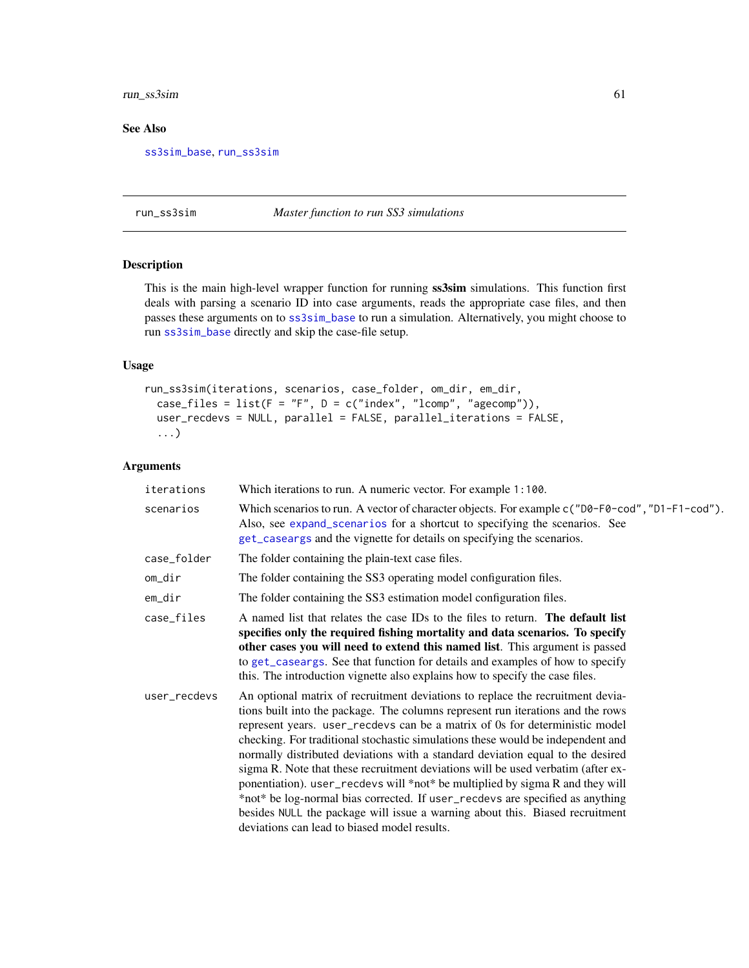# run\_ss3sim 61

## See Also

[ss3sim\\_base](#page-77-0), [run\\_ss3sim](#page-60-0)

#### <span id="page-60-0"></span>run\_ss3sim *Master function to run SS3 simulations*

## Description

This is the main high-level wrapper function for running  $ss3sim$  simulations. This function first deals with parsing a scenario ID into case arguments, reads the appropriate case files, and then passes these arguments on to [ss3sim\\_base](#page-77-0) to run a simulation. Alternatively, you might choose to run [ss3sim\\_base](#page-77-0) directly and skip the case-file setup.

### Usage

```
run_ss3sim(iterations, scenarios, case_folder, om_dir, em_dir,
 case_files = list(F = "F", D = c("index", "lcomp", "agecomp")),
 user_recdevs = NULL, parallel = FALSE, parallel_iterations = FALSE,
  ...)
```

| iterations   | Which iterations to run. A numeric vector. For example 1:100.                                                                                                                                                                                                                                                                                                                                                                                                                                                                                                                                                                                                                                                                                                                                               |
|--------------|-------------------------------------------------------------------------------------------------------------------------------------------------------------------------------------------------------------------------------------------------------------------------------------------------------------------------------------------------------------------------------------------------------------------------------------------------------------------------------------------------------------------------------------------------------------------------------------------------------------------------------------------------------------------------------------------------------------------------------------------------------------------------------------------------------------|
| scenarios    | Which scenarios to run. A vector of character objects. For example c("D0-F0-cod", "D1-F1-cod").<br>Also, see expand_scenarios for a shortcut to specifying the scenarios. See<br>get_caseargs and the vignette for details on specifying the scenarios.                                                                                                                                                                                                                                                                                                                                                                                                                                                                                                                                                     |
| case_folder  | The folder containing the plain-text case files.                                                                                                                                                                                                                                                                                                                                                                                                                                                                                                                                                                                                                                                                                                                                                            |
| om_dir       | The folder containing the SS3 operating model configuration files.                                                                                                                                                                                                                                                                                                                                                                                                                                                                                                                                                                                                                                                                                                                                          |
| em_dir       | The folder containing the SS3 estimation model configuration files.                                                                                                                                                                                                                                                                                                                                                                                                                                                                                                                                                                                                                                                                                                                                         |
| case_files   | A named list that relates the case IDs to the files to return. The default list<br>specifies only the required fishing mortality and data scenarios. To specify<br>other cases you will need to extend this named list. This argument is passed<br>to get_caseargs. See that function for details and examples of how to specify<br>this. The introduction vignette also explains how to specify the case files.                                                                                                                                                                                                                                                                                                                                                                                            |
| user_recdevs | An optional matrix of recruitment deviations to replace the recruitment devia-<br>tions built into the package. The columns represent run iterations and the rows<br>represent years. user_recdevs can be a matrix of 0s for deterministic model<br>checking. For traditional stochastic simulations these would be independent and<br>normally distributed deviations with a standard deviation equal to the desired<br>sigma R. Note that these recruitment deviations will be used verbatim (after ex-<br>ponentiation). user_recdevs will *not* be multiplied by sigma R and they will<br>*not* be log-normal bias corrected. If user_recdevs are specified as anything<br>besides NULL the package will issue a warning about this. Biased recruitment<br>deviations can lead to biased model results. |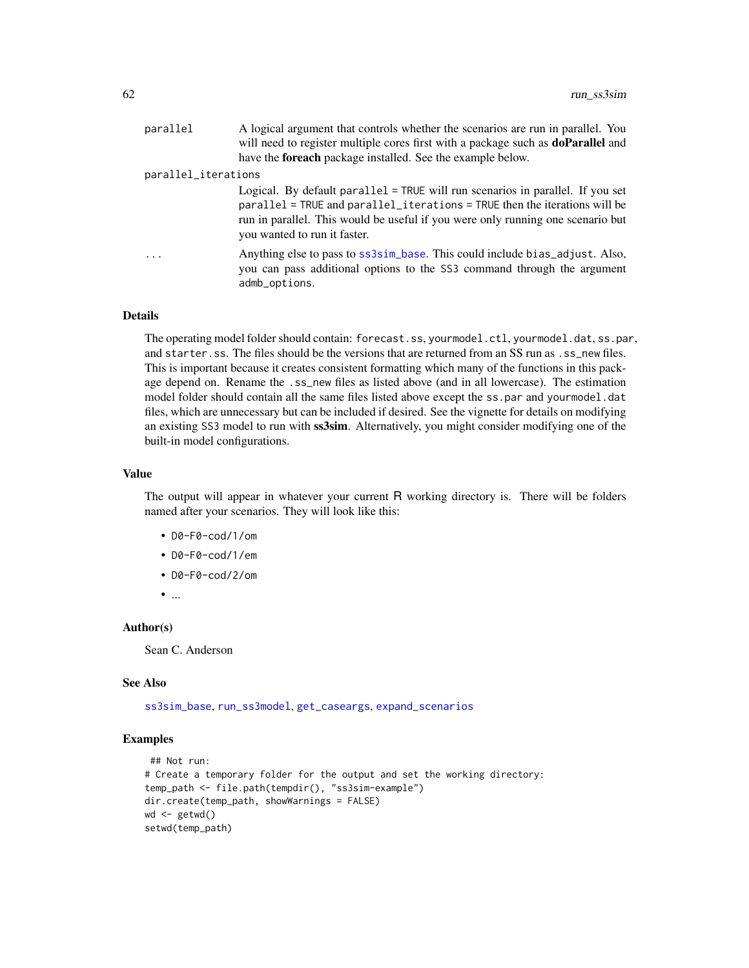| parallel            | A logical argument that controls whether the scenarios are run in parallel. You<br>will need to register multiple cores first with a package such as <b>doParallel</b> and                                                                                                        |
|---------------------|-----------------------------------------------------------------------------------------------------------------------------------------------------------------------------------------------------------------------------------------------------------------------------------|
|                     | have the <b>foreach</b> package installed. See the example below.                                                                                                                                                                                                                 |
| parallel_iterations |                                                                                                                                                                                                                                                                                   |
|                     | Logical. By default parallel = $TRUE$ will run scenarios in parallel. If you set<br>parallel = TRUE and parallel_iterations = TRUE then the iterations will be<br>run in parallel. This would be useful if you were only running one scenario but<br>you wanted to run it faster. |
| .                   | Anything else to pass to ss3sim_base. This could include bias_adjust. Also,<br>you can pass additional options to the SS3 command through the argument<br>admb_options.                                                                                                           |

#### Details

The operating model folder should contain: forecast.ss, yourmodel.ctl, yourmodel.dat, ss.par, and starter.ss. The files should be the versions that are returned from an SS run as .ss\_new files. This is important because it creates consistent formatting which many of the functions in this package depend on. Rename the .ss\_new files as listed above (and in all lowercase). The estimation model folder should contain all the same files listed above except the ss.par and yourmodel.dat files, which are unnecessary but can be included if desired. See the vignette for details on modifying an existing SS3 model to run with ss3sim. Alternatively, you might consider modifying one of the built-in model configurations.

#### Value

The output will appear in whatever your current R working directory is. There will be folders named after your scenarios. They will look like this:

- D0-F0-cod/1/om
- D0-F0-cod/1/em
- D0-F0-cod/2/om
- ...

### Author(s)

Sean C. Anderson

#### See Also

[ss3sim\\_base](#page-77-0), [run\\_ss3model](#page-59-0), [get\\_caseargs](#page-39-0), [expand\\_scenarios](#page-36-0)

#### Examples

```
## Not run:
# Create a temporary folder for the output and set the working directory:
temp_path <- file.path(tempdir(), "ss3sim-example")
dir.create(temp_path, showWarnings = FALSE)
wd <- getwd()
setwd(temp_path)
```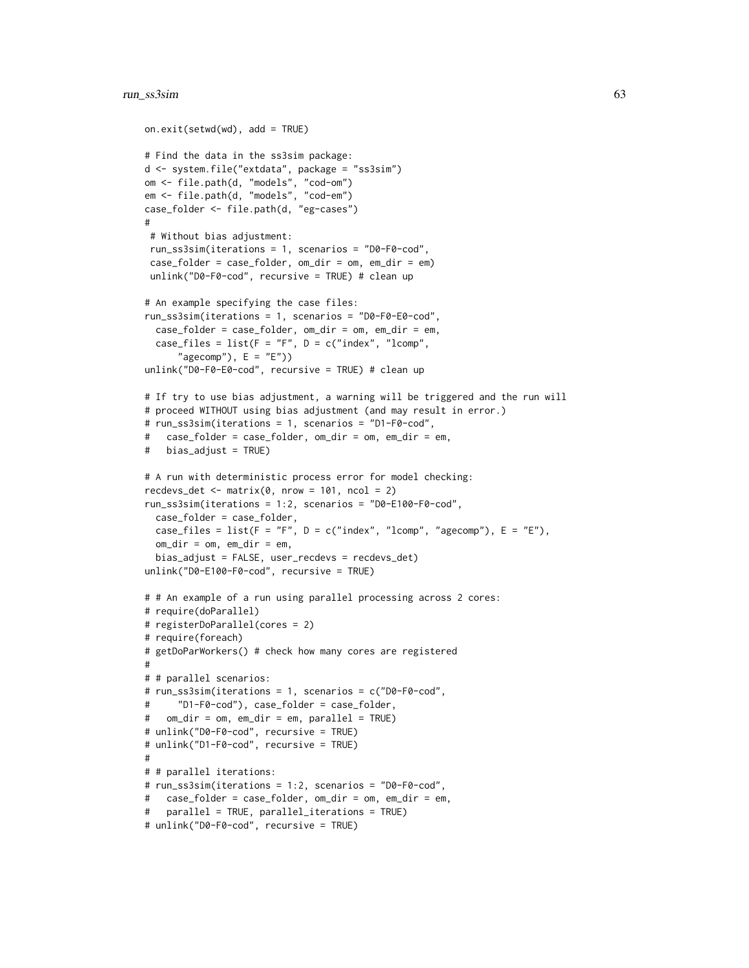### run\_ss3sim 63

```
on.exit(setwd(wd), add = TRUE)
# Find the data in the ss3sim package:
d <- system.file("extdata", package = "ss3sim")
om <- file.path(d, "models", "cod-om")
em <- file.path(d, "models", "cod-em")
case_folder <- file.path(d, "eg-cases")
#
 # Without bias adjustment:
 run_ss3sim(iterations = 1, scenarios = "D0-F0-cod",
 case_folder = case_folder, om_dir = om, em_dir = em)
 unlink("D0-F0-cod", recursive = TRUE) # clean up
# An example specifying the case files:
run_ss3sim(iterations = 1, scenarios = "D0-F0-E0-cod",
  case_folder = case_folder, om_dir = om, em_dir = em,
  case_files = list(F = "F", D = c("index", "lcomp","agecomp"), E = "E")unlink("D0-F0-E0-cod", recursive = TRUE) # clean up
# If try to use bias adjustment, a warning will be triggered and the run will
# proceed WITHOUT using bias adjustment (and may result in error.)
# run_ss3sim(iterations = 1, scenarios = "D1-F0-cod",
# case_folder = case_folder, om_dir = om, em_dir = em,
# bias_adjust = TRUE)
# A run with deterministic process error for model checking:
recdevs_det \leq matrix(0, nrow = 101, ncol = 2)
run_ss3sim(iterations = 1:2, scenarios = "D0-E100-F0-cod",
  case_folder = case_folder,
  case_files = list(F = "F", D = c("index", "lcomp", "agecomp"), E = "E"),om\_dir = om, em\_dir = em,
  bias_adjust = FALSE, user_recdevs = recdevs_det)
unlink("D0-E100-F0-cod", recursive = TRUE)
# # An example of a run using parallel processing across 2 cores:
# require(doParallel)
# registerDoParallel(cores = 2)
# require(foreach)
# getDoParWorkers() # check how many cores are registered
#
# # parallel scenarios:
# run_ss3sim(iterations = 1, scenarios = c("D0-F0-cod",
# "D1-F0-cod"), case_folder = case_folder,
# om_dir = om, em_dir = em, parallel = TRUE)
# unlink("D0-F0-cod", recursive = TRUE)
# unlink("D1-F0-cod", recursive = TRUE)
#
# # parallel iterations:
# run_ss3sim(iterations = 1:2, scenarios = "D0-F0-cod",
# case_folder = case_folder, om_dir = om, em_dir = em,
# parallel = TRUE, parallel_iterations = TRUE)
# unlink("D0-F0-cod", recursive = TRUE)
```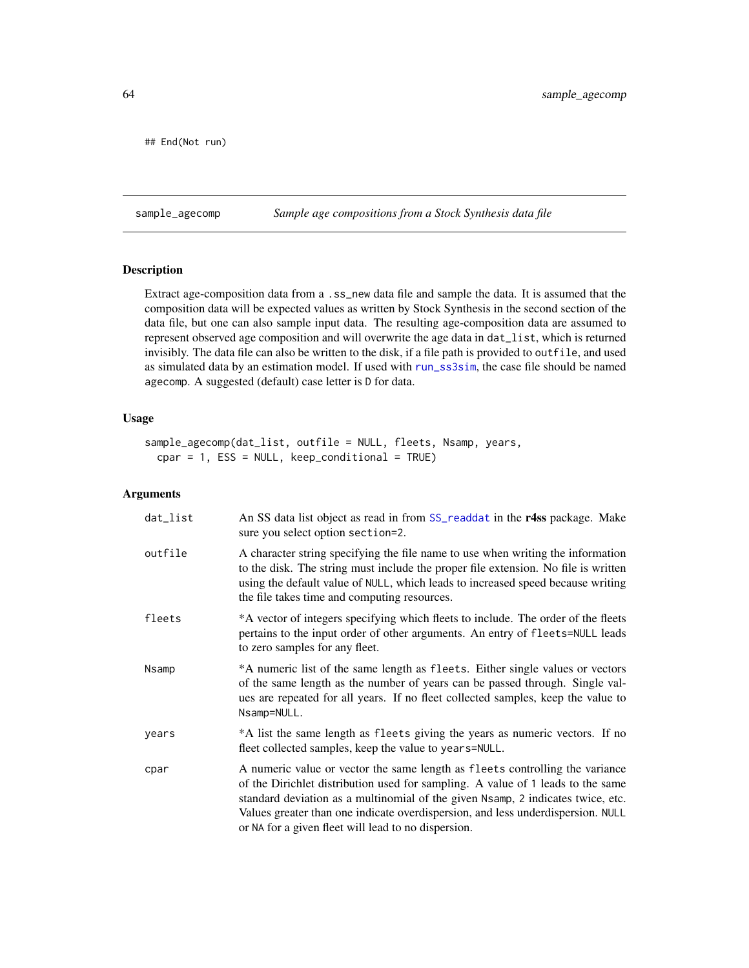## End(Not run)

<span id="page-63-0"></span>sample\_agecomp *Sample age compositions from a Stock Synthesis data file*

# Description

Extract age-composition data from a .ss\_new data file and sample the data. It is assumed that the composition data will be expected values as written by Stock Synthesis in the second section of the data file, but one can also sample input data. The resulting age-composition data are assumed to represent observed age composition and will overwrite the age data in dat\_list, which is returned invisibly. The data file can also be written to the disk, if a file path is provided to outfile, and used as simulated data by an estimation model. If used with [run\\_ss3sim](#page-60-0), the case file should be named agecomp. A suggested (default) case letter is D for data.

#### Usage

```
sample_agecomp(dat_list, outfile = NULL, fleets, Nsamp, years,
  cpar = 1, ESS = NULL, keep\_conditional = TRUE)
```

| dat_list | An SS data list object as read in from SS_readdat in the r4ss package. Make<br>sure you select option section=2.                                                                                                                                                                                                                                                                             |
|----------|----------------------------------------------------------------------------------------------------------------------------------------------------------------------------------------------------------------------------------------------------------------------------------------------------------------------------------------------------------------------------------------------|
| outfile  | A character string specifying the file name to use when writing the information<br>to the disk. The string must include the proper file extension. No file is written<br>using the default value of NULL, which leads to increased speed because writing<br>the file takes time and computing resources.                                                                                     |
| fleets   | *A vector of integers specifying which fleets to include. The order of the fleets<br>pertains to the input order of other arguments. An entry of fleets=NULL leads<br>to zero samples for any fleet.                                                                                                                                                                                         |
| Nsamp    | *A numeric list of the same length as fleets. Either single values or vectors<br>of the same length as the number of years can be passed through. Single val-<br>ues are repeated for all years. If no fleet collected samples, keep the value to<br>Nsamp=NULL.                                                                                                                             |
| years    | *A list the same length as fleets giving the years as numeric vectors. If no<br>fleet collected samples, keep the value to years=NULL.                                                                                                                                                                                                                                                       |
| cpar     | A numeric value or vector the same length as fleets controlling the variance<br>of the Dirichlet distribution used for sampling. A value of 1 leads to the same<br>standard deviation as a multinomial of the given Nsamp, 2 indicates twice, etc.<br>Values greater than one indicate overdispersion, and less underdispersion. NULL<br>or NA for a given fleet will lead to no dispersion. |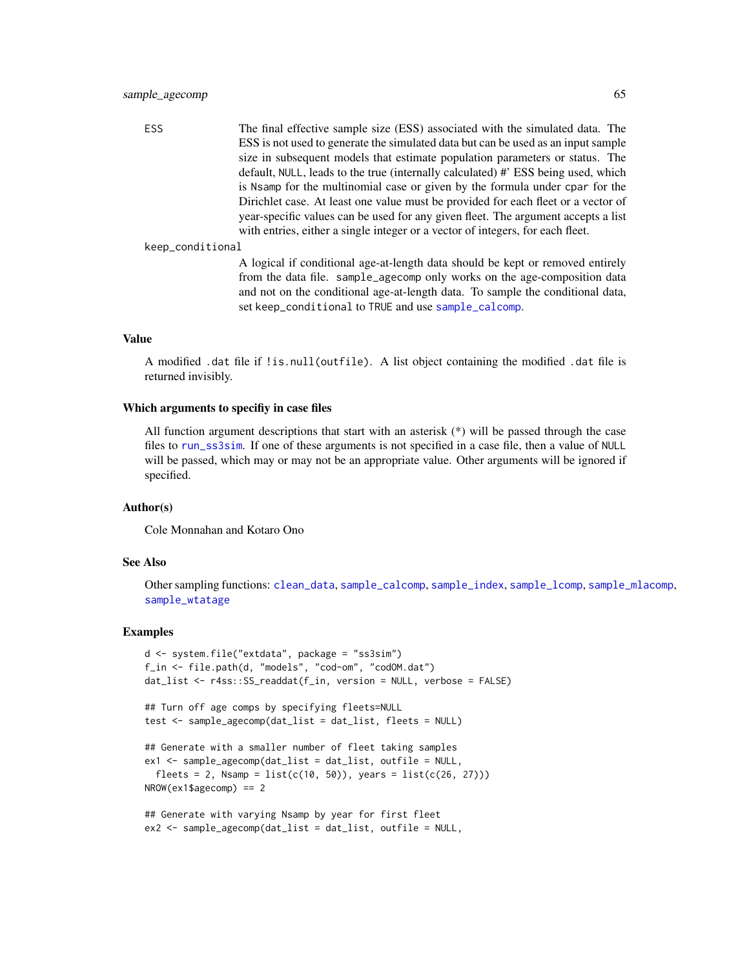ESS The final effective sample size (ESS) associated with the simulated data. The ESS is not used to generate the simulated data but can be used as an input sample size in subsequent models that estimate population parameters or status. The default, NULL, leads to the true (internally calculated) #' ESS being used, which is Nsamp for the multinomial case or given by the formula under cpar for the Dirichlet case. At least one value must be provided for each fleet or a vector of year-specific values can be used for any given fleet. The argument accepts a list with entries, either a single integer or a vector of integers, for each fleet.

```
keep_conditional
```
A logical if conditional age-at-length data should be kept or removed entirely from the data file. sample\_agecomp only works on the age-composition data and not on the conditional age-at-length data. To sample the conditional data, set keep\_conditional to TRUE and use [sample\\_calcomp](#page-65-0).

### Value

A modified .dat file if !is.null(outfile). A list object containing the modified .dat file is returned invisibly.

#### Which arguments to specifiy in case files

All function argument descriptions that start with an asterisk  $(*)$  will be passed through the case files to [run\\_ss3sim](#page-60-0). If one of these arguments is not specified in a case file, then a value of NULL will be passed, which may or may not be an appropriate value. Other arguments will be ignored if specified.

### Author(s)

Cole Monnahan and Kotaro Ono

### See Also

Other sampling functions: [clean\\_data](#page-32-0), [sample\\_calcomp](#page-65-0), [sample\\_index](#page-68-0), [sample\\_lcomp](#page-70-0), [sample\\_mlacomp](#page-72-0), [sample\\_wtatage](#page-74-0)

### Examples

```
d <- system.file("extdata", package = "ss3sim")
f_in \leq file.path(d, "models", "cod-om", "codOM.dat")dat_list <- r4ss::SS_readdat(f_in, version = NULL, verbose = FALSE)
## Turn off age comps by specifying fleets=NULL
test <- sample_agecomp(dat_list = dat_list, fleets = NULL)
## Generate with a smaller number of fleet taking samples
ex1 <- sample_agecomp(dat_list = dat_list, outfile = NULL,
 fheets = 2, Nsamp = list(c(10, 50)), years = list(c(26, 27)))NROW(ex1$agecomp) == 2
## Generate with varying Nsamp by year for first fleet
```

```
ex2 <- sample_agecomp(dat_list = dat_list, outfile = NULL,
```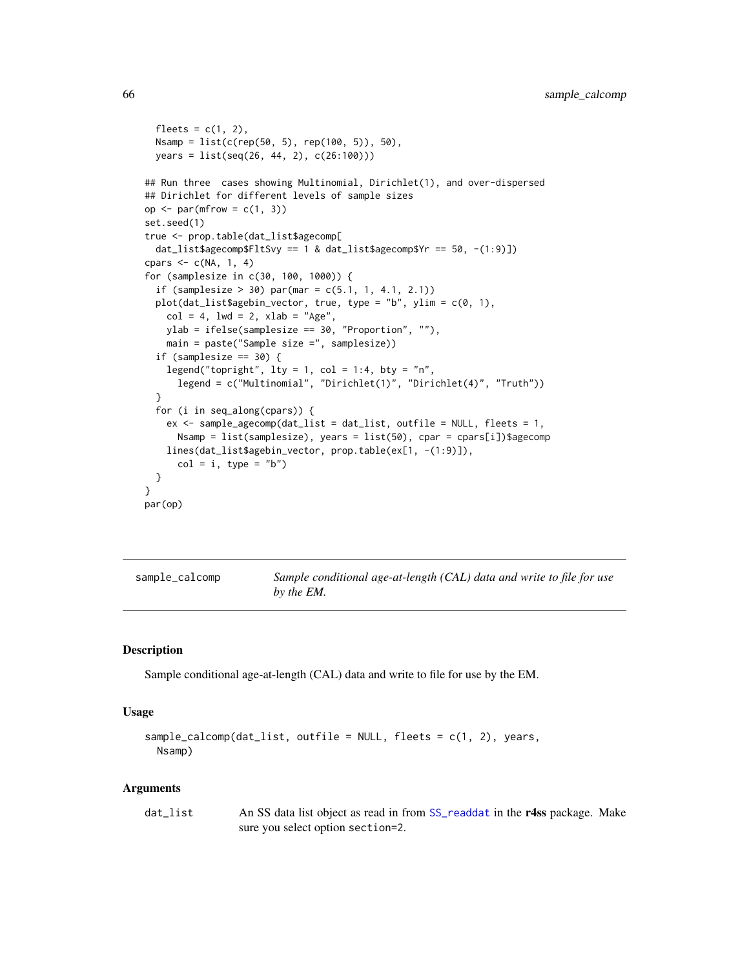```
fleets = c(1, 2),
 Nsamp = list(c(rep(50, 5), rep(100, 5)), 50),
 years = list(seq(26, 44, 2), c(26:100)))
## Run three cases showing Multinomial, Dirichlet(1), and over-dispersed
## Dirichlet for different levels of sample sizes
op \leq par(mfrow = c(1, 3))
set.seed(1)
true <- prop.table(dat_list$agecomp[
 dat_list$agecomp$FltSvy == 1 & dat_list$agecomp$Yr == 50, -(1:9)])
cpars \leq c(NA, 1, 4)
for (samplesize in c(30, 100, 1000)) {
 if (samplesize > 30) par(mar = c(5.1, 1, 4.1, 2.1))
 plot(dat_list$agebin_vector, true, type = "b", ylim = c(0, 1),
   col = 4, 1wd = 2, xlab = "Age",ylab = ifelse(samplesize == 30, "Proportion", ""),
   main = paste("Sample size =", samplesize))
 if (samplesize == 30) {
    legend("topright", lty = 1, col = 1:4, bty = "n",legend = c("Multinomial", "Dirichlet(1)", "Dirichlet(4)", "Truth"))
 }
 for (i in seq_along(cpars)) {
   ex <- sample_agecomp(dat_list = dat_list, outfile = NULL, fleets = 1,
     Nsamp = list(samplesize), years = list(50), cpar = cpars[i])$agecomp
   lines(dat_list$agebin_vector, prop.table(ex[1, -(1:9)]),
     col = i, type = "b")
 }
}
par(op)
```
<span id="page-65-0"></span>sample\_calcomp *Sample conditional age-at-length (CAL) data and write to file for use by the EM.*

### Description

Sample conditional age-at-length (CAL) data and write to file for use by the EM.

### Usage

```
sample_calcomp(dat_list, outfile = NULL, fleets = c(1, 2), years,
 Nsamp)
```

| dat list | An SS data list object as read in from SS_readdat in the r4ss package. Make |
|----------|-----------------------------------------------------------------------------|
|          | sure you select option section=2.                                           |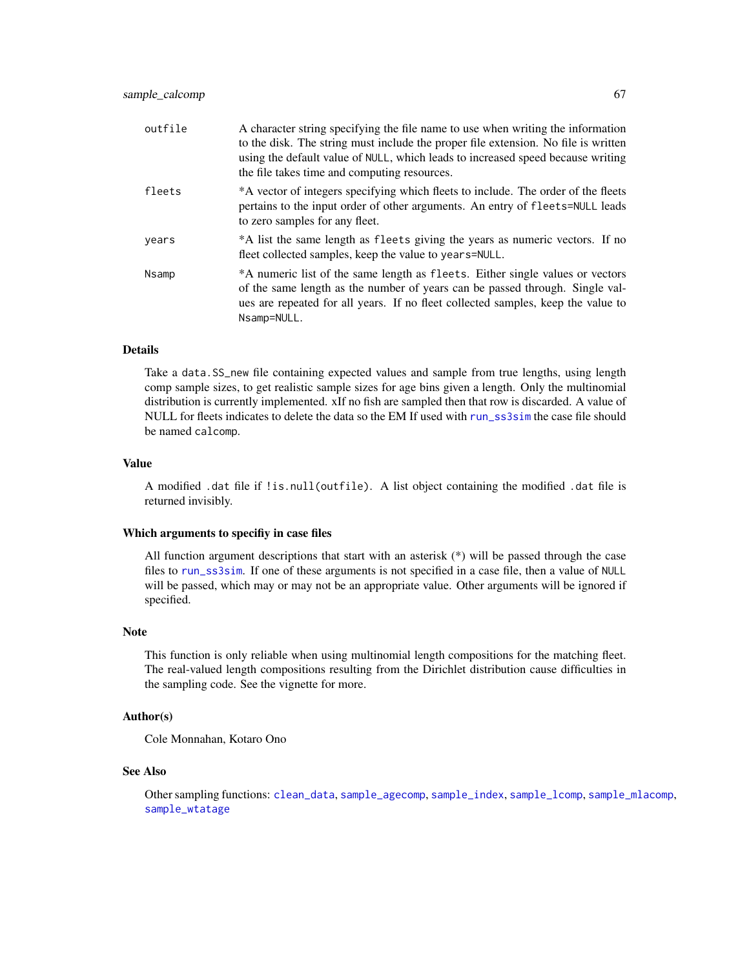| outfile | A character string specifying the file name to use when writing the information<br>to the disk. The string must include the proper file extension. No file is written<br>using the default value of NULL, which leads to increased speed because writing<br>the file takes time and computing resources. |
|---------|----------------------------------------------------------------------------------------------------------------------------------------------------------------------------------------------------------------------------------------------------------------------------------------------------------|
| fleets  | *A vector of integers specifying which fleets to include. The order of the fleets<br>pertains to the input order of other arguments. An entry of fleets=NULL leads<br>to zero samples for any fleet.                                                                                                     |
| years   | *A list the same length as fleets giving the years as numeric vectors. If no<br>fleet collected samples, keep the value to years=NULL.                                                                                                                                                                   |
| Nsamp   | *A numeric list of the same length as fleets. Either single values or vectors<br>of the same length as the number of years can be passed through. Single val-<br>ues are repeated for all years. If no fleet collected samples, keep the value to<br>Nsamp=NULL.                                         |

### Details

Take a data.SS\_new file containing expected values and sample from true lengths, using length comp sample sizes, to get realistic sample sizes for age bins given a length. Only the multinomial distribution is currently implemented. xIf no fish are sampled then that row is discarded. A value of NULL for fleets indicates to delete the data so the EM If used with [run\\_ss3sim](#page-60-0) the case file should be named calcomp.

# Value

A modified .dat file if !is.null(outfile). A list object containing the modified .dat file is returned invisibly.

#### Which arguments to specifiy in case files

All function argument descriptions that start with an asterisk (\*) will be passed through the case files to [run\\_ss3sim](#page-60-0). If one of these arguments is not specified in a case file, then a value of NULL will be passed, which may or may not be an appropriate value. Other arguments will be ignored if specified.

#### Note

This function is only reliable when using multinomial length compositions for the matching fleet. The real-valued length compositions resulting from the Dirichlet distribution cause difficulties in the sampling code. See the vignette for more.

### Author(s)

Cole Monnahan, Kotaro Ono

### See Also

Other sampling functions: [clean\\_data](#page-32-0), [sample\\_agecomp](#page-63-0), [sample\\_index](#page-68-0), [sample\\_lcomp](#page-70-0), [sample\\_mlacomp](#page-72-0), [sample\\_wtatage](#page-74-0)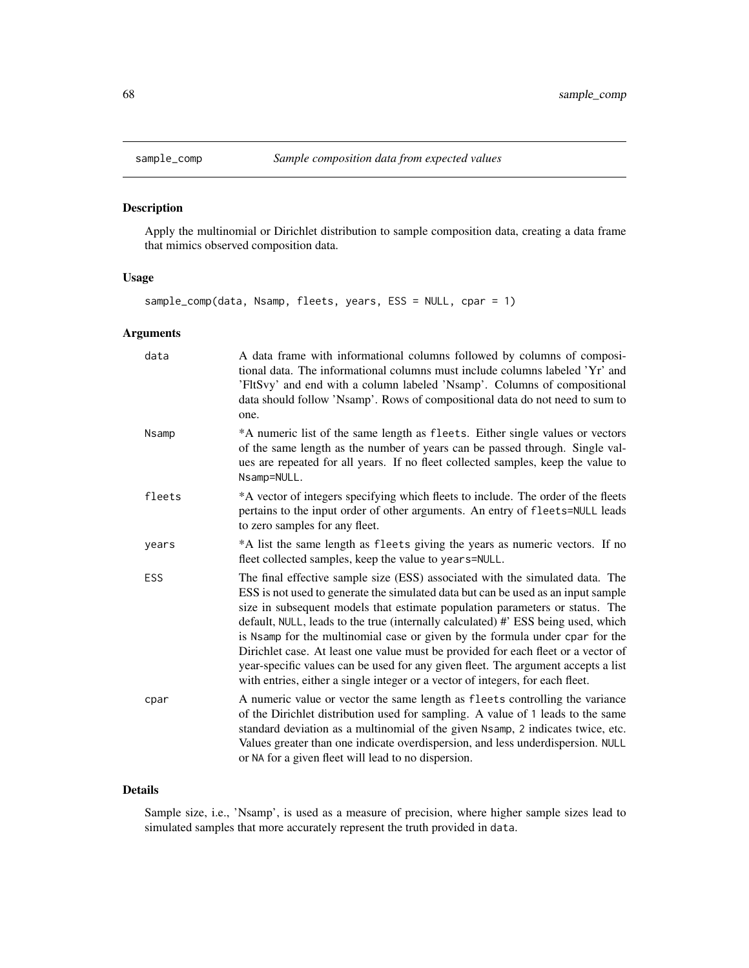# Description

Apply the multinomial or Dirichlet distribution to sample composition data, creating a data frame that mimics observed composition data.

# Usage

sample\_comp(data, Nsamp, fleets, years, ESS = NULL, cpar = 1)

# Arguments

| data       | A data frame with informational columns followed by columns of composi-<br>tional data. The informational columns must include columns labeled 'Yr' and<br>'FltSvy' and end with a column labeled 'Nsamp'. Columns of compositional<br>data should follow 'Nsamp'. Rows of compositional data do not need to sum to<br>one.                                                                                                                                                                                                                                                                                                                                                         |
|------------|-------------------------------------------------------------------------------------------------------------------------------------------------------------------------------------------------------------------------------------------------------------------------------------------------------------------------------------------------------------------------------------------------------------------------------------------------------------------------------------------------------------------------------------------------------------------------------------------------------------------------------------------------------------------------------------|
| Nsamp      | *A numeric list of the same length as fleets. Either single values or vectors<br>of the same length as the number of years can be passed through. Single val-<br>ues are repeated for all years. If no fleet collected samples, keep the value to<br>Nsamp=NULL.                                                                                                                                                                                                                                                                                                                                                                                                                    |
| fleets     | *A vector of integers specifying which fleets to include. The order of the fleets<br>pertains to the input order of other arguments. An entry of fleets=NULL leads<br>to zero samples for any fleet.                                                                                                                                                                                                                                                                                                                                                                                                                                                                                |
| years      | *A list the same length as fleets giving the years as numeric vectors. If no<br>fleet collected samples, keep the value to years=NULL.                                                                                                                                                                                                                                                                                                                                                                                                                                                                                                                                              |
| <b>ESS</b> | The final effective sample size (ESS) associated with the simulated data. The<br>ESS is not used to generate the simulated data but can be used as an input sample<br>size in subsequent models that estimate population parameters or status. The<br>default, NULL, leads to the true (internally calculated) #' ESS being used, which<br>is Nsamp for the multinomial case or given by the formula under cpar for the<br>Dirichlet case. At least one value must be provided for each fleet or a vector of<br>year-specific values can be used for any given fleet. The argument accepts a list<br>with entries, either a single integer or a vector of integers, for each fleet. |
| cpar       | A numeric value or vector the same length as fleets controlling the variance<br>of the Dirichlet distribution used for sampling. A value of 1 leads to the same<br>standard deviation as a multinomial of the given Nsamp, 2 indicates twice, etc.<br>Values greater than one indicate overdispersion, and less underdispersion. NULL<br>or NA for a given fleet will lead to no dispersion.                                                                                                                                                                                                                                                                                        |

### Details

Sample size, i.e., 'Nsamp', is used as a measure of precision, where higher sample sizes lead to simulated samples that more accurately represent the truth provided in data.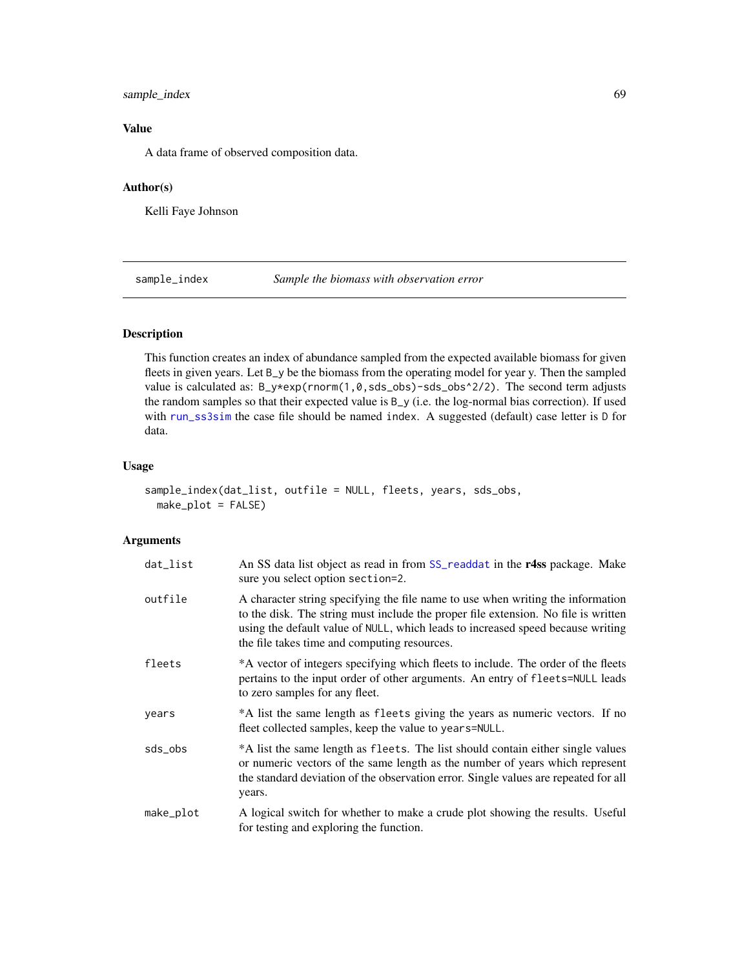# sample\_index 69

# Value

A data frame of observed composition data.

# Author(s)

Kelli Faye Johnson

<span id="page-68-0"></span>sample\_index *Sample the biomass with observation error*

# Description

This function creates an index of abundance sampled from the expected available biomass for given fleets in given years. Let B\_y be the biomass from the operating model for year y. Then the sampled value is calculated as:  $B_y*exp(rnorm(1, 0, sds_obs) - sds_obs^2/2)$ . The second term adjusts the random samples so that their expected value is B\_y (i.e. the log-normal bias correction). If used with [run\\_ss3sim](#page-60-0) the case file should be named index. A suggested (default) case letter is D for data.

### Usage

```
sample_index(dat_list, outfile = NULL, fleets, years, sds_obs,
 make_plot = FALSE)
```

| dat_list  | An SS data list object as read in from SS_readdat in the r4ss package. Make<br>sure you select option section=2.                                                                                                                                                                                         |
|-----------|----------------------------------------------------------------------------------------------------------------------------------------------------------------------------------------------------------------------------------------------------------------------------------------------------------|
| outfile   | A character string specifying the file name to use when writing the information<br>to the disk. The string must include the proper file extension. No file is written<br>using the default value of NULL, which leads to increased speed because writing<br>the file takes time and computing resources. |
| fleets    | *A vector of integers specifying which fleets to include. The order of the fleets<br>pertains to the input order of other arguments. An entry of fleets=NULL leads<br>to zero samples for any fleet.                                                                                                     |
| years     | *A list the same length as fleets giving the years as numeric vectors. If no<br>fleet collected samples, keep the value to years=NULL.                                                                                                                                                                   |
| sds_obs   | *A list the same length as fleets. The list should contain either single values<br>or numeric vectors of the same length as the number of years which represent<br>the standard deviation of the observation error. Single values are repeated for all<br>years.                                         |
| make_plot | A logical switch for whether to make a crude plot showing the results. Useful<br>for testing and exploring the function.                                                                                                                                                                                 |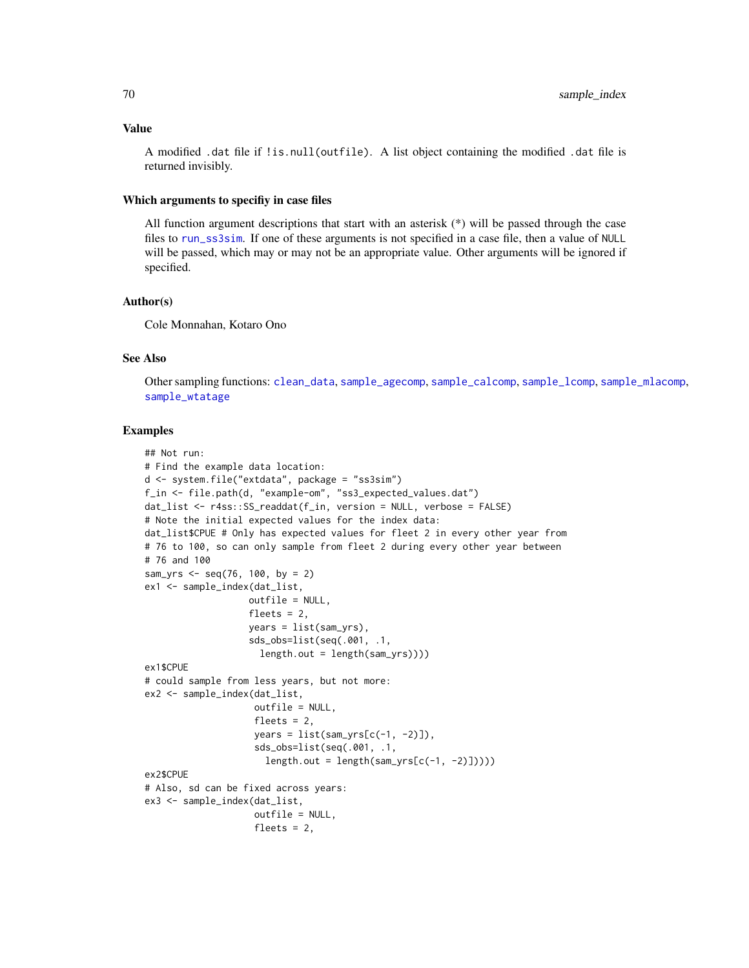#### Value

A modified .dat file if !is.null(outfile). A list object containing the modified .dat file is returned invisibly.

### Which arguments to specifiy in case files

All function argument descriptions that start with an asterisk (\*) will be passed through the case files to [run\\_ss3sim](#page-60-0). If one of these arguments is not specified in a case file, then a value of NULL will be passed, which may or may not be an appropriate value. Other arguments will be ignored if specified.

## Author(s)

Cole Monnahan, Kotaro Ono

### See Also

Other sampling functions: [clean\\_data](#page-32-0), [sample\\_agecomp](#page-63-0), [sample\\_calcomp](#page-65-0), [sample\\_lcomp](#page-70-0), [sample\\_mlacomp](#page-72-0), [sample\\_wtatage](#page-74-0)

### Examples

```
## Not run:
# Find the example data location:
d <- system.file("extdata", package = "ss3sim")
f_in <- file.path(d, "example-om", "ss3_expected_values.dat")
dat_list <- r4ss::SS_readdat(f_in, version = NULL, verbose = FALSE)
# Note the initial expected values for the index data:
dat_list$CPUE # Only has expected values for fleet 2 in every other year from
# 76 to 100, so can only sample from fleet 2 during every other year between
# 76 and 100
sam_yrs <- seq(76, 100, by = 2)ex1 <- sample_index(dat_list,
                   outfile = NULL,
                   fleets = 2,
                   years = list(sam_yrs),
                   sds_obs=list(seq(.001, .1,
                     length.out = length(sam_yrs))))
ex1$CPUE
# could sample from less years, but not more:
ex2 <- sample_index(dat_list,
                    outfile = NULL,
                    fleets = 2,
                    years = list(sam_yrs[c(-1, -2)]),sds_obs=list(seq(.001, .1,
                      length.out = length(sam_yrs[c(-1, -2)])))ex2$CPUE
# Also, sd can be fixed across years:
ex3 <- sample_index(dat_list,
                    outfile = NULL,
                    fleets = 2,
```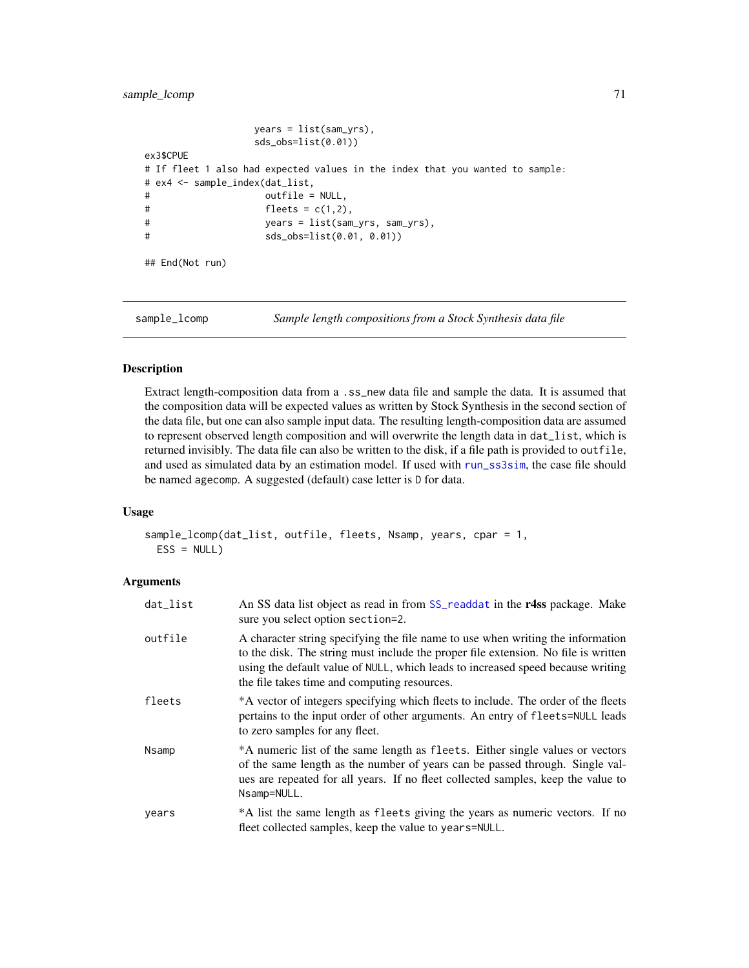```
years = list(sam_yrs),
               sds_obs=list(0.01))
ex3$CPUE
# If fleet 1 also had expected values in the index that you wanted to sample:
# ex4 <- sample_index(dat_list,
# outfile = NULL,
# fleets = c(1,2),
# years = list(sam_yrs, sam_yrs),
# sds_obs=list(0.01, 0.01))
## End(Not run)
```
sample\_lcomp *Sample length compositions from a Stock Synthesis data file*

# Description

Extract length-composition data from a .ss\_new data file and sample the data. It is assumed that the composition data will be expected values as written by Stock Synthesis in the second section of the data file, but one can also sample input data. The resulting length-composition data are assumed to represent observed length composition and will overwrite the length data in dat\_list, which is returned invisibly. The data file can also be written to the disk, if a file path is provided to outfile, and used as simulated data by an estimation model. If used with [run\\_ss3sim](#page-60-0), the case file should be named agecomp. A suggested (default) case letter is D for data.

#### Usage

```
sample_lcomp(dat_list, outfile, fleets, Nsamp, years, cpar = 1,
 ESS = NULL)
```

| dat_list | An SS data list object as read in from SS_readdat in the r4ss package. Make<br>sure you select option section=2.                                                                                                                                                                                         |
|----------|----------------------------------------------------------------------------------------------------------------------------------------------------------------------------------------------------------------------------------------------------------------------------------------------------------|
| outfile  | A character string specifying the file name to use when writing the information<br>to the disk. The string must include the proper file extension. No file is written<br>using the default value of NULL, which leads to increased speed because writing<br>the file takes time and computing resources. |
| fleets   | *A vector of integers specifying which fleets to include. The order of the fleets<br>pertains to the input order of other arguments. An entry of fleets=NULL leads<br>to zero samples for any fleet.                                                                                                     |
| Nsamp    | *A numeric list of the same length as fleets. Either single values or vectors<br>of the same length as the number of years can be passed through. Single val-<br>ues are repeated for all years. If no fleet collected samples, keep the value to<br>Nsamp=NULL.                                         |
| vears    | *A list the same length as fleets giving the years as numeric vectors. If no<br>fleet collected samples, keep the value to years=NULL.                                                                                                                                                                   |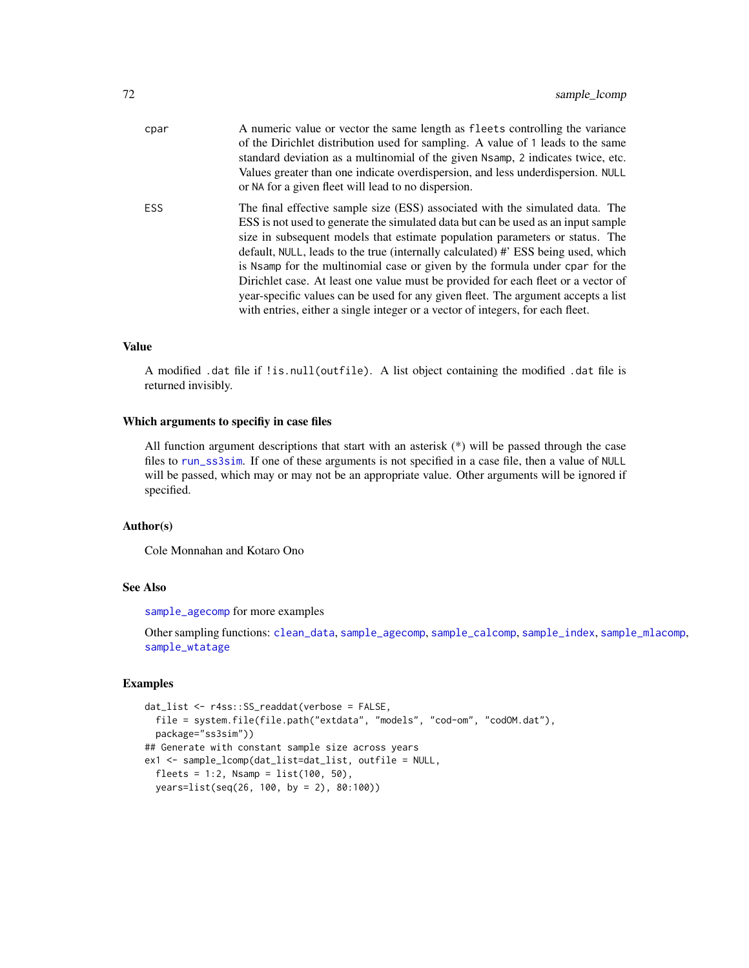| cpar       | A numeric value or vector the same length as fleets controlling the variance<br>of the Dirichlet distribution used for sampling. A value of 1 leads to the same<br>standard deviation as a multinomial of the given Nsamp, 2 indicates twice, etc.<br>Values greater than one indicate overdispersion, and less under dispersion. NULL<br>or NA for a given fleet will lead to no dispersion.                                                                                                                                                                                                                                                                                       |
|------------|-------------------------------------------------------------------------------------------------------------------------------------------------------------------------------------------------------------------------------------------------------------------------------------------------------------------------------------------------------------------------------------------------------------------------------------------------------------------------------------------------------------------------------------------------------------------------------------------------------------------------------------------------------------------------------------|
| <b>ESS</b> | The final effective sample size (ESS) associated with the simulated data. The<br>ESS is not used to generate the simulated data but can be used as an input sample<br>size in subsequent models that estimate population parameters or status. The<br>default, NULL, leads to the true (internally calculated) #' ESS being used, which<br>is Nsamp for the multinomial case or given by the formula under cpar for the<br>Dirichlet case. At least one value must be provided for each fleet or a vector of<br>year-specific values can be used for any given fleet. The argument accepts a list<br>with entries, either a single integer or a vector of integers, for each fleet. |

## Value

A modified .dat file if !is.null(outfile). A list object containing the modified .dat file is returned invisibly.

## Which arguments to specifiy in case files

All function argument descriptions that start with an asterisk (\*) will be passed through the case files to [run\\_ss3sim](#page-60-0). If one of these arguments is not specified in a case file, then a value of NULL will be passed, which may or may not be an appropriate value. Other arguments will be ignored if specified.

# Author(s)

Cole Monnahan and Kotaro Ono

#### See Also

[sample\\_agecomp](#page-63-0) for more examples

Other sampling functions: [clean\\_data](#page-32-0), [sample\\_agecomp](#page-63-0), [sample\\_calcomp](#page-65-0), [sample\\_index](#page-68-0), [sample\\_mlacomp](#page-72-0), [sample\\_wtatage](#page-74-0)

### Examples

```
dat_list <- r4ss::SS_readdat(verbose = FALSE,
  file = system.file(file.path("extdata", "models", "cod-om", "codOM.dat"),
  package="ss3sim"))
## Generate with constant sample size across years
ex1 <- sample_lcomp(dat_list=dat_list, outfile = NULL,
  fheets = 1:2, Nsamp = list(100, 50),years=list(seq(26, 100, by = 2), 80:100))
```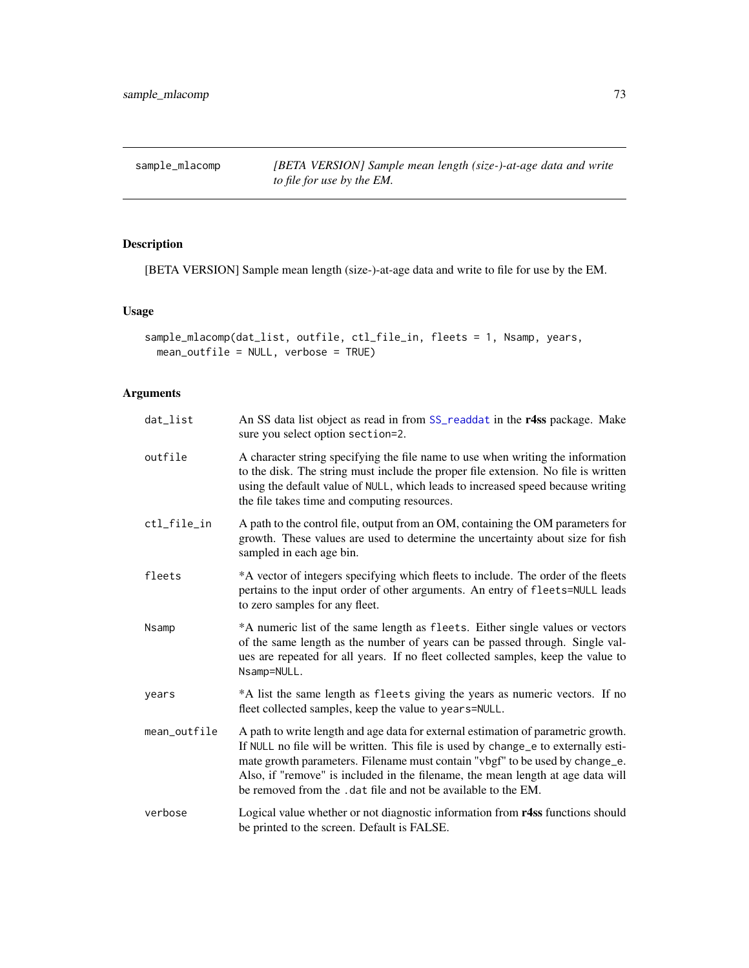<span id="page-72-1"></span><span id="page-72-0"></span>sample\_mlacomp *[BETA VERSION] Sample mean length (size-)-at-age data and write to file for use by the EM.*

# Description

[BETA VERSION] Sample mean length (size-)-at-age data and write to file for use by the EM.

# Usage

```
sample_mlacomp(dat_list, outfile, ctl_file_in, fleets = 1, Nsamp, years,
 mean_outfile = NULL, verbose = TRUE)
```
# Arguments

| dat_list     | An SS data list object as read in from SS_readdat in the r4ss package. Make<br>sure you select option section=2.                                                                                                                                                                                                                                                                                             |
|--------------|--------------------------------------------------------------------------------------------------------------------------------------------------------------------------------------------------------------------------------------------------------------------------------------------------------------------------------------------------------------------------------------------------------------|
| outfile      | A character string specifying the file name to use when writing the information<br>to the disk. The string must include the proper file extension. No file is written<br>using the default value of NULL, which leads to increased speed because writing<br>the file takes time and computing resources.                                                                                                     |
| ctl_file_in  | A path to the control file, output from an OM, containing the OM parameters for<br>growth. These values are used to determine the uncertainty about size for fish<br>sampled in each age bin.                                                                                                                                                                                                                |
| fleets       | *A vector of integers specifying which fleets to include. The order of the fleets<br>pertains to the input order of other arguments. An entry of fleets=NULL leads<br>to zero samples for any fleet.                                                                                                                                                                                                         |
| Nsamp        | *A numeric list of the same length as fleets. Either single values or vectors<br>of the same length as the number of years can be passed through. Single val-<br>ues are repeated for all years. If no fleet collected samples, keep the value to<br>Nsamp=NULL.                                                                                                                                             |
| years        | *A list the same length as fleets giving the years as numeric vectors. If no<br>fleet collected samples, keep the value to years=NULL.                                                                                                                                                                                                                                                                       |
| mean_outfile | A path to write length and age data for external estimation of parametric growth.<br>If NULL no file will be written. This file is used by change_e to externally esti-<br>mate growth parameters. Filename must contain "vbgf" to be used by change_e.<br>Also, if "remove" is included in the filename, the mean length at age data will<br>be removed from the . dat file and not be available to the EM. |
| verbose      | Logical value whether or not diagnostic information from r4ss functions should<br>be printed to the screen. Default is FALSE.                                                                                                                                                                                                                                                                                |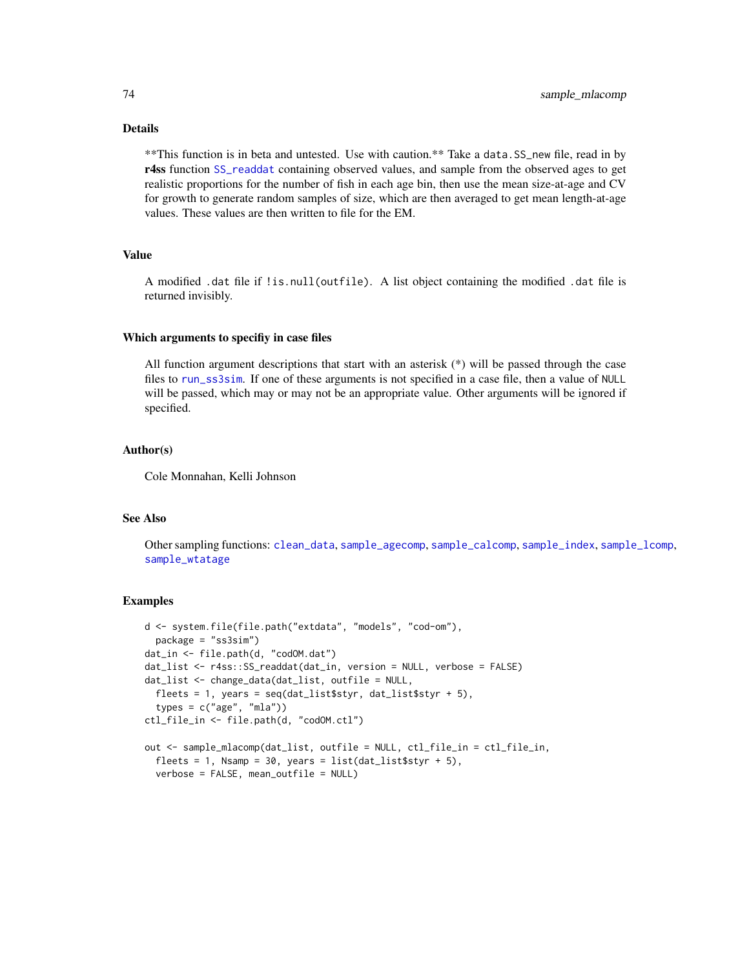# Details

\*\*This function is in beta and untested. Use with caution.\*\* Take a data.SS\_new file, read in by r4ss function [SS\\_readdat](#page-0-0) containing observed values, and sample from the observed ages to get realistic proportions for the number of fish in each age bin, then use the mean size-at-age and CV for growth to generate random samples of size, which are then averaged to get mean length-at-age values. These values are then written to file for the EM.

# Value

A modified .dat file if !is.null(outfile). A list object containing the modified .dat file is returned invisibly.

#### Which arguments to specifiy in case files

All function argument descriptions that start with an asterisk  $(*)$  will be passed through the case files to [run\\_ss3sim](#page-60-0). If one of these arguments is not specified in a case file, then a value of NULL will be passed, which may or may not be an appropriate value. Other arguments will be ignored if specified.

# Author(s)

Cole Monnahan, Kelli Johnson

## See Also

Other sampling functions: [clean\\_data](#page-32-0), [sample\\_agecomp](#page-63-0), [sample\\_calcomp](#page-65-0), [sample\\_index](#page-68-0), [sample\\_lcomp](#page-70-0), [sample\\_wtatage](#page-74-0)

#### Examples

```
d <- system.file(file.path("extdata", "models", "cod-om"),
 package = "ss3sim")
dat_in <- file.path(d, "codOM.dat")
dat_list <- r4ss::SS_readdat(dat_in, version = NULL, verbose = FALSE)
dat_list <- change_data(dat_list, outfile = NULL,
 fleets = 1, years = seq(data_list$styr, dat_list$styr + 5),
 types = c("age", "mla"))ctl_file_in <- file.path(d, "codOM.ctl")
out <- sample_mlacomp(dat_list, outfile = NULL, ctl_file_in = ctl_file_in,
 fleets = 1, Nsamp = 30, years = list(data_list$styr + 5),
 verbose = FALSE, mean_outfile = NULL)
```
<span id="page-73-0"></span>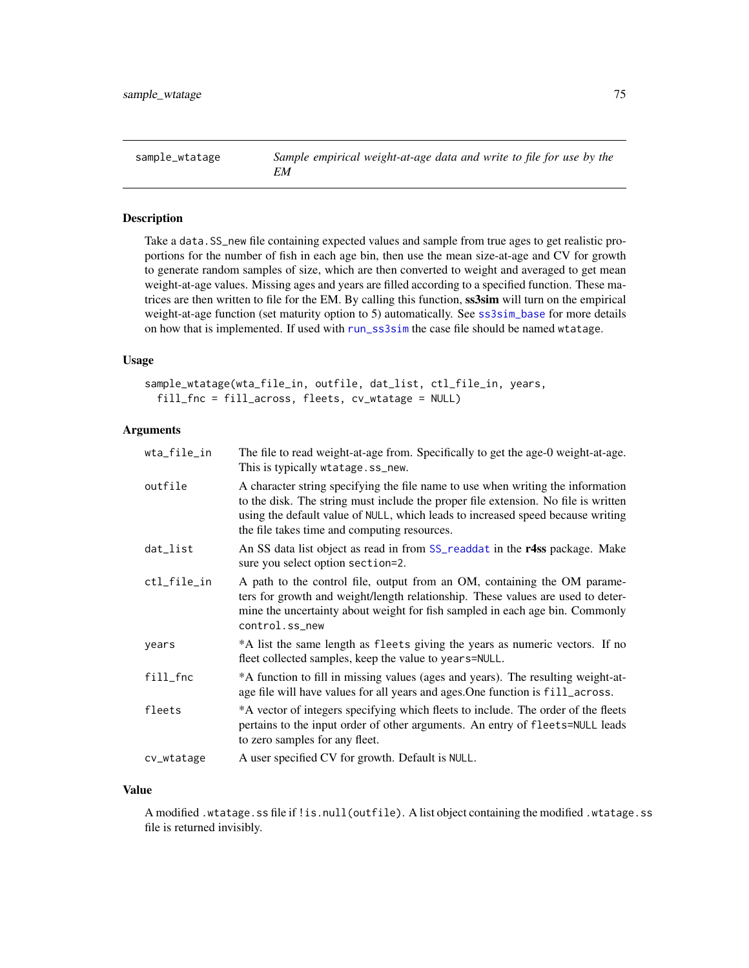<span id="page-74-1"></span><span id="page-74-0"></span>

## Description

Take a data.SS\_new file containing expected values and sample from true ages to get realistic proportions for the number of fish in each age bin, then use the mean size-at-age and CV for growth to generate random samples of size, which are then converted to weight and averaged to get mean weight-at-age values. Missing ages and years are filled according to a specified function. These matrices are then written to file for the EM. By calling this function, solar will turn on the empirical weight-at-age function (set maturity option to 5) automatically. See [ss3sim\\_base](#page-77-0) for more details on how that is implemented. If used with [run\\_ss3sim](#page-60-0) the case file should be named wtatage.

# Usage

```
sample_wtatage(wta_file_in, outfile, dat_list, ctl_file_in, years,
  fill_fnc = fill_across, fleets, cv_wtatage = NULL)
```
# Arguments

| wta_file_in | The file to read weight-at-age from. Specifically to get the age-0 weight-at-age.<br>This is typically wtatage.ss_new.                                                                                                                                                                                   |
|-------------|----------------------------------------------------------------------------------------------------------------------------------------------------------------------------------------------------------------------------------------------------------------------------------------------------------|
| outfile     | A character string specifying the file name to use when writing the information<br>to the disk. The string must include the proper file extension. No file is written<br>using the default value of NULL, which leads to increased speed because writing<br>the file takes time and computing resources. |
| dat_list    | An SS data list object as read in from SS_readdat in the r4ss package. Make<br>sure you select option section=2.                                                                                                                                                                                         |
| ctl_file_in | A path to the control file, output from an OM, containing the OM parame-<br>ters for growth and weight/length relationship. These values are used to deter-<br>mine the uncertainty about weight for fish sampled in each age bin. Commonly<br>control.ss_new                                            |
| years       | *A list the same length as fleets giving the years as numeric vectors. If no<br>fleet collected samples, keep the value to years=NULL.                                                                                                                                                                   |
| fill_fnc    | *A function to fill in missing values (ages and years). The resulting weight-at-<br>age file will have values for all years and ages. One function is fill_across.                                                                                                                                       |
| fleets      | *A vector of integers specifying which fleets to include. The order of the fleets<br>pertains to the input order of other arguments. An entry of fleets=NULL leads<br>to zero samples for any fleet.                                                                                                     |
| cv_wtatage  | A user specified CV for growth. Default is NULL.                                                                                                                                                                                                                                                         |

## Value

A modified .wtatage.ss file if !is.null(outfile). A list object containing the modified .wtatage.ss file is returned invisibly.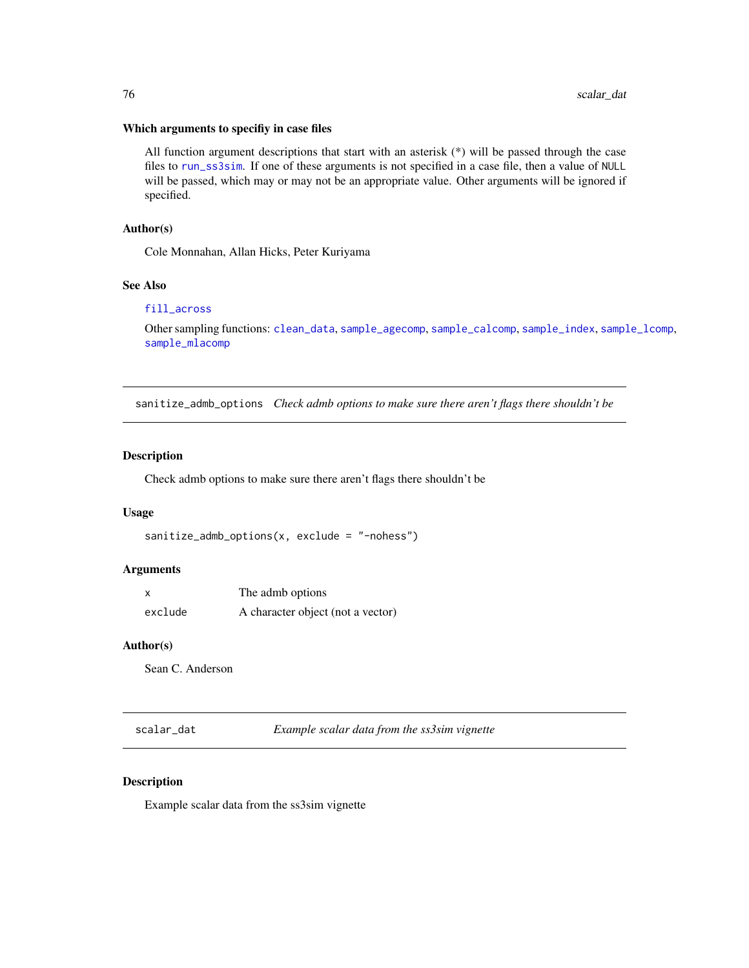# <span id="page-75-0"></span>Which arguments to specifiy in case files

All function argument descriptions that start with an asterisk (\*) will be passed through the case files to [run\\_ss3sim](#page-60-0). If one of these arguments is not specified in a case file, then a value of NULL will be passed, which may or may not be an appropriate value. Other arguments will be ignored if specified.

# Author(s)

Cole Monnahan, Allan Hicks, Peter Kuriyama

#### See Also

#### [fill\\_across](#page-37-0)

Other sampling functions: [clean\\_data](#page-32-0), [sample\\_agecomp](#page-63-0), [sample\\_calcomp](#page-65-0), [sample\\_index](#page-68-0), [sample\\_lcomp](#page-70-0), [sample\\_mlacomp](#page-72-0)

sanitize\_admb\_options *Check admb options to make sure there aren't flags there shouldn't be*

## Description

Check admb options to make sure there aren't flags there shouldn't be

#### Usage

```
sanitize_admb_options(x, exclude = "-nohess")
```
#### Arguments

| $\boldsymbol{\mathsf{x}}$ | The admb options                  |
|---------------------------|-----------------------------------|
| exclude                   | A character object (not a vector) |

#### Author(s)

Sean C. Anderson

scalar\_dat *Example scalar data from the ss3sim vignette*

# Description

Example scalar data from the ss3sim vignette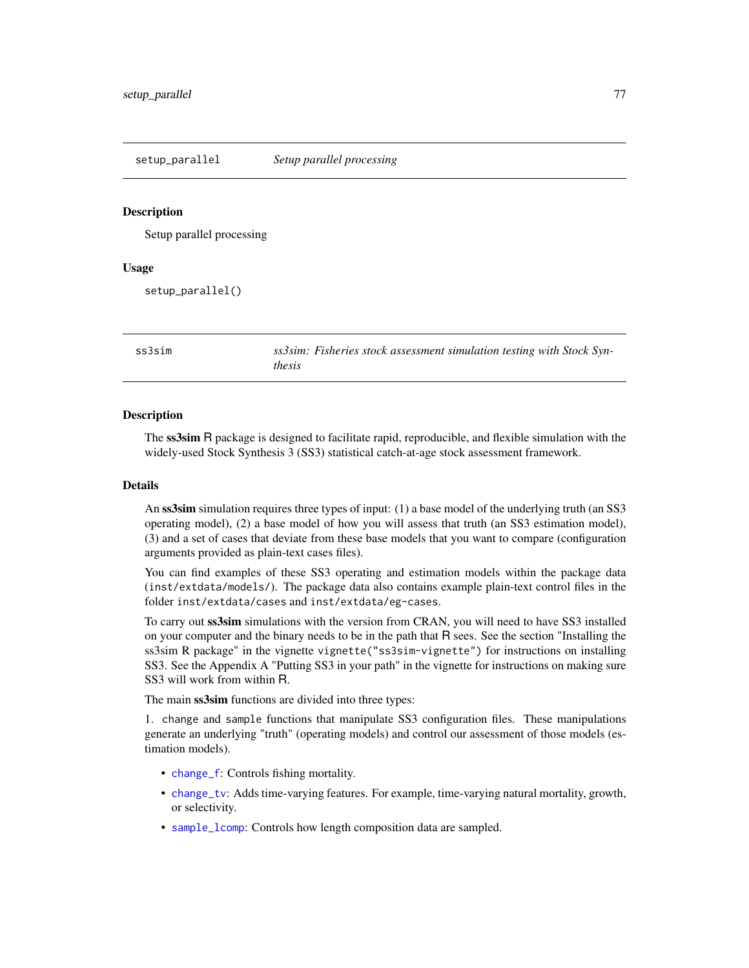#### <span id="page-76-0"></span>Description

Setup parallel processing

#### Usage

setup\_parallel()

ss3sim *ss3sim: Fisheries stock assessment simulation testing with Stock Synthesis*

#### **Description**

The ss3sim R package is designed to facilitate rapid, reproducible, and flexible simulation with the widely-used Stock Synthesis 3 (SS3) statistical catch-at-age stock assessment framework.

#### Details

An ss3sim simulation requires three types of input: (1) a base model of the underlying truth (an SS3 operating model), (2) a base model of how you will assess that truth (an SS3 estimation model), (3) and a set of cases that deviate from these base models that you want to compare (configuration arguments provided as plain-text cases files).

You can find examples of these SS3 operating and estimation models within the package data (inst/extdata/models/). The package data also contains example plain-text control files in the folder inst/extdata/cases and inst/extdata/eg-cases.

To carry out ss3sim simulations with the version from CRAN, you will need to have SS3 installed on your computer and the binary needs to be in the path that R sees. See the section "Installing the ss3sim R package" in the vignette vignette("ss3sim-vignette") for instructions on installing SS3. See the Appendix A "Putting SS3 in your path" in the vignette for instructions on making sure SS3 will work from within R.

The main ss3sim functions are divided into three types:

1. change and sample functions that manipulate SS3 configuration files. These manipulations generate an underlying "truth" (operating models) and control our assessment of those models (estimation models).

- [change\\_f](#page-18-0): Controls fishing mortality.
- [change\\_tv](#page-29-0): Adds time-varying features. For example, time-varying natural mortality, growth, or selectivity.
- [sample\\_lcomp](#page-70-0): Controls how length composition data are sampled.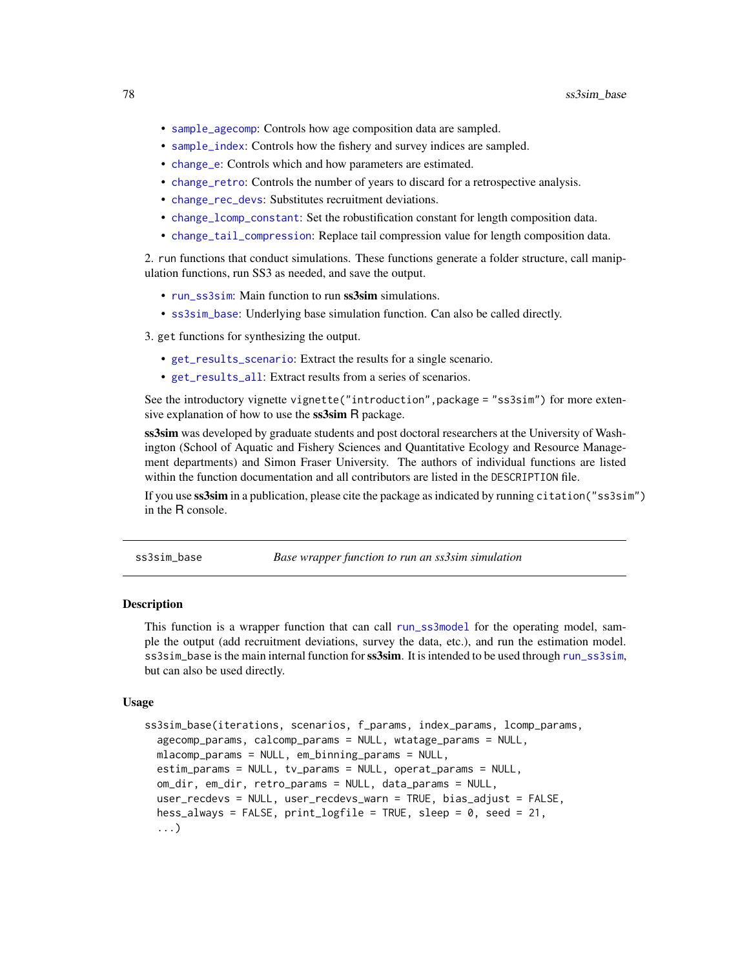- <span id="page-77-1"></span>• [sample\\_agecomp](#page-63-0): Controls how age composition data are sampled.
- [sample\\_index](#page-68-0): Controls how the fishery and survey indices are sampled.
- [change\\_e](#page-14-0): Controls which and how parameters are estimated.
- [change\\_retro](#page-26-0): Controls the number of years to discard for a retrospective analysis.
- [change\\_rec\\_devs](#page-24-0): Substitutes recruitment deviations.
- [change\\_lcomp\\_constant](#page-21-0): Set the robustification constant for length composition data.
- [change\\_tail\\_compression](#page-28-0): Replace tail compression value for length composition data.

2. run functions that conduct simulations. These functions generate a folder structure, call manipulation functions, run SS3 as needed, and save the output.

- [run\\_ss3sim](#page-60-0): Main function to run ss3sim simulations.
- [ss3sim\\_base](#page-77-0): Underlying base simulation function. Can also be called directly.

3. get functions for synthesizing the output.

- [get\\_results\\_scenario](#page-45-0): Extract the results for a single scenario.
- [get\\_results\\_all](#page-43-0): Extract results from a series of scenarios.

See the introductory vignette vignette("introduction", package = "ss3sim") for more extensive explanation of how to use the **ss3sim** R package.

ss3sim was developed by graduate students and post doctoral researchers at the University of Washington (School of Aquatic and Fishery Sciences and Quantitative Ecology and Resource Management departments) and Simon Fraser University. The authors of individual functions are listed within the function documentation and all contributors are listed in the DESCRIPTION file.

If you use ss3sim in a publication, please cite the package as indicated by running citation("ss3sim") in the R console.

<span id="page-77-0"></span>ss3sim\_base *Base wrapper function to run an ss3sim simulation*

# **Description**

This function is a wrapper function that can call [run\\_ss3model](#page-59-0) for the operating model, sample the output (add recruitment deviations, survey the data, etc.), and run the estimation model. ss3sim\_base is the main internal function for ss3sim. It is intended to be used through [run\\_ss3sim](#page-60-0), but can also be used directly.

#### Usage

```
ss3sim_base(iterations, scenarios, f_params, index_params, lcomp_params,
 agecomp_params, calcomp_params = NULL, wtatage_params = NULL,
 mlacomp_params = NULL, em_binning_params = NULL,
 estim_params = NULL, tv_params = NULL, operat_params = NULL,
 om_dir, em_dir, retro_params = NULL, data_params = NULL,
 user_recdevs = NULL, user_recdevs_warn = TRUE, bias_adjust = FALSE,
 hess_always = FALSE, print_logfile = TRUE, sleep = 0, seed = 21,
 ...)
```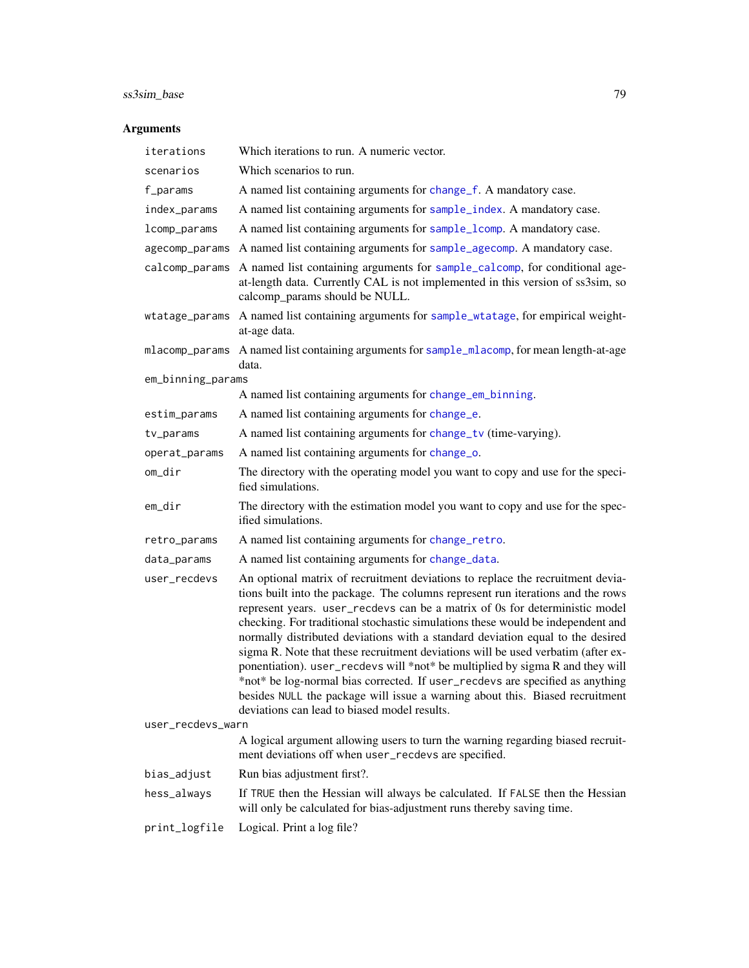# <span id="page-78-0"></span>ss3sim\_base 79

# Arguments

| iterations        | Which iterations to run. A numeric vector.                                                                                                                                                                                                                                                                                                                                                                                                                                                                                                                                                                                                                                                                                                                                                                  |  |
|-------------------|-------------------------------------------------------------------------------------------------------------------------------------------------------------------------------------------------------------------------------------------------------------------------------------------------------------------------------------------------------------------------------------------------------------------------------------------------------------------------------------------------------------------------------------------------------------------------------------------------------------------------------------------------------------------------------------------------------------------------------------------------------------------------------------------------------------|--|
| scenarios         | Which scenarios to run.                                                                                                                                                                                                                                                                                                                                                                                                                                                                                                                                                                                                                                                                                                                                                                                     |  |
| f_params          | A named list containing arguments for change_f. A mandatory case.                                                                                                                                                                                                                                                                                                                                                                                                                                                                                                                                                                                                                                                                                                                                           |  |
| index_params      | A named list containing arguments for sample_index. A mandatory case.                                                                                                                                                                                                                                                                                                                                                                                                                                                                                                                                                                                                                                                                                                                                       |  |
| lcomp_params      | A named list containing arguments for sample_lcomp. A mandatory case.                                                                                                                                                                                                                                                                                                                                                                                                                                                                                                                                                                                                                                                                                                                                       |  |
| agecomp_params    | A named list containing arguments for sample_agecomp. A mandatory case.                                                                                                                                                                                                                                                                                                                                                                                                                                                                                                                                                                                                                                                                                                                                     |  |
| calcomp_params    | A named list containing arguments for sample_calcomp, for conditional age-<br>at-length data. Currently CAL is not implemented in this version of ss3sim, so<br>calcomp_params should be NULL.                                                                                                                                                                                                                                                                                                                                                                                                                                                                                                                                                                                                              |  |
| wtatage_params    | A named list containing arguments for sample_wtatage, for empirical weight-<br>at-age data.                                                                                                                                                                                                                                                                                                                                                                                                                                                                                                                                                                                                                                                                                                                 |  |
| mlacomp_params    | A named list containing arguments for sample_mlacomp, for mean length-at-age<br>data.                                                                                                                                                                                                                                                                                                                                                                                                                                                                                                                                                                                                                                                                                                                       |  |
| em_binning_params |                                                                                                                                                                                                                                                                                                                                                                                                                                                                                                                                                                                                                                                                                                                                                                                                             |  |
|                   | A named list containing arguments for change_em_binning.                                                                                                                                                                                                                                                                                                                                                                                                                                                                                                                                                                                                                                                                                                                                                    |  |
| estim_params      | A named list containing arguments for change_e.                                                                                                                                                                                                                                                                                                                                                                                                                                                                                                                                                                                                                                                                                                                                                             |  |
| tv_params         | A named list containing arguments for change_tv (time-varying).                                                                                                                                                                                                                                                                                                                                                                                                                                                                                                                                                                                                                                                                                                                                             |  |
| operat_params     | A named list containing arguments for change_o.                                                                                                                                                                                                                                                                                                                                                                                                                                                                                                                                                                                                                                                                                                                                                             |  |
| om_dir            | The directory with the operating model you want to copy and use for the speci-<br>fied simulations.                                                                                                                                                                                                                                                                                                                                                                                                                                                                                                                                                                                                                                                                                                         |  |
| em_dir            | The directory with the estimation model you want to copy and use for the spec-<br>ified simulations.                                                                                                                                                                                                                                                                                                                                                                                                                                                                                                                                                                                                                                                                                                        |  |
| retro_params      | A named list containing arguments for change_retro.                                                                                                                                                                                                                                                                                                                                                                                                                                                                                                                                                                                                                                                                                                                                                         |  |
| data_params       | A named list containing arguments for change_data.                                                                                                                                                                                                                                                                                                                                                                                                                                                                                                                                                                                                                                                                                                                                                          |  |
| user_recdevs      | An optional matrix of recruitment deviations to replace the recruitment devia-<br>tions built into the package. The columns represent run iterations and the rows<br>represent years. user_recdevs can be a matrix of 0s for deterministic model<br>checking. For traditional stochastic simulations these would be independent and<br>normally distributed deviations with a standard deviation equal to the desired<br>sigma R. Note that these recruitment deviations will be used verbatim (after ex-<br>ponentiation). user_recdevs will *not* be multiplied by sigma R and they will<br>*not* be log-normal bias corrected. If user_recdevs are specified as anything<br>besides NULL the package will issue a warning about this. Biased recruitment<br>deviations can lead to biased model results. |  |
| user_recdevs_warn |                                                                                                                                                                                                                                                                                                                                                                                                                                                                                                                                                                                                                                                                                                                                                                                                             |  |
|                   | A logical argument allowing users to turn the warning regarding biased recruit-<br>ment deviations off when user_recdevs are specified.                                                                                                                                                                                                                                                                                                                                                                                                                                                                                                                                                                                                                                                                     |  |
| bias_adjust       | Run bias adjustment first?.                                                                                                                                                                                                                                                                                                                                                                                                                                                                                                                                                                                                                                                                                                                                                                                 |  |
| hess_always       | If TRUE then the Hessian will always be calculated. If FALSE then the Hessian<br>will only be calculated for bias-adjustment runs thereby saving time.                                                                                                                                                                                                                                                                                                                                                                                                                                                                                                                                                                                                                                                      |  |
| print_logfile     | Logical. Print a log file?                                                                                                                                                                                                                                                                                                                                                                                                                                                                                                                                                                                                                                                                                                                                                                                  |  |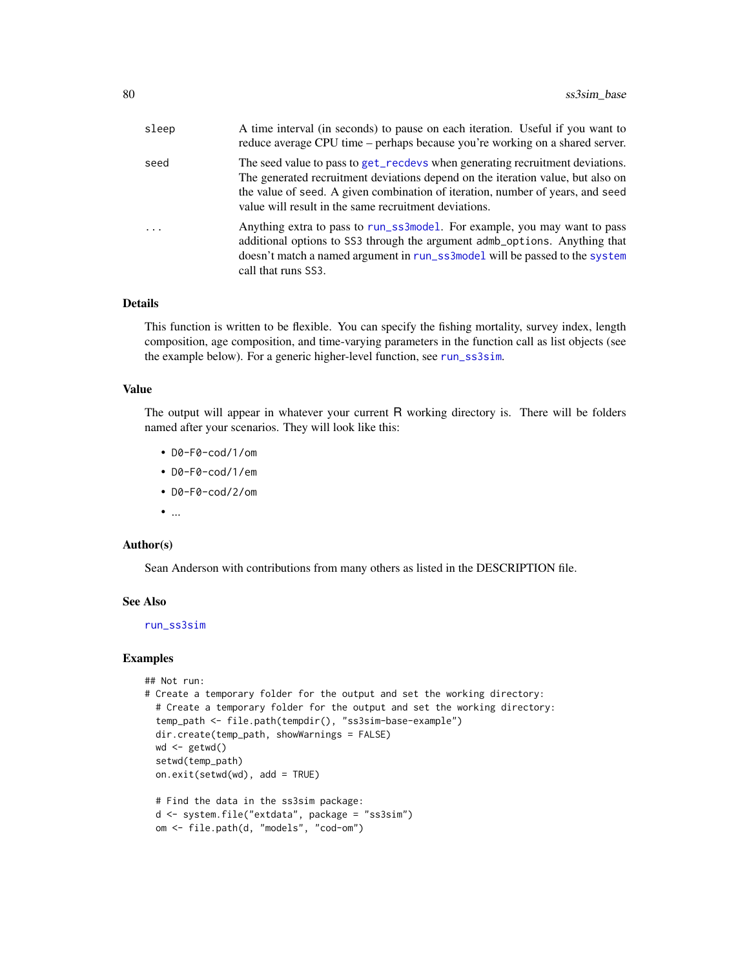<span id="page-79-0"></span>

| sleep    | A time interval (in seconds) to pause on each iteration. Useful if you want to<br>reduce average CPU time – perhaps because you're working on a shared server.                                                                                                                                              |
|----------|-------------------------------------------------------------------------------------------------------------------------------------------------------------------------------------------------------------------------------------------------------------------------------------------------------------|
| seed     | The seed value to pass to get_recdevs when generating recruitment deviations.<br>The generated recruitment deviations depend on the iteration value, but also on<br>the value of seed. A given combination of iteration, number of years, and seed<br>value will result in the same recruitment deviations. |
| $\ddots$ | Anything extra to pass to run_ss3mode1. For example, you may want to pass<br>additional options to SS3 through the argument admb_options. Anything that<br>doesn't match a named argument in run_ss3model will be passed to the system<br>call that runs SS3.                                               |

#### Details

This function is written to be flexible. You can specify the fishing mortality, survey index, length composition, age composition, and time-varying parameters in the function call as list objects (see the example below). For a generic higher-level function, see [run\\_ss3sim](#page-60-0).

# Value

The output will appear in whatever your current R working directory is. There will be folders named after your scenarios. They will look like this:

- D0-F0-cod/1/om
- D0-F0-cod/1/em
- D0-F0-cod/2/om
- ...

#### Author(s)

Sean Anderson with contributions from many others as listed in the DESCRIPTION file.

#### See Also

[run\\_ss3sim](#page-60-0)

#### Examples

```
## Not run:
# Create a temporary folder for the output and set the working directory:
 # Create a temporary folder for the output and set the working directory:
 temp_path <- file.path(tempdir(), "ss3sim-base-example")
 dir.create(temp_path, showWarnings = FALSE)
 wd < - getwd()
 setwd(temp_path)
 on.exit(setwd(wd), add = TRUE)
 # Find the data in the ss3sim package:
 d <- system.file("extdata", package = "ss3sim")
 om <- file.path(d, "models", "cod-om")
```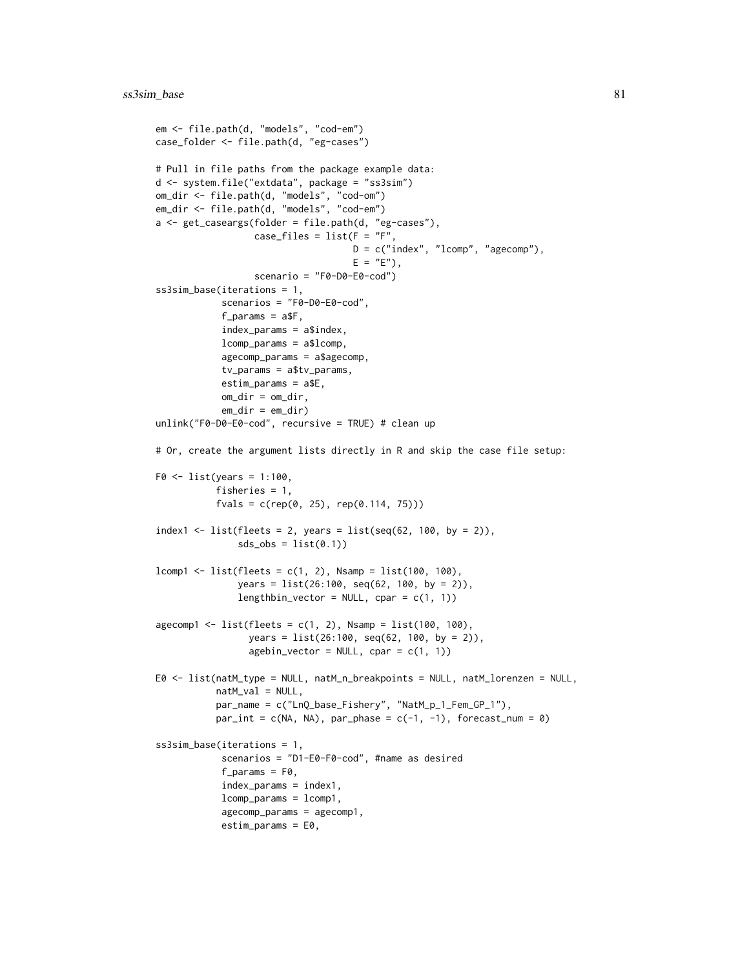```
em <- file.path(d, "models", "cod-em")
case_folder <- file.path(d, "eg-cases")
# Pull in file paths from the package example data:
d <- system.file("extdata", package = "ss3sim")
om_dir <- file.path(d, "models", "cod-om")
em_dir <- file.path(d, "models", "cod-em")
a <- get_caseargs(folder = file.path(d, "eg-cases"),
                  case_files = list(F = "F",D = c("index", "lcomp", "agecomp"),E = "E"),
                  scenario = "F0-D0-E0-cod")
ss3sim_base(iterations = 1,
            scenarios = "F0-D0-E0-cod",
            f_{\text{parameters}} = a$F,
            index_params = a$index,
            lcomp_params = a$lcomp,
            agecomp_params = a$agecomp,
            tv_params = a$tv_params,
            estim_params = a$E,
            om_dir = om_dir,
            em\_dir = em\_dir)unlink("F0-D0-E0-cod", recursive = TRUE) # clean up
# Or, create the argument lists directly in R and skip the case file setup:
F0 \leq 1ist(years = 1:100,
           fisheries = 1,
           fvals = c(rep(0, 25), rep(0.114, 75)))
index1 <- list(fleets = 2, years = list(seq(62, 100, by = 2)),
               sds_obs = list(0.1)lcomp1 < - list(flects = c(1, 2), N samp = list(100, 100),years = list(26:100, seq(62, 100, by = 2)),
               lengthbin_vector = NULL, cpar = c(1, 1))
agecomp1 <- list(fleets = c(1, 2), Nsamp = list(100, 100),
                 years = list(26:100, seq(62, 100, by = 2)),
                 agebin_vector = NULL, cpar = c(1, 1))
E0 <- list(natM_type = NULL, natM_n_breakpoints = NULL, natM_lorenzen = NULL,
           natM_val = NULL,
           par_name = c("LnQ_base_Fishery", "NatM_p_1_Fem_GP_1"),
           par\_int = c(NA, NA), par\_phase = c(-1, -1), forecast\_num = 0)ss3sim_base(iterations = 1,
            scenarios = "D1-E0-F0-cod", #name as desired
            f_{\text{params}} = F\omega,
            index_params = index1,
            lcomp_params = lcomp1,
            agecomp_params = agecomp1,
            estim_params = E0,
```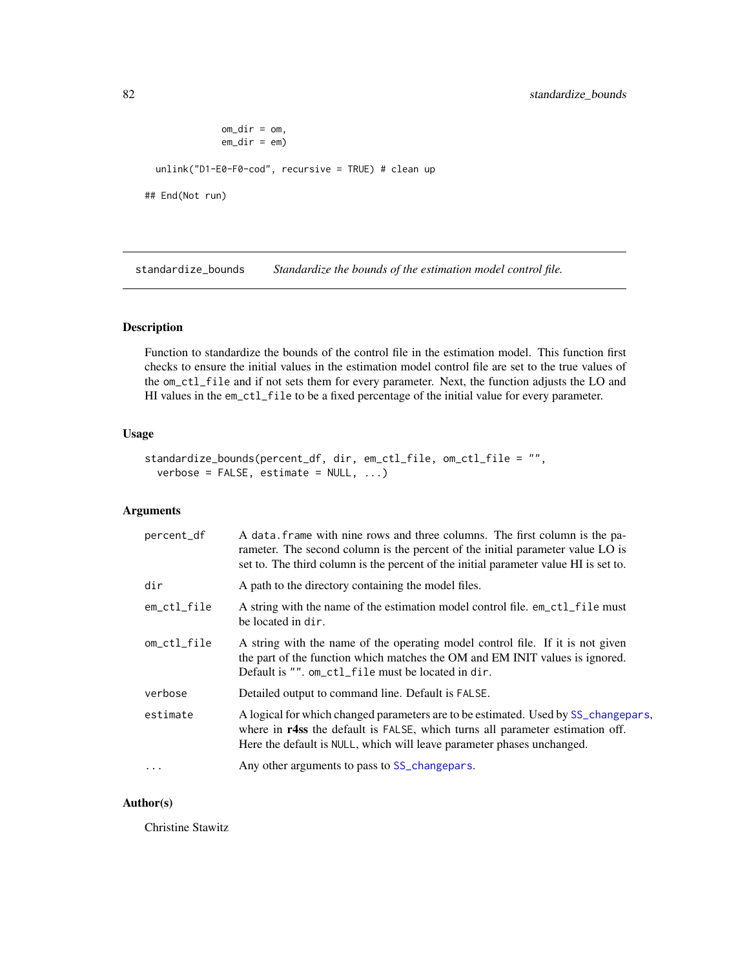```
om\_dir = om,
              em_dir = em)
 unlink("D1-E0-F0-cod", recursive = TRUE) # clean up
## End(Not run)
```
standardize\_bounds *Standardize the bounds of the estimation model control file.*

# Description

Function to standardize the bounds of the control file in the estimation model. This function first checks to ensure the initial values in the estimation model control file are set to the true values of the om\_ctl\_file and if not sets them for every parameter. Next, the function adjusts the LO and HI values in the em\_ctl\_file to be a fixed percentage of the initial value for every parameter.

## Usage

```
standardize_bounds(percent_df, dir, em_ctl_file, om_ctl_file = "",
 verbose = FALSE, estimate = NULL, ...
```
# Arguments

| percent_df  | A data frame with nine rows and three columns. The first column is the pa-<br>rameter. The second column is the percent of the initial parameter value LO is<br>set to. The third column is the percent of the initial parameter value HI is set to. |
|-------------|------------------------------------------------------------------------------------------------------------------------------------------------------------------------------------------------------------------------------------------------------|
| dir         | A path to the directory containing the model files.                                                                                                                                                                                                  |
| em_ctl_file | A string with the name of the estimation model control file. em_ctl_file must<br>be located in dir.                                                                                                                                                  |
| om_ctl_file | A string with the name of the operating model control file. If it is not given<br>the part of the function which matches the OM and EM INIT values is ignored.<br>Default is "". om_ctl_file must be located in dir.                                 |
| verbose     | Detailed output to command line. Default is FALSE.                                                                                                                                                                                                   |
| estimate    | A logical for which changed parameters are to be estimated. Used by SS_changepars,<br>where in r4ss the default is FALSE, which turns all parameter estimation off.<br>Here the default is NULL, which will leave parameter phases unchanged.        |
| $\ddots$ .  | Any other arguments to pass to SS_changepars.                                                                                                                                                                                                        |

#### Author(s)

Christine Stawitz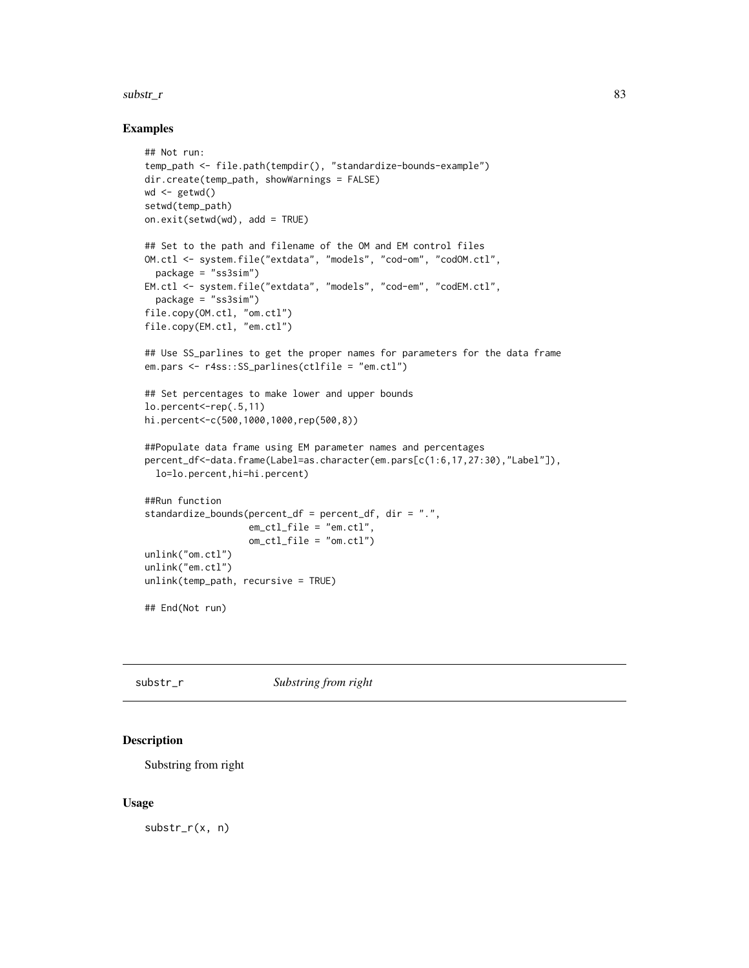#### <span id="page-82-0"></span> $\text{substr}_{\text{r}}$ r 83

#### Examples

```
## Not run:
temp_path <- file.path(tempdir(), "standardize-bounds-example")
dir.create(temp_path, showWarnings = FALSE)
wd <- getwd()
setwd(temp_path)
on.exit(setwd(wd), add = TRUE)
## Set to the path and filename of the OM and EM control files
OM.ctl <- system.file("extdata", "models", "cod-om", "codOM.ctl",
  package = "ss3sim")
EM.ctl <- system.file("extdata", "models", "cod-em", "codEM.ctl",
  package = "ss3sim")
file.copy(OM.ctl, "om.ctl")
file.copy(EM.ctl, "em.ctl")
## Use SS_parlines to get the proper names for parameters for the data frame
em.pars <- r4ss::SS_parlines(ctlfile = "em.ctl")
## Set percentages to make lower and upper bounds
lo.percent<-rep(.5,11)
hi.percent<-c(500,1000,1000,rep(500,8))
##Populate data frame using EM parameter names and percentages
percent_df<-data.frame(Label=as.character(em.pars[c(1:6,17,27:30),"Label"]),
  lo=lo.percent,hi=hi.percent)
##Run function
standardize_bounds(percent_df = percent_df, dir = ".",
                   em_ctl_file = "em.ctl",
                   om_ctl_file = "om.ctl")
unlink("om.ctl")
unlink("em.ctl")
unlink(temp_path, recursive = TRUE)
## End(Not run)
```
# substr\_r *Substring from right*

#### Description

Substring from right

#### Usage

substr\_r(x, n)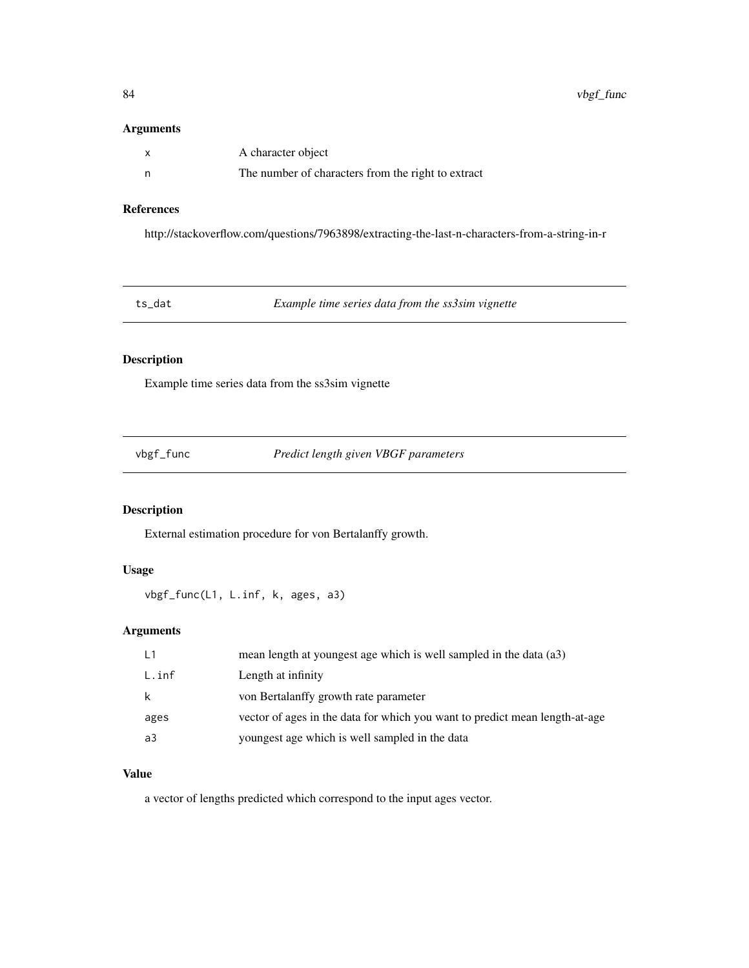# <span id="page-83-0"></span>Arguments

| A character object                                 |
|----------------------------------------------------|
| The number of characters from the right to extract |

# References

http://stackoverflow.com/questions/7963898/extracting-the-last-n-characters-from-a-string-in-r

| ts dat | Example time series data from the ss3sim vignette |  |
|--------|---------------------------------------------------|--|
|--------|---------------------------------------------------|--|

# Description

Example time series data from the ss3sim vignette

| vbgf_func |  |
|-----------|--|
|           |  |

vbgf\_func *Predict length given VBGF parameters*

# Description

External estimation procedure for von Bertalanffy growth.

# Usage

vbgf\_func(L1, L.inf, k, ages, a3)

# Arguments

| L1    | mean length at youngest age which is well sampled in the data (a3)          |
|-------|-----------------------------------------------------------------------------|
| L.inf | Length at infinity                                                          |
| k     | von Bertalanffy growth rate parameter                                       |
| ages  | vector of ages in the data for which you want to predict mean length-at-age |
| a3    | youngest age which is well sampled in the data                              |

# Value

a vector of lengths predicted which correspond to the input ages vector.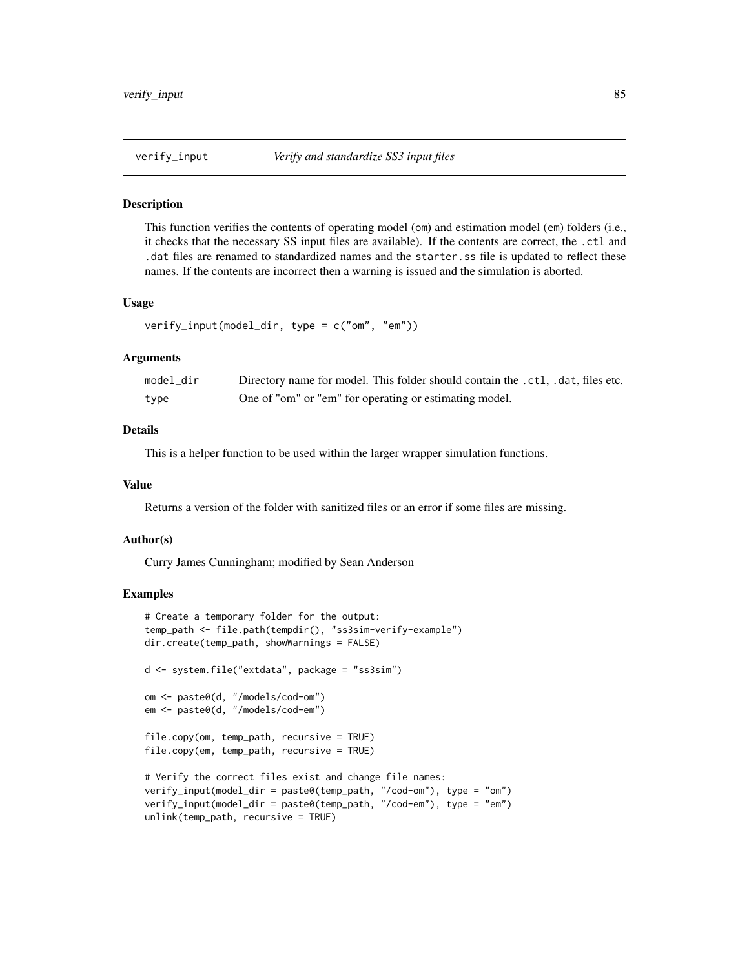<span id="page-84-0"></span>

#### **Description**

This function verifies the contents of operating model (om) and estimation model (em) folders (i.e., it checks that the necessary SS input files are available). If the contents are correct, the .ctl and .dat files are renamed to standardized names and the starter.ss file is updated to reflect these names. If the contents are incorrect then a warning is issued and the simulation is aborted.

#### Usage

```
verify_input(model_dir, type = c("om", "em"))
```
#### **Arguments**

| model_dir | Directory name for model. This folder should contain the .ctl, .dat, files etc. |
|-----------|---------------------------------------------------------------------------------|
| type      | One of "om" or "em" for operating or estimating model.                          |

# Details

This is a helper function to be used within the larger wrapper simulation functions.

#### Value

Returns a version of the folder with sanitized files or an error if some files are missing.

#### Author(s)

Curry James Cunningham; modified by Sean Anderson

#### Examples

```
# Create a temporary folder for the output:
temp_path <- file.path(tempdir(), "ss3sim-verify-example")
dir.create(temp_path, showWarnings = FALSE)
d <- system.file("extdata", package = "ss3sim")
om <- paste0(d, "/models/cod-om")
em <- paste0(d, "/models/cod-em")
file.copy(om, temp_path, recursive = TRUE)
file.copy(em, temp_path, recursive = TRUE)
# Verify the correct files exist and change file names:
verify_input(model_dir = paste0(temp_path, "/cod-om"), type = "om")
verify_input(model_dir = paste0(temp_path, "/cod-em"), type = "em")
unlink(temp_path, recursive = TRUE)
```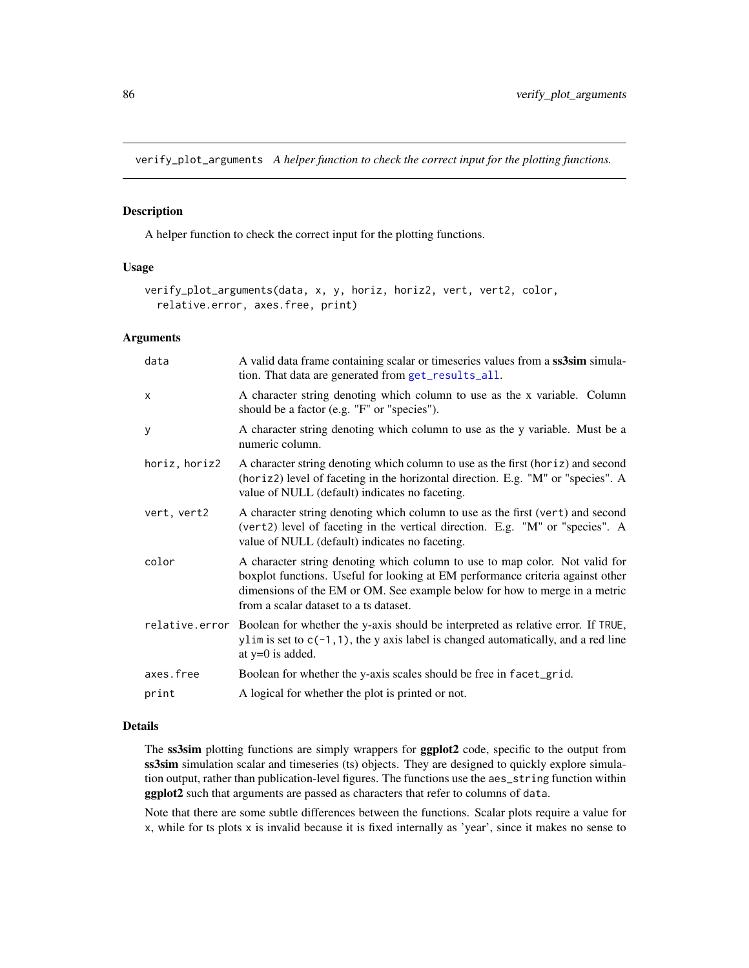<span id="page-85-0"></span>verify\_plot\_arguments *A helper function to check the correct input for the plotting functions.*

#### Description

A helper function to check the correct input for the plotting functions.

#### Usage

```
verify_plot_arguments(data, x, y, horiz, horiz2, vert, vert2, color,
  relative.error, axes.free, print)
```
#### Arguments

| A valid data frame containing scalar or timeseries values from a ss3sim simula-<br>tion. That data are generated from get_results_all.                                                                                                                                                |
|---------------------------------------------------------------------------------------------------------------------------------------------------------------------------------------------------------------------------------------------------------------------------------------|
| A character string denoting which column to use as the x variable. Column<br>should be a factor (e.g. "F" or "species").                                                                                                                                                              |
| A character string denoting which column to use as the y variable. Must be a<br>numeric column.                                                                                                                                                                                       |
| A character string denoting which column to use as the first (horiz) and second<br>(horiz2) level of faceting in the horizontal direction. E.g. "M" or "species". A<br>value of NULL (default) indicates no faceting.                                                                 |
| A character string denoting which column to use as the first (vert) and second<br>(vert2) level of faceting in the vertical direction. E.g. "M" or "species". A<br>value of NULL (default) indicates no faceting.                                                                     |
| A character string denoting which column to use to map color. Not valid for<br>boxplot functions. Useful for looking at EM performance criteria against other<br>dimensions of the EM or OM. See example below for how to merge in a metric<br>from a scalar dataset to a ts dataset. |
| relative error Boolean for whether the y-axis should be interpreted as relative error. If TRUE,<br>ylim is set to $c(-1, 1)$ , the y axis label is changed automatically, and a red line<br>at $y=0$ is added.                                                                        |
| Boolean for whether the y-axis scales should be free in facet_grid.                                                                                                                                                                                                                   |
| A logical for whether the plot is printed or not.                                                                                                                                                                                                                                     |
|                                                                                                                                                                                                                                                                                       |

## Details

The ss3sim plotting functions are simply wrappers for ggplot2 code, specific to the output from ss3sim simulation scalar and timeseries (ts) objects. They are designed to quickly explore simulation output, rather than publication-level figures. The functions use the aes\_string function within ggplot2 such that arguments are passed as characters that refer to columns of data.

Note that there are some subtle differences between the functions. Scalar plots require a value for x, while for ts plots x is invalid because it is fixed internally as 'year', since it makes no sense to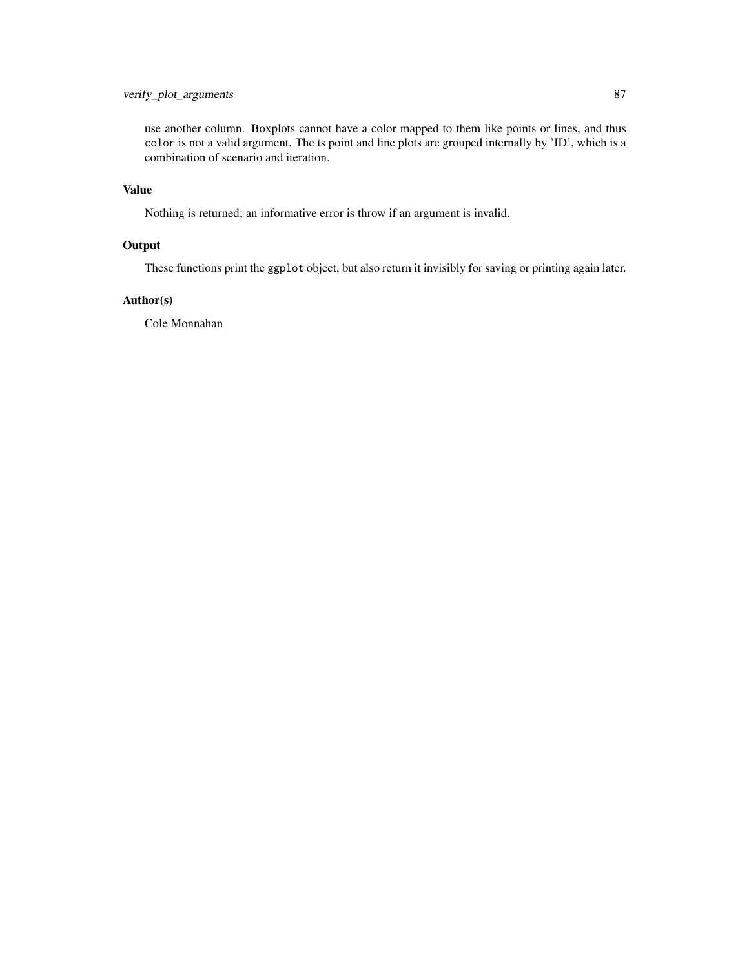# verify\_plot\_arguments 87

use another column. Boxplots cannot have a color mapped to them like points or lines, and thus color is not a valid argument. The ts point and line plots are grouped internally by 'ID', which is a combination of scenario and iteration.

# Value

Nothing is returned; an informative error is throw if an argument is invalid.

# **Output**

These functions print the ggplot object, but also return it invisibly for saving or printing again later.

# Author(s)

Cole Monnahan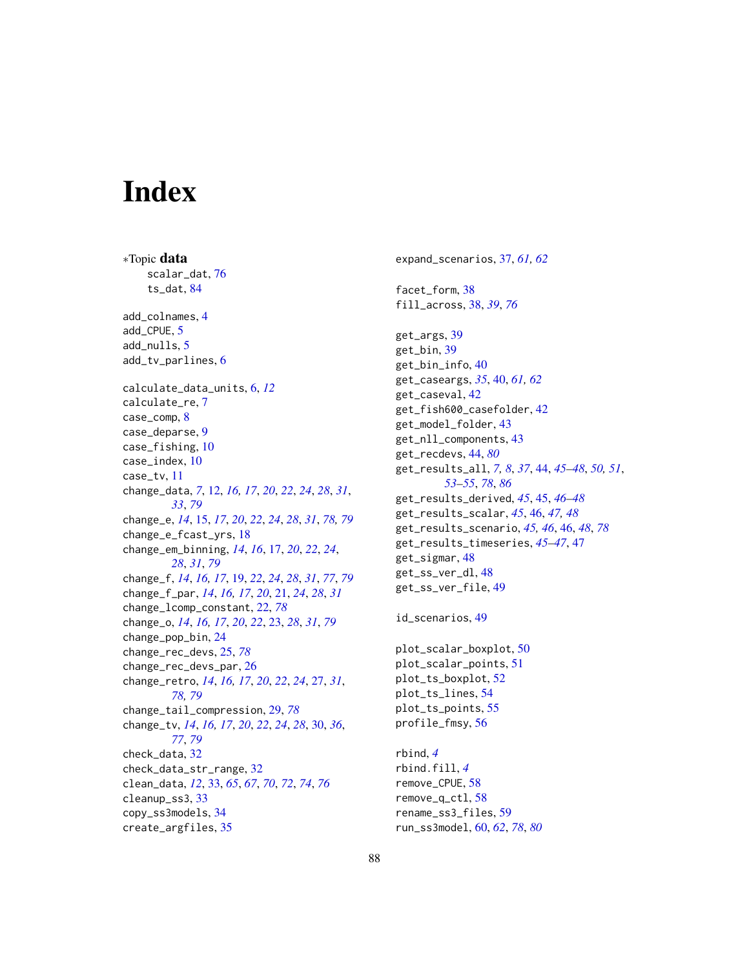# **Index**

∗Topic data scalar\_dat, [76](#page-75-0) ts\_dat, [84](#page-83-0) add\_colnames, [4](#page-3-0) add\_CPUE, [5](#page-4-0) add\_nulls. [5](#page-4-0) add\_tv\_parlines, [6](#page-5-0) calculate\_data\_units, [6,](#page-5-0) *[12](#page-11-1)* calculate\_re, [7](#page-6-0) case\_comp, [8](#page-7-0) case\_deparse, [9](#page-8-0) case\_fishing, [10](#page-9-0) case\_index, [10](#page-9-0) case\_tv, [11](#page-10-0) change\_data, *[7](#page-6-0)*, [12,](#page-11-1) *[16,](#page-15-0) [17](#page-16-1)*, *[20](#page-19-0)*, *[22](#page-21-1)*, *[24](#page-23-0)*, *[28](#page-27-0)*, *[31](#page-30-0)*, *[33](#page-32-1)*, *[79](#page-78-0)* change\_e, *[14](#page-13-0)*, [15,](#page-14-1) *[17](#page-16-1)*, *[20](#page-19-0)*, *[22](#page-21-1)*, *[24](#page-23-0)*, *[28](#page-27-0)*, *[31](#page-30-0)*, *[78,](#page-77-1) [79](#page-78-0)* change\_e\_fcast\_yrs, [18](#page-17-0) change\_em\_binning, *[14](#page-13-0)*, *[16](#page-15-0)*, [17,](#page-16-1) *[20](#page-19-0)*, *[22](#page-21-1)*, *[24](#page-23-0)*, *[28](#page-27-0)*, *[31](#page-30-0)*, *[79](#page-78-0)* change\_f, *[14](#page-13-0)*, *[16,](#page-15-0) [17](#page-16-1)*, [19,](#page-18-1) *[22](#page-21-1)*, *[24](#page-23-0)*, *[28](#page-27-0)*, *[31](#page-30-0)*, *[77](#page-76-0)*, *[79](#page-78-0)* change\_f\_par, *[14](#page-13-0)*, *[16,](#page-15-0) [17](#page-16-1)*, *[20](#page-19-0)*, [21,](#page-20-0) *[24](#page-23-0)*, *[28](#page-27-0)*, *[31](#page-30-0)* change\_lcomp\_constant, [22,](#page-21-1) *[78](#page-77-1)* change\_o, *[14](#page-13-0)*, *[16,](#page-15-0) [17](#page-16-1)*, *[20](#page-19-0)*, *[22](#page-21-1)*, [23,](#page-22-1) *[28](#page-27-0)*, *[31](#page-30-0)*, *[79](#page-78-0)* change\_pop\_bin, [24](#page-23-0) change\_rec\_devs, [25,](#page-24-1) *[78](#page-77-1)* change\_rec\_devs\_par, [26](#page-25-0) change\_retro, *[14](#page-13-0)*, *[16,](#page-15-0) [17](#page-16-1)*, *[20](#page-19-0)*, *[22](#page-21-1)*, *[24](#page-23-0)*, [27,](#page-26-1) *[31](#page-30-0)*, *[78,](#page-77-1) [79](#page-78-0)* change\_tail\_compression, [29,](#page-28-1) *[78](#page-77-1)* change\_tv, *[14](#page-13-0)*, *[16,](#page-15-0) [17](#page-16-1)*, *[20](#page-19-0)*, *[22](#page-21-1)*, *[24](#page-23-0)*, *[28](#page-27-0)*, [30,](#page-29-1) *[36](#page-35-0)*, *[77](#page-76-0)*, *[79](#page-78-0)* check\_data, [32](#page-31-0) check\_data\_str\_range, [32](#page-31-0) clean\_data, *[12](#page-11-1)*, [33,](#page-32-1) *[65](#page-64-0)*, *[67](#page-66-0)*, *[70](#page-69-0)*, *[72](#page-71-0)*, *[74](#page-73-0)*, *[76](#page-75-0)* cleanup\_ss3, [33](#page-32-1) copy\_ss3models, [34](#page-33-0) create\_argfiles, [35](#page-34-0)

expand\_scenarios, [37,](#page-36-0) *[61,](#page-60-1) [62](#page-61-0)* facet\_form, [38](#page-37-1) fill\_across, [38,](#page-37-1) *[39](#page-38-0)*, *[76](#page-75-0)* get\_args, [39](#page-38-0) get\_bin, [39](#page-38-0) get\_bin\_info, [40](#page-39-0) get\_caseargs, *[35](#page-34-0)*, [40,](#page-39-0) *[61,](#page-60-1) [62](#page-61-0)* get\_caseval, [42](#page-41-0) get\_fish600\_casefolder, [42](#page-41-0) get\_model\_folder, [43](#page-42-0) get\_nll\_components, [43](#page-42-0) get\_recdevs, [44,](#page-43-2) *[80](#page-79-0)* get\_results\_all, *[7,](#page-6-0) [8](#page-7-0)*, *[37](#page-36-0)*, [44,](#page-43-2) *[45](#page-44-0)[–48](#page-47-0)*, *[50,](#page-49-0) [51](#page-50-0)*, *[53](#page-52-0)[–55](#page-54-0)*, *[78](#page-77-1)*, *[86](#page-85-0)* get\_results\_derived, *[45](#page-44-0)*, [45,](#page-44-0) *[46](#page-45-1)[–48](#page-47-0)* get\_results\_scalar, *[45](#page-44-0)*, [46,](#page-45-1) *[47,](#page-46-0) [48](#page-47-0)* get\_results\_scenario, *[45,](#page-44-0) [46](#page-45-1)*, [46,](#page-45-1) *[48](#page-47-0)*, *[78](#page-77-1)* get\_results\_timeseries, *[45](#page-44-0)[–47](#page-46-0)*, [47](#page-46-0) get\_sigmar, [48](#page-47-0) get\_ss\_ver\_dl, [48](#page-47-0) get\_ss\_ver\_file, [49](#page-48-0) id\_scenarios, [49](#page-48-0) plot\_scalar\_boxplot, [50](#page-49-0) plot\_scalar\_points, [51](#page-50-0) plot\_ts\_boxplot, [52](#page-51-0) plot\_ts\_lines, [54](#page-53-0) plot\_ts\_points, [55](#page-54-0) profile\_fmsy, [56](#page-55-0) rbind, *[4](#page-3-0)* rbind.fill, *[4](#page-3-0)* remove\_CPUE, [58](#page-57-0) remove\_q\_ctl, [58](#page-57-0)

rename\_ss3\_files, [59](#page-58-0) run\_ss3model, [60,](#page-59-1) *[62](#page-61-0)*, *[78](#page-77-1)*, *[80](#page-79-0)*